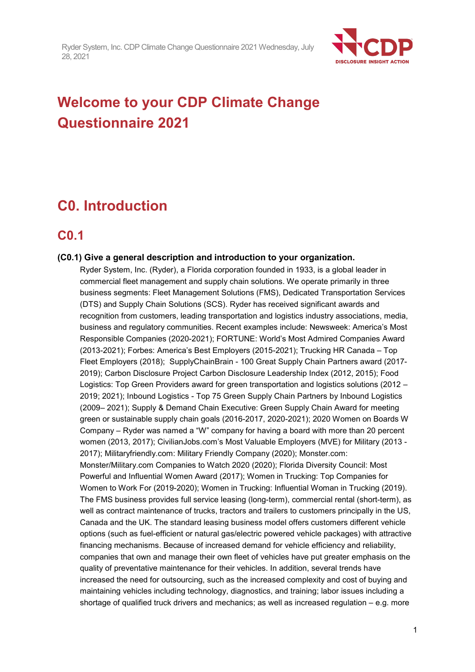

# **Welcome to your CDP Climate Change Questionnaire 2021**

# **C0. Introduction**

## **C0.1**

## **(C0.1) Give a general description and introduction to your organization.**

Ryder System, Inc. (Ryder), a Florida corporation founded in 1933, is a global leader in commercial fleet management and supply chain solutions. We operate primarily in three business segments: Fleet Management Solutions (FMS), Dedicated Transportation Services (DTS) and Supply Chain Solutions (SCS). Ryder has received significant awards and recognition from customers, leading transportation and logistics industry associations, media, business and regulatory communities. Recent examples include: Newsweek: America's Most Responsible Companies (2020-2021); FORTUNE: World's Most Admired Companies Award (2013-2021); Forbes: America's Best Employers (2015-2021); Trucking HR Canada – Top Fleet Employers (2018); SupplyChainBrain - 100 Great Supply Chain Partners award (2017- 2019); Carbon Disclosure Project Carbon Disclosure Leadership Index (2012, 2015); Food Logistics: Top Green Providers award for green transportation and logistics solutions (2012 – 2019; 2021); Inbound Logistics - Top 75 Green Supply Chain Partners by Inbound Logistics (2009– 2021); Supply & Demand Chain Executive: Green Supply Chain Award for meeting green or sustainable supply chain goals (2016-2017, 2020-2021); 2020 Women on Boards W Company – Ryder was named a "W" company for having a board with more than 20 percent women (2013, 2017); CivilianJobs.com's Most Valuable Employers (MVE) for Military (2013 - 2017); Militaryfriendly.com: Military Friendly Company (2020); Monster.com: Monster/Military.com Companies to Watch 2020 (2020); Florida Diversity Council: Most Powerful and Influential Women Award (2017); Women in Trucking: Top Companies for Women to Work For (2019-2020); Women in Trucking: Influential Woman in Trucking (2019). The FMS business provides full service leasing (long-term), commercial rental (short-term), as well as contract maintenance of trucks, tractors and trailers to customers principally in the US, Canada and the UK. The standard leasing business model offers customers different vehicle options (such as fuel-efficient or natural gas/electric powered vehicle packages) with attractive financing mechanisms. Because of increased demand for vehicle efficiency and reliability, companies that own and manage their own fleet of vehicles have put greater emphasis on the quality of preventative maintenance for their vehicles. In addition, several trends have increased the need for outsourcing, such as the increased complexity and cost of buying and maintaining vehicles including technology, diagnostics, and training; labor issues including a shortage of qualified truck drivers and mechanics; as well as increased regulation – e.g. more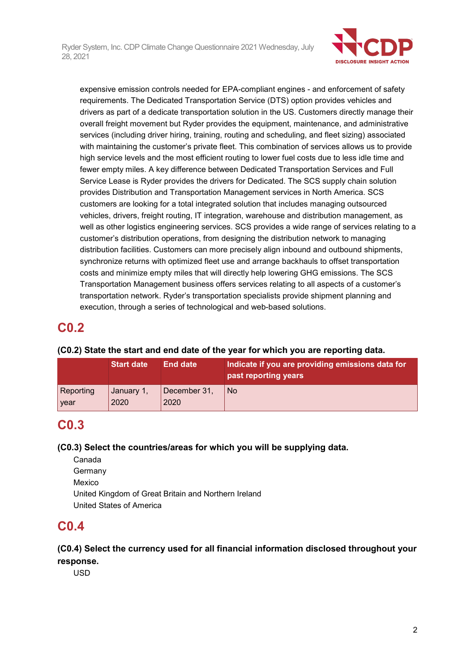

expensive emission controls needed for EPA-compliant engines - and enforcement of safety requirements. The Dedicated Transportation Service (DTS) option provides vehicles and drivers as part of a dedicate transportation solution in the US. Customers directly manage their overall freight movement but Ryder provides the equipment, maintenance, and administrative services (including driver hiring, training, routing and scheduling, and fleet sizing) associated with maintaining the customer's private fleet. This combination of services allows us to provide high service levels and the most efficient routing to lower fuel costs due to less idle time and fewer empty miles. A key difference between Dedicated Transportation Services and Full Service Lease is Ryder provides the drivers for Dedicated. The SCS supply chain solution provides Distribution and Transportation Management services in North America. SCS customers are looking for a total integrated solution that includes managing outsourced vehicles, drivers, freight routing, IT integration, warehouse and distribution management, as well as other logistics engineering services. SCS provides a wide range of services relating to a customer's distribution operations, from designing the distribution network to managing distribution facilities. Customers can more precisely align inbound and outbound shipments, synchronize returns with optimized fleet use and arrange backhauls to offset transportation costs and minimize empty miles that will directly help lowering GHG emissions. The SCS Transportation Management business offers services relating to all aspects of a customer's transportation network. Ryder's transportation specialists provide shipment planning and execution, through a series of technological and web-based solutions.

## **C0.2**

## **(C0.2) State the start and end date of the year for which you are reporting data.**

|             | <b>Start date</b> | <b>End date</b> | Indicate if you are providing emissions data for<br>past reporting years |
|-------------|-------------------|-----------------|--------------------------------------------------------------------------|
| Reporting   | January 1,        | December 31,    | <b>No</b>                                                                |
| <b>Vear</b> | 2020              | 2020            |                                                                          |

# **C0.3**

## **(C0.3) Select the countries/areas for which you will be supplying data.**

Canada Germany Mexico United Kingdom of Great Britain and Northern Ireland United States of America

## **C0.4**

## **(C0.4) Select the currency used for all financial information disclosed throughout your response.**

USD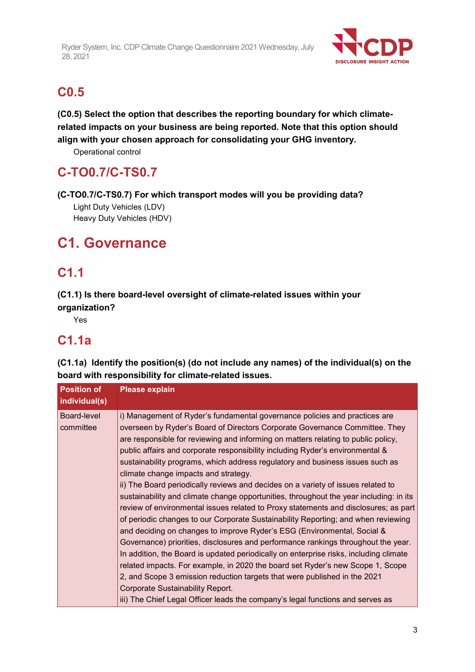

## **C0.5**

**(C0.5) Select the option that describes the reporting boundary for which climaterelated impacts on your business are being reported. Note that this option should align with your chosen approach for consolidating your GHG inventory.**

Operational control

# **C-TO0.7/C-TS0.7**

**(C-TO0.7/C-TS0.7) For which transport modes will you be providing data?**

Light Duty Vehicles (LDV) Heavy Duty Vehicles (HDV)

# **C1. Governance**

# **C1.1**

**(C1.1) Is there board-level oversight of climate-related issues within your organization?**

Yes

# **C1.1a**

**(C1.1a) Identify the position(s) (do not include any names) of the individual(s) on the board with responsibility for climate-related issues.**

| <b>Position of</b><br>individual(s) | <b>Please explain</b>                                                                                                                                                                                                                                                                                                                                                                                                                                                                                                                                                                                                                                                                                                                                                                                                                                                                                                                                                                                                                                                                                                                                                                                                                                                                                                                                            |
|-------------------------------------|------------------------------------------------------------------------------------------------------------------------------------------------------------------------------------------------------------------------------------------------------------------------------------------------------------------------------------------------------------------------------------------------------------------------------------------------------------------------------------------------------------------------------------------------------------------------------------------------------------------------------------------------------------------------------------------------------------------------------------------------------------------------------------------------------------------------------------------------------------------------------------------------------------------------------------------------------------------------------------------------------------------------------------------------------------------------------------------------------------------------------------------------------------------------------------------------------------------------------------------------------------------------------------------------------------------------------------------------------------------|
| Board-level<br>committee            | i) Management of Ryder's fundamental governance policies and practices are<br>overseen by Ryder's Board of Directors Corporate Governance Committee. They<br>are responsible for reviewing and informing on matters relating to public policy,<br>public affairs and corporate responsibility including Ryder's environmental &<br>sustainability programs, which address regulatory and business issues such as<br>climate change impacts and strategy.<br>ii) The Board periodically reviews and decides on a variety of issues related to<br>sustainability and climate change opportunities, throughout the year including: in its<br>review of environmental issues related to Proxy statements and disclosures; as part<br>of periodic changes to our Corporate Sustainability Reporting; and when reviewing<br>and deciding on changes to improve Ryder's ESG (Environmental, Social &<br>Governance) priorities, disclosures and performance rankings throughout the year.<br>In addition, the Board is updated periodically on enterprise risks, including climate<br>related impacts. For example, in 2020 the board set Ryder's new Scope 1, Scope<br>2, and Scope 3 emission reduction targets that were published in the 2021<br>Corporate Sustainability Report.<br>iii) The Chief Legal Officer leads the company's legal functions and serves as |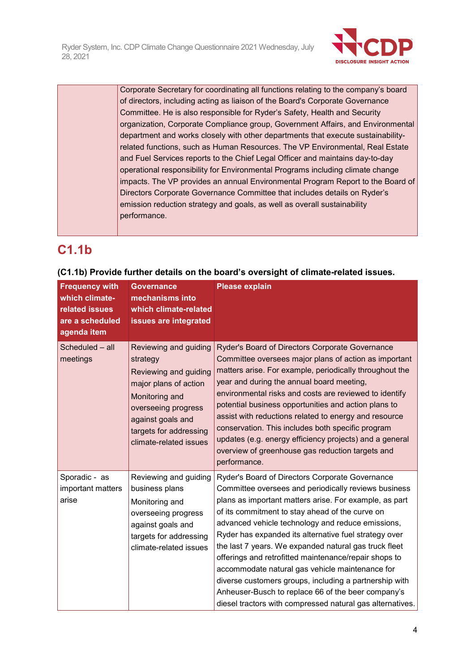

Corporate Secretary for coordinating all functions relating to the company's board of directors, including acting as liaison of the Board's Corporate Governance Committee. He is also responsible for Ryder's Safety, Health and Security organization, Corporate Compliance group, Government Affairs, and Environmental department and works closely with other departments that execute sustainabilityrelated functions, such as Human Resources. The VP Environmental, Real Estate and Fuel Services reports to the Chief Legal Officer and maintains day-to-day operational responsibility for Environmental Programs including climate change impacts. The VP provides an annual Environmental Program Report to the Board of Directors Corporate Governance Committee that includes details on Ryder's emission reduction strategy and goals, as well as overall sustainability performance.

# **C1.1b**

| <b>Frequency with</b><br>which climate-<br>related issues<br>are a scheduled<br>agenda item | <b>Governance</b><br>mechanisms into<br>which climate-related<br>issues are integrated                                                                                                                | <b>Please explain</b>                                                                                                                                                                                                                                                                                                                                                                                                                                                                                                                                                                                                                                                                |
|---------------------------------------------------------------------------------------------|-------------------------------------------------------------------------------------------------------------------------------------------------------------------------------------------------------|--------------------------------------------------------------------------------------------------------------------------------------------------------------------------------------------------------------------------------------------------------------------------------------------------------------------------------------------------------------------------------------------------------------------------------------------------------------------------------------------------------------------------------------------------------------------------------------------------------------------------------------------------------------------------------------|
| Scheduled - all<br>meetings                                                                 | Reviewing and guiding<br>strategy<br>Reviewing and guiding<br>major plans of action<br>Monitoring and<br>overseeing progress<br>against goals and<br>targets for addressing<br>climate-related issues | Ryder's Board of Directors Corporate Governance<br>Committee oversees major plans of action as important<br>matters arise. For example, periodically throughout the<br>year and during the annual board meeting,<br>environmental risks and costs are reviewed to identify<br>potential business opportunities and action plans to<br>assist with reductions related to energy and resource<br>conservation. This includes both specific program<br>updates (e.g. energy efficiency projects) and a general<br>overview of greenhouse gas reduction targets and<br>performance.                                                                                                      |
| Sporadic - as<br>important matters<br>arise                                                 | Reviewing and guiding<br>business plans<br>Monitoring and<br>overseeing progress<br>against goals and<br>targets for addressing<br>climate-related issues                                             | Ryder's Board of Directors Corporate Governance<br>Committee oversees and periodically reviews business<br>plans as important matters arise. For example, as part<br>of its commitment to stay ahead of the curve on<br>advanced vehicle technology and reduce emissions,<br>Ryder has expanded its alternative fuel strategy over<br>the last 7 years. We expanded natural gas truck fleet<br>offerings and retrofitted maintenance/repair shops to<br>accommodate natural gas vehicle maintenance for<br>diverse customers groups, including a partnership with<br>Anheuser-Busch to replace 66 of the beer company's<br>diesel tractors with compressed natural gas alternatives. |

## **(C1.1b) Provide further details on the board's oversight of climate-related issues.**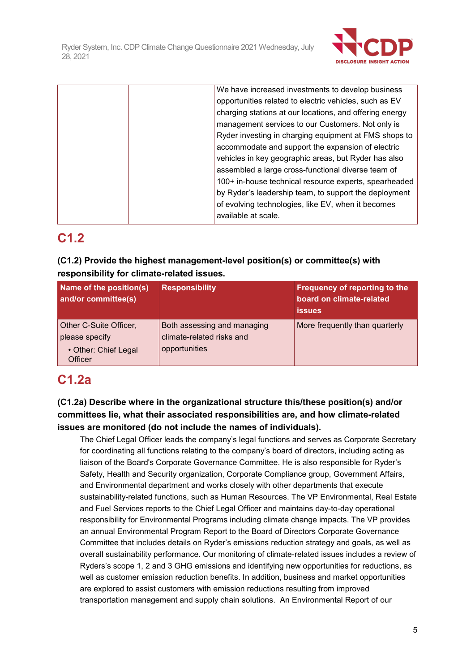

|  | We have increased investments to develop business       |
|--|---------------------------------------------------------|
|  | opportunities related to electric vehicles, such as EV  |
|  | charging stations at our locations, and offering energy |
|  | management services to our Customers. Not only is       |
|  | Ryder investing in charging equipment at FMS shops to   |
|  | accommodate and support the expansion of electric       |
|  | vehicles in key geographic areas, but Ryder has also    |
|  | assembled a large cross-functional diverse team of      |
|  | 100+ in-house technical resource experts, spearheaded   |
|  | by Ryder's leadership team, to support the deployment   |
|  | of evolving technologies, like EV, when it becomes      |
|  | available at scale.                                     |
|  |                                                         |

## **C1.2**

## **(C1.2) Provide the highest management-level position(s) or committee(s) with responsibility for climate-related issues.**

| <b>Name of the position(s)</b><br>and/or committee(s)                              | <b>Responsibility</b>                                                     | Frequency of reporting to the<br>board on climate-related<br><b>issues</b> |
|------------------------------------------------------------------------------------|---------------------------------------------------------------------------|----------------------------------------------------------------------------|
| Other C-Suite Officer,<br>please specify<br>• Other: Chief Legal<br><b>Officer</b> | Both assessing and managing<br>climate-related risks and<br>opportunities | More frequently than quarterly                                             |

# **C1.2a**

## **(C1.2a) Describe where in the organizational structure this/these position(s) and/or committees lie, what their associated responsibilities are, and how climate-related issues are monitored (do not include the names of individuals).**

The Chief Legal Officer leads the company's legal functions and serves as Corporate Secretary for coordinating all functions relating to the company's board of directors, including acting as liaison of the Board's Corporate Governance Committee. He is also responsible for Ryder's Safety, Health and Security organization, Corporate Compliance group, Government Affairs, and Environmental department and works closely with other departments that execute sustainability-related functions, such as Human Resources. The VP Environmental, Real Estate and Fuel Services reports to the Chief Legal Officer and maintains day-to-day operational responsibility for Environmental Programs including climate change impacts. The VP provides an annual Environmental Program Report to the Board of Directors Corporate Governance Committee that includes details on Ryder's emissions reduction strategy and goals, as well as overall sustainability performance. Our monitoring of climate-related issues includes a review of Ryders's scope 1, 2 and 3 GHG emissions and identifying new opportunities for reductions, as well as customer emission reduction benefits. In addition, business and market opportunities are explored to assist customers with emission reductions resulting from improved transportation management and supply chain solutions. An Environmental Report of our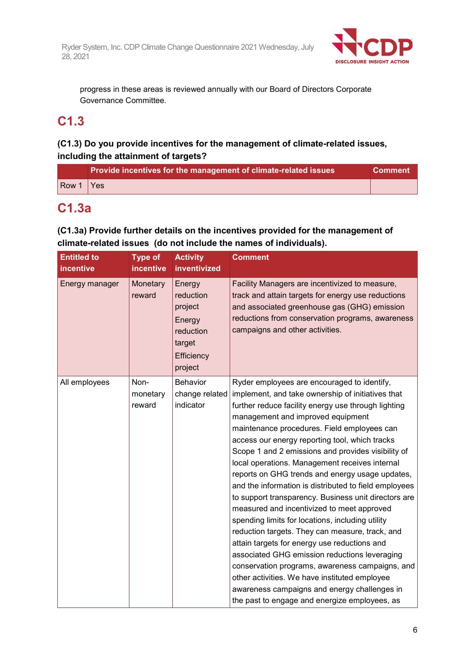

progress in these areas is reviewed annually with our Board of Directors Corporate Governance Committee.

## **C1.3**

## **(C1.3) Do you provide incentives for the management of climate-related issues, including the attainment of targets?**

|                                           | Provide incentives for the management of climate-related issues | ∣ Comment \ |
|-------------------------------------------|-----------------------------------------------------------------|-------------|
| $\sqrt{\frac{1}{1}}$ $\sqrt{\frac{1}{1}}$ |                                                                 |             |

## **C1.3a**

## **(C1.3a) Provide further details on the incentives provided for the management of climate-related issues (do not include the names of individuals).**

| <b>Entitled to</b><br>incentive | <b>Type of</b><br>incentive | <b>Activity</b><br>inventivized                                                          | <b>Comment</b>                                                                                                                                                                                                                                                                                                                                                                                                                                                                                                                                                                                                                                                                                                                                                                                                                                                                                                                                                                                                                       |
|---------------------------------|-----------------------------|------------------------------------------------------------------------------------------|--------------------------------------------------------------------------------------------------------------------------------------------------------------------------------------------------------------------------------------------------------------------------------------------------------------------------------------------------------------------------------------------------------------------------------------------------------------------------------------------------------------------------------------------------------------------------------------------------------------------------------------------------------------------------------------------------------------------------------------------------------------------------------------------------------------------------------------------------------------------------------------------------------------------------------------------------------------------------------------------------------------------------------------|
| Energy manager                  | Monetary<br>reward          | Energy<br>reduction<br>project<br>Energy<br>reduction<br>target<br>Efficiency<br>project | Facility Managers are incentivized to measure,<br>track and attain targets for energy use reductions<br>and associated greenhouse gas (GHG) emission<br>reductions from conservation programs, awareness<br>campaigns and other activities.                                                                                                                                                                                                                                                                                                                                                                                                                                                                                                                                                                                                                                                                                                                                                                                          |
| All employees                   | Non-<br>monetary<br>reward  | <b>Behavior</b><br>change related<br>indicator                                           | Ryder employees are encouraged to identify,<br>implement, and take ownership of initiatives that<br>further reduce facility energy use through lighting<br>management and improved equipment<br>maintenance procedures. Field employees can<br>access our energy reporting tool, which tracks<br>Scope 1 and 2 emissions and provides visibility of<br>local operations. Management receives internal<br>reports on GHG trends and energy usage updates,<br>and the information is distributed to field employees<br>to support transparency. Business unit directors are<br>measured and incentivized to meet approved<br>spending limits for locations, including utility<br>reduction targets. They can measure, track, and<br>attain targets for energy use reductions and<br>associated GHG emission reductions leveraging<br>conservation programs, awareness campaigns, and<br>other activities. We have instituted employee<br>awareness campaigns and energy challenges in<br>the past to engage and energize employees, as |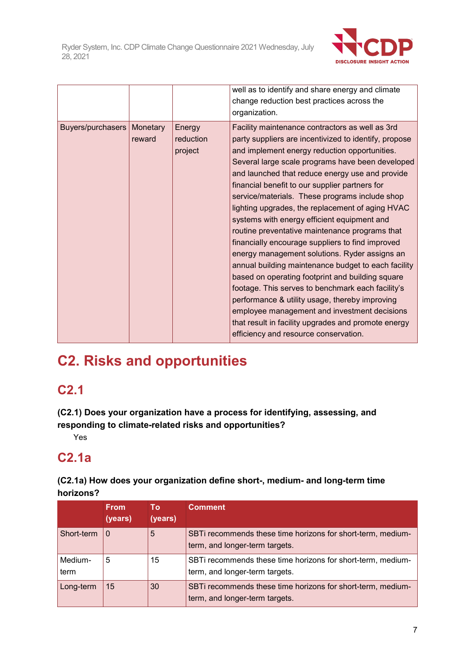

|                              |        |                                | well as to identify and share energy and climate<br>change reduction best practices across the<br>organization.                                                                                                                                                                                                                                                                                                                                                                                                                                                                                                                                                                                                                                                                                                                                                                                                                                                                                  |
|------------------------------|--------|--------------------------------|--------------------------------------------------------------------------------------------------------------------------------------------------------------------------------------------------------------------------------------------------------------------------------------------------------------------------------------------------------------------------------------------------------------------------------------------------------------------------------------------------------------------------------------------------------------------------------------------------------------------------------------------------------------------------------------------------------------------------------------------------------------------------------------------------------------------------------------------------------------------------------------------------------------------------------------------------------------------------------------------------|
| Buyers/purchasers   Monetary | reward | Energy<br>reduction<br>project | Facility maintenance contractors as well as 3rd<br>party suppliers are incentivized to identify, propose<br>and implement energy reduction opportunities.<br>Several large scale programs have been developed<br>and launched that reduce energy use and provide<br>financial benefit to our supplier partners for<br>service/materials. These programs include shop<br>lighting upgrades, the replacement of aging HVAC<br>systems with energy efficient equipment and<br>routine preventative maintenance programs that<br>financially encourage suppliers to find improved<br>energy management solutions. Ryder assigns an<br>annual building maintenance budget to each facility<br>based on operating footprint and building square<br>footage. This serves to benchmark each facility's<br>performance & utility usage, thereby improving<br>employee management and investment decisions<br>that result in facility upgrades and promote energy<br>efficiency and resource conservation. |

# **C2. Risks and opportunities**

## **C2.1**

**(C2.1) Does your organization have a process for identifying, assessing, and responding to climate-related risks and opportunities?**

Yes

# **C2.1a**

**(C2.1a) How does your organization define short-, medium- and long-term time horizons?**

|                 | <b>From</b><br>(years) | Τo<br>(years) | Comment                                                                                       |
|-----------------|------------------------|---------------|-----------------------------------------------------------------------------------------------|
| Short-term      | $\Omega$               | 5             | SBTi recommends these time horizons for short-term, medium-<br>term, and longer-term targets. |
| Medium-<br>term | 5                      | 15            | SBTi recommends these time horizons for short-term, medium-<br>term, and longer-term targets. |
| Long-term       | 15                     | 30            | SBTi recommends these time horizons for short-term, medium-<br>term, and longer-term targets. |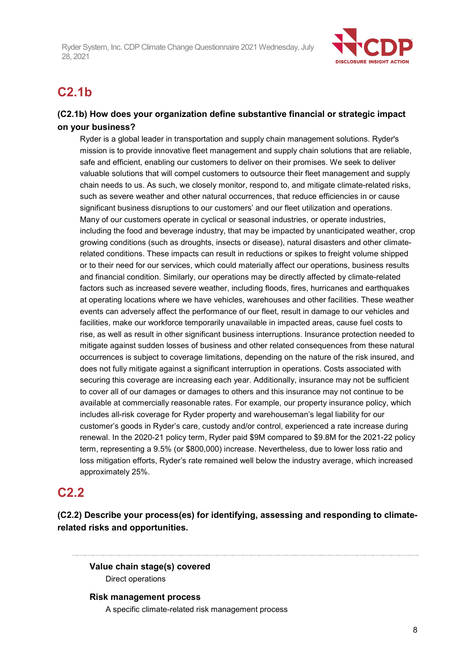

# **C2.1b**

## **(C2.1b) How does your organization define substantive financial or strategic impact on your business?**

Ryder is a global leader in transportation and supply chain management solutions. Ryder's mission is to provide innovative fleet management and supply chain solutions that are reliable, safe and efficient, enabling our customers to deliver on their promises. We seek to deliver valuable solutions that will compel customers to outsource their fleet management and supply chain needs to us. As such, we closely monitor, respond to, and mitigate climate-related risks, such as severe weather and other natural occurrences, that reduce efficiencies in or cause significant business disruptions to our customers' and our fleet utilization and operations. Many of our customers operate in cyclical or seasonal industries, or operate industries, including the food and beverage industry, that may be impacted by unanticipated weather, crop growing conditions (such as droughts, insects or disease), natural disasters and other climaterelated conditions. These impacts can result in reductions or spikes to freight volume shipped or to their need for our services, which could materially affect our operations, business results and financial condition. Similarly, our operations may be directly affected by climate-related factors such as increased severe weather, including floods, fires, hurricanes and earthquakes at operating locations where we have vehicles, warehouses and other facilities. These weather events can adversely affect the performance of our fleet, result in damage to our vehicles and facilities, make our workforce temporarily unavailable in impacted areas, cause fuel costs to rise, as well as result in other significant business interruptions. Insurance protection needed to mitigate against sudden losses of business and other related consequences from these natural occurrences is subject to coverage limitations, depending on the nature of the risk insured, and does not fully mitigate against a significant interruption in operations. Costs associated with securing this coverage are increasing each year. Additionally, insurance may not be sufficient to cover all of our damages or damages to others and this insurance may not continue to be available at commercially reasonable rates. For example, our property insurance policy, which includes all-risk coverage for Ryder property and warehouseman's legal liability for our customer's goods in Ryder's care, custody and/or control, experienced a rate increase during renewal. In the 2020-21 policy term, Ryder paid \$9M compared to \$9.8M for the 2021-22 policy term, representing a 9.5% (or \$800,000) increase. Nevertheless, due to lower loss ratio and loss mitigation efforts, Ryder's rate remained well below the industry average, which increased approximately 25%.

## **C2.2**

**(C2.2) Describe your process(es) for identifying, assessing and responding to climaterelated risks and opportunities.**

**Value chain stage(s) covered** Direct operations

**Risk management process** A specific climate-related risk management process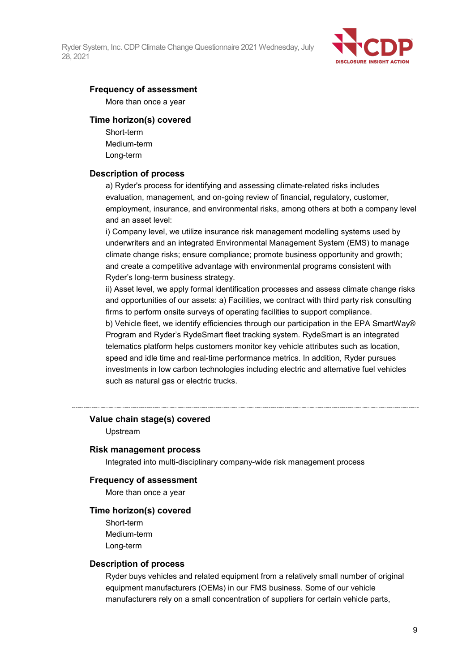

## **Frequency of assessment**

More than once a year

#### **Time horizon(s) covered**

Short-term Medium-term Long-term

## **Description of process**

a) Ryder's process for identifying and assessing climate-related risks includes evaluation, management, and on-going review of financial, regulatory, customer, employment, insurance, and environmental risks, among others at both a company level and an asset level:

i) Company level, we utilize insurance risk management modelling systems used by underwriters and an integrated Environmental Management System (EMS) to manage climate change risks; ensure compliance; promote business opportunity and growth; and create a competitive advantage with environmental programs consistent with Ryder's long-term business strategy.

ii) Asset level, we apply formal identification processes and assess climate change risks and opportunities of our assets: a) Facilities, we contract with third party risk consulting firms to perform onsite surveys of operating facilities to support compliance. b) Vehicle fleet, we identify efficiencies through our participation in the EPA SmartWay® Program and Ryder's RydeSmart fleet tracking system. RydeSmart is an integrated telematics platform helps customers monitor key vehicle attributes such as location, speed and idle time and real-time performance metrics. In addition, Ryder pursues investments in low carbon technologies including electric and alternative fuel vehicles such as natural gas or electric trucks.

### **Value chain stage(s) covered**

Upstream

#### **Risk management process**

Integrated into multi-disciplinary company-wide risk management process

#### **Frequency of assessment**

More than once a year

#### **Time horizon(s) covered**

Short-term Medium-term Long-term

#### **Description of process**

Ryder buys vehicles and related equipment from a relatively small number of original equipment manufacturers (OEMs) in our FMS business. Some of our vehicle manufacturers rely on a small concentration of suppliers for certain vehicle parts,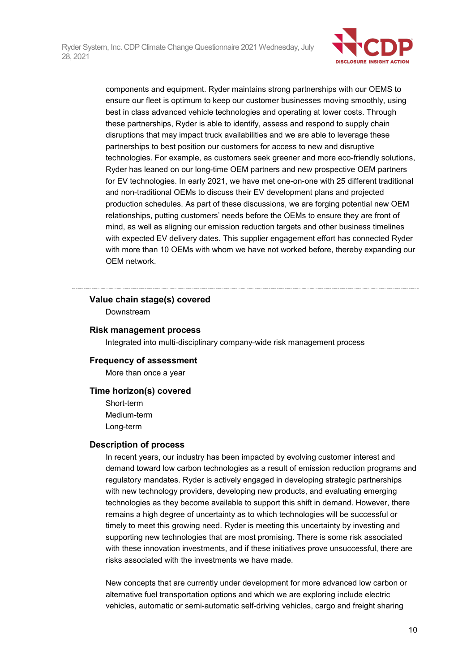

components and equipment. Ryder maintains strong partnerships with our OEMS to ensure our fleet is optimum to keep our customer businesses moving smoothly, using best in class advanced vehicle technologies and operating at lower costs. Through these partnerships, Ryder is able to identify, assess and respond to supply chain disruptions that may impact truck availabilities and we are able to leverage these partnerships to best position our customers for access to new and disruptive technologies. For example, as customers seek greener and more eco-friendly solutions, Ryder has leaned on our long-time OEM partners and new prospective OEM partners for EV technologies. In early 2021, we have met one-on-one with 25 different traditional and non-traditional OEMs to discuss their EV development plans and projected production schedules. As part of these discussions, we are forging potential new OEM relationships, putting customers' needs before the OEMs to ensure they are front of mind, as well as aligning our emission reduction targets and other business timelines with expected EV delivery dates. This supplier engagement effort has connected Ryder with more than 10 OEMs with whom we have not worked before, thereby expanding our OEM network.

### **Value chain stage(s) covered**

Downstream

#### **Risk management process**

Integrated into multi-disciplinary company-wide risk management process

#### **Frequency of assessment**

More than once a year

### **Time horizon(s) covered**

Short-term Medium-term Long-term

#### **Description of process**

In recent years, our industry has been impacted by evolving customer interest and demand toward low carbon technologies as a result of emission reduction programs and regulatory mandates. Ryder is actively engaged in developing strategic partnerships with new technology providers, developing new products, and evaluating emerging technologies as they become available to support this shift in demand. However, there remains a high degree of uncertainty as to which technologies will be successful or timely to meet this growing need. Ryder is meeting this uncertainty by investing and supporting new technologies that are most promising. There is some risk associated with these innovation investments, and if these initiatives prove unsuccessful, there are risks associated with the investments we have made.

New concepts that are currently under development for more advanced low carbon or alternative fuel transportation options and which we are exploring include electric vehicles, automatic or semi-automatic self-driving vehicles, cargo and freight sharing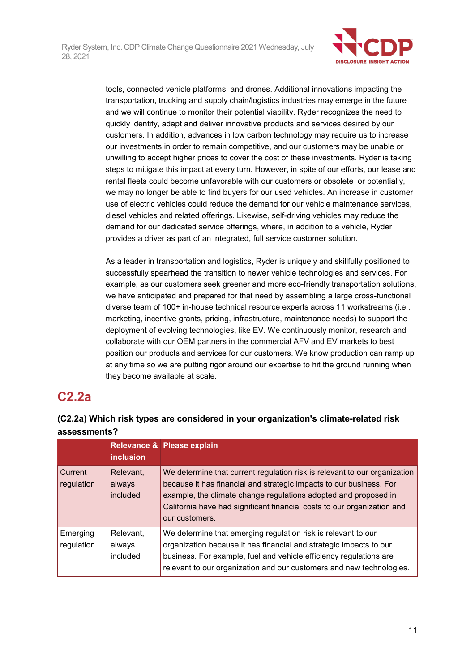

tools, connected vehicle platforms, and drones. Additional innovations impacting the transportation, trucking and supply chain/logistics industries may emerge in the future and we will continue to monitor their potential viability. Ryder recognizes the need to quickly identify, adapt and deliver innovative products and services desired by our customers. In addition, advances in low carbon technology may require us to increase our investments in order to remain competitive, and our customers may be unable or unwilling to accept higher prices to cover the cost of these investments. Ryder is taking steps to mitigate this impact at every turn. However, in spite of our efforts, our lease and rental fleets could become unfavorable with our customers or obsolete or potentially, we may no longer be able to find buyers for our used vehicles. An increase in customer use of electric vehicles could reduce the demand for our vehicle maintenance services, diesel vehicles and related offerings. Likewise, self-driving vehicles may reduce the demand for our dedicated service offerings, where, in addition to a vehicle, Ryder provides a driver as part of an integrated, full service customer solution.

As a leader in transportation and logistics, Ryder is uniquely and skillfully positioned to successfully spearhead the transition to newer vehicle technologies and services. For example, as our customers seek greener and more eco-friendly transportation solutions, we have anticipated and prepared for that need by assembling a large cross-functional diverse team of 100+ in-house technical resource experts across 11 workstreams (i.e., marketing, incentive grants, pricing, infrastructure, maintenance needs) to support the deployment of evolving technologies, like EV. We continuously monitor, research and collaborate with our OEM partners in the commercial AFV and EV markets to best position our products and services for our customers. We know production can ramp up at any time so we are putting rigor around our expertise to hit the ground running when they become available at scale.

# **C2.2a**

## **(C2.2a) Which risk types are considered in your organization's climate-related risk assessments?**

|                        | <i>inclusion</i>                | Relevance & Please explain                                                                                                                                                                                                                                                                                       |
|------------------------|---------------------------------|------------------------------------------------------------------------------------------------------------------------------------------------------------------------------------------------------------------------------------------------------------------------------------------------------------------|
| Current<br>regulation  | Relevant,<br>always<br>included | We determine that current regulation risk is relevant to our organization<br>because it has financial and strategic impacts to our business. For<br>example, the climate change regulations adopted and proposed in<br>California have had significant financial costs to our organization and<br>our customers. |
| Emerging<br>regulation | Relevant,<br>always<br>included | We determine that emerging regulation risk is relevant to our<br>organization because it has financial and strategic impacts to our<br>business. For example, fuel and vehicle efficiency regulations are<br>relevant to our organization and our customers and new technologies.                                |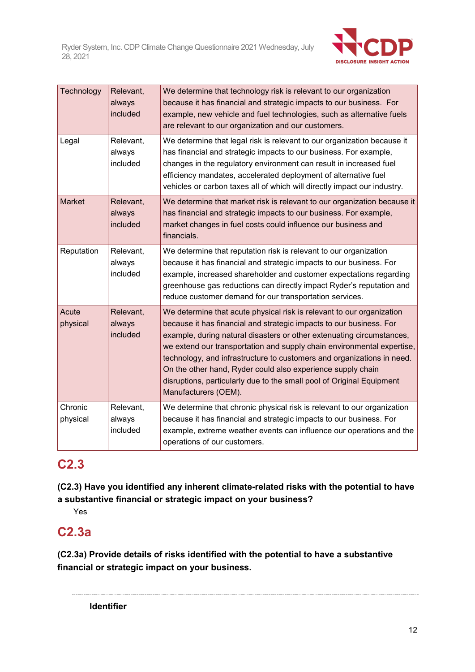

| Technology          | Relevant,<br>always<br>included | We determine that technology risk is relevant to our organization<br>because it has financial and strategic impacts to our business. For<br>example, new vehicle and fuel technologies, such as alternative fuels<br>are relevant to our organization and our customers.                                                                                                                                                                                                                                                                  |
|---------------------|---------------------------------|-------------------------------------------------------------------------------------------------------------------------------------------------------------------------------------------------------------------------------------------------------------------------------------------------------------------------------------------------------------------------------------------------------------------------------------------------------------------------------------------------------------------------------------------|
| Legal               | Relevant,<br>always<br>included | We determine that legal risk is relevant to our organization because it<br>has financial and strategic impacts to our business. For example,<br>changes in the regulatory environment can result in increased fuel<br>efficiency mandates, accelerated deployment of alternative fuel<br>vehicles or carbon taxes all of which will directly impact our industry.                                                                                                                                                                         |
| Market              | Relevant,<br>always<br>included | We determine that market risk is relevant to our organization because it<br>has financial and strategic impacts to our business. For example,<br>market changes in fuel costs could influence our business and<br>financials.                                                                                                                                                                                                                                                                                                             |
| Reputation          | Relevant,<br>always<br>included | We determine that reputation risk is relevant to our organization<br>because it has financial and strategic impacts to our business. For<br>example, increased shareholder and customer expectations regarding<br>greenhouse gas reductions can directly impact Ryder's reputation and<br>reduce customer demand for our transportation services.                                                                                                                                                                                         |
| Acute<br>physical   | Relevant,<br>always<br>included | We determine that acute physical risk is relevant to our organization<br>because it has financial and strategic impacts to our business. For<br>example, during natural disasters or other extenuating circumstances,<br>we extend our transportation and supply chain environmental expertise,<br>technology, and infrastructure to customers and organizations in need.<br>On the other hand, Ryder could also experience supply chain<br>disruptions, particularly due to the small pool of Original Equipment<br>Manufacturers (OEM). |
| Chronic<br>physical | Relevant,<br>always<br>included | We determine that chronic physical risk is relevant to our organization<br>because it has financial and strategic impacts to our business. For<br>example, extreme weather events can influence our operations and the<br>operations of our customers.                                                                                                                                                                                                                                                                                    |

# **C2.3**

**(C2.3) Have you identified any inherent climate-related risks with the potential to have a substantive financial or strategic impact on your business?**

Yes

# **C2.3a**

**(C2.3a) Provide details of risks identified with the potential to have a substantive financial or strategic impact on your business.**

**Identifier**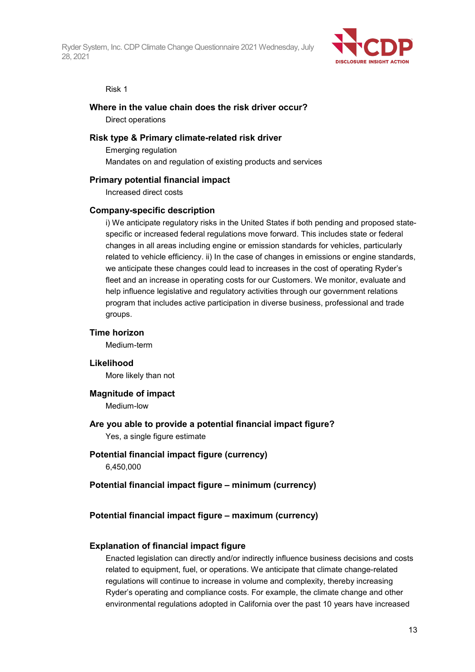

#### Risk 1

#### **Where in the value chain does the risk driver occur?**

Direct operations

#### **Risk type & Primary climate-related risk driver**

Emerging regulation Mandates on and regulation of existing products and services

#### **Primary potential financial impact**

Increased direct costs

#### **Company-specific description**

i) We anticipate regulatory risks in the United States if both pending and proposed statespecific or increased federal regulations move forward. This includes state or federal changes in all areas including engine or emission standards for vehicles, particularly related to vehicle efficiency. ii) In the case of changes in emissions or engine standards, we anticipate these changes could lead to increases in the cost of operating Ryder's fleet and an increase in operating costs for our Customers. We monitor, evaluate and help influence legislative and regulatory activities through our government relations program that includes active participation in diverse business, professional and trade groups.

### **Time horizon**

Medium-term

**Likelihood** More likely than not

## **Magnitude of impact**

Medium-low

## **Are you able to provide a potential financial impact figure?** Yes, a single figure estimate

## **Potential financial impact figure (currency)** 6,450,000

### **Potential financial impact figure – minimum (currency)**

### **Potential financial impact figure – maximum (currency)**

#### **Explanation of financial impact figure**

Enacted legislation can directly and/or indirectly influence business decisions and costs related to equipment, fuel, or operations. We anticipate that climate change-related regulations will continue to increase in volume and complexity, thereby increasing Ryder's operating and compliance costs. For example, the climate change and other environmental regulations adopted in California over the past 10 years have increased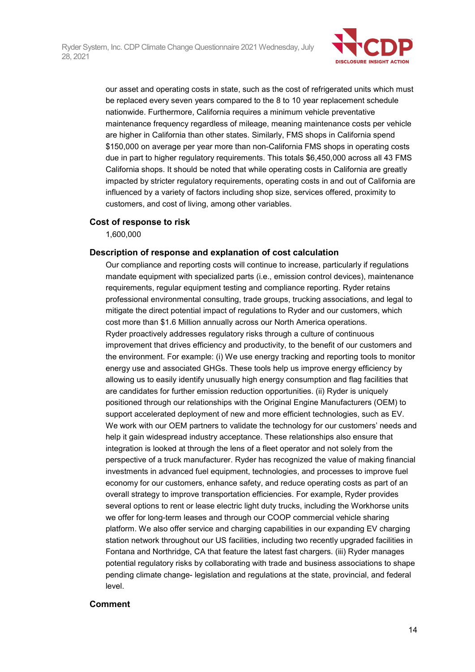

our asset and operating costs in state, such as the cost of refrigerated units which must be replaced every seven years compared to the 8 to 10 year replacement schedule nationwide. Furthermore, California requires a minimum vehicle preventative maintenance frequency regardless of mileage, meaning maintenance costs per vehicle are higher in California than other states. Similarly, FMS shops in California spend \$150,000 on average per year more than non-California FMS shops in operating costs due in part to higher regulatory requirements. This totals \$6,450,000 across all 43 FMS California shops. It should be noted that while operating costs in California are greatly impacted by stricter regulatory requirements, operating costs in and out of California are influenced by a variety of factors including shop size, services offered, proximity to customers, and cost of living, among other variables.

## **Cost of response to risk**

1,600,000

### **Description of response and explanation of cost calculation**

Our compliance and reporting costs will continue to increase, particularly if regulations mandate equipment with specialized parts (i.e., emission control devices), maintenance requirements, regular equipment testing and compliance reporting. Ryder retains professional environmental consulting, trade groups, trucking associations, and legal to mitigate the direct potential impact of regulations to Ryder and our customers, which cost more than \$1.6 Million annually across our North America operations. Ryder proactively addresses regulatory risks through a culture of continuous improvement that drives efficiency and productivity, to the benefit of our customers and the environment. For example: (i) We use energy tracking and reporting tools to monitor energy use and associated GHGs. These tools help us improve energy efficiency by allowing us to easily identify unusually high energy consumption and flag facilities that are candidates for further emission reduction opportunities. (ii) Ryder is uniquely positioned through our relationships with the Original Engine Manufacturers (OEM) to support accelerated deployment of new and more efficient technologies, such as EV. We work with our OEM partners to validate the technology for our customers' needs and help it gain widespread industry acceptance. These relationships also ensure that integration is looked at through the lens of a fleet operator and not solely from the perspective of a truck manufacturer. Ryder has recognized the value of making financial investments in advanced fuel equipment, technologies, and processes to improve fuel economy for our customers, enhance safety, and reduce operating costs as part of an overall strategy to improve transportation efficiencies. For example, Ryder provides several options to rent or lease electric light duty trucks, including the Workhorse units we offer for long-term leases and through our COOP commercial vehicle sharing platform. We also offer service and charging capabilities in our expanding EV charging station network throughout our US facilities, including two recently upgraded facilities in Fontana and Northridge, CA that feature the latest fast chargers. (iii) Ryder manages potential regulatory risks by collaborating with trade and business associations to shape pending climate change- legislation and regulations at the state, provincial, and federal level.

### **Comment**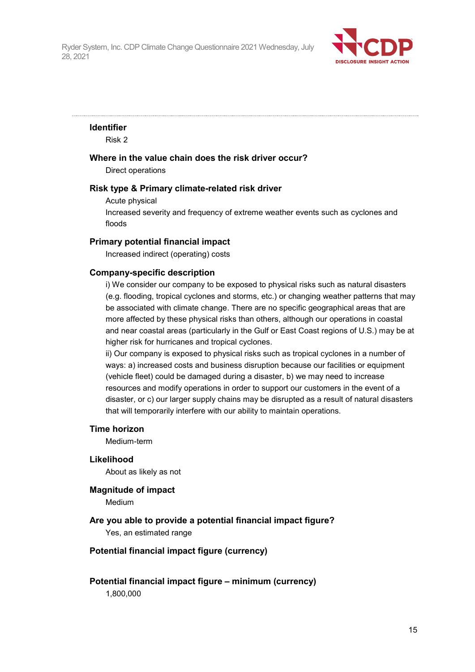

## **Identifier**

Risk 2

### **Where in the value chain does the risk driver occur?**

Direct operations

#### **Risk type & Primary climate-related risk driver**

Acute physical

Increased severity and frequency of extreme weather events such as cyclones and floods

### **Primary potential financial impact**

Increased indirect (operating) costs

### **Company-specific description**

i) We consider our company to be exposed to physical risks such as natural disasters (e.g. flooding, tropical cyclones and storms, etc.) or changing weather patterns that may be associated with climate change. There are no specific geographical areas that are more affected by these physical risks than others, although our operations in coastal and near coastal areas (particularly in the Gulf or East Coast regions of U.S.) may be at higher risk for hurricanes and tropical cyclones.

ii) Our company is exposed to physical risks such as tropical cyclones in a number of ways: a) increased costs and business disruption because our facilities or equipment (vehicle fleet) could be damaged during a disaster, b) we may need to increase resources and modify operations in order to support our customers in the event of a disaster, or c) our larger supply chains may be disrupted as a result of natural disasters that will temporarily interfere with our ability to maintain operations.

#### **Time horizon**

Medium-term

#### **Likelihood**

About as likely as not

#### **Magnitude of impact**

Medium

## **Are you able to provide a potential financial impact figure?**

Yes, an estimated range

### **Potential financial impact figure (currency)**

## **Potential financial impact figure – minimum (currency)**

1,800,000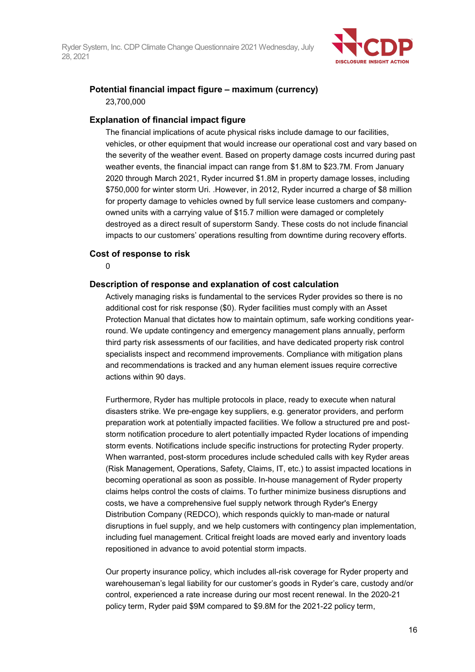

## **Potential financial impact figure – maximum (currency)** 23,700,000

### **Explanation of financial impact figure**

The financial implications of acute physical risks include damage to our facilities, vehicles, or other equipment that would increase our operational cost and vary based on the severity of the weather event. Based on property damage costs incurred during past weather events, the financial impact can range from \$1.8M to \$23.7M. From January 2020 through March 2021, Ryder incurred \$1.8M in property damage losses, including \$750,000 for winter storm Uri. .However, in 2012, Ryder incurred a charge of \$8 million for property damage to vehicles owned by full service lease customers and companyowned units with a carrying value of \$15.7 million were damaged or completely destroyed as a direct result of superstorm Sandy. These costs do not include financial impacts to our customers' operations resulting from downtime during recovery efforts.

#### **Cost of response to risk**

 $\Omega$ 

#### **Description of response and explanation of cost calculation**

Actively managing risks is fundamental to the services Ryder provides so there is no additional cost for risk response (\$0). Ryder facilities must comply with an Asset Protection Manual that dictates how to maintain optimum, safe working conditions yearround. We update contingency and emergency management plans annually, perform third party risk assessments of our facilities, and have dedicated property risk control specialists inspect and recommend improvements. Compliance with mitigation plans and recommendations is tracked and any human element issues require corrective actions within 90 days.

Furthermore, Ryder has multiple protocols in place, ready to execute when natural disasters strike. We pre-engage key suppliers, e.g. generator providers, and perform preparation work at potentially impacted facilities. We follow a structured pre and poststorm notification procedure to alert potentially impacted Ryder locations of impending storm events. Notifications include specific instructions for protecting Ryder property. When warranted, post-storm procedures include scheduled calls with key Ryder areas (Risk Management, Operations, Safety, Claims, IT, etc.) to assist impacted locations in becoming operational as soon as possible. In-house management of Ryder property claims helps control the costs of claims. To further minimize business disruptions and costs, we have a comprehensive fuel supply network through Ryder's Energy Distribution Company (REDCO), which responds quickly to man-made or natural disruptions in fuel supply, and we help customers with contingency plan implementation, including fuel management. Critical freight loads are moved early and inventory loads repositioned in advance to avoid potential storm impacts.

Our property insurance policy, which includes all-risk coverage for Ryder property and warehouseman's legal liability for our customer's goods in Ryder's care, custody and/or control, experienced a rate increase during our most recent renewal. In the 2020-21 policy term, Ryder paid \$9M compared to \$9.8M for the 2021-22 policy term,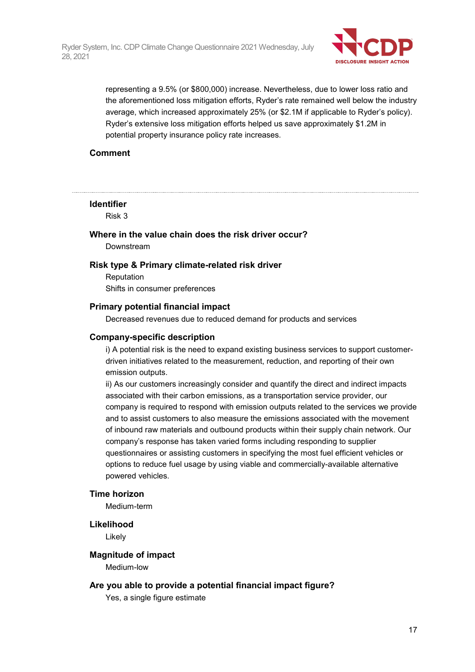

representing a 9.5% (or \$800,000) increase. Nevertheless, due to lower loss ratio and the aforementioned loss mitigation efforts, Ryder's rate remained well below the industry average, which increased approximately 25% (or \$2.1M if applicable to Ryder's policy). Ryder's extensive loss mitigation efforts helped us save approximately \$1.2M in potential property insurance policy rate increases.

## **Comment**

### **Identifier**

Risk 3

## **Where in the value chain does the risk driver occur?**

Downstream

### **Risk type & Primary climate-related risk driver**

Reputation Shifts in consumer preferences

#### **Primary potential financial impact**

Decreased revenues due to reduced demand for products and services

#### **Company-specific description**

i) A potential risk is the need to expand existing business services to support customerdriven initiatives related to the measurement, reduction, and reporting of their own emission outputs.

ii) As our customers increasingly consider and quantify the direct and indirect impacts associated with their carbon emissions, as a transportation service provider, our company is required to respond with emission outputs related to the services we provide and to assist customers to also measure the emissions associated with the movement of inbound raw materials and outbound products within their supply chain network. Our company's response has taken varied forms including responding to supplier questionnaires or assisting customers in specifying the most fuel efficient vehicles or options to reduce fuel usage by using viable and commercially-available alternative powered vehicles.

### **Time horizon**

Medium-term

#### **Likelihood**

Likely

#### **Magnitude of impact**

Medium-low

#### **Are you able to provide a potential financial impact figure?**

Yes, a single figure estimate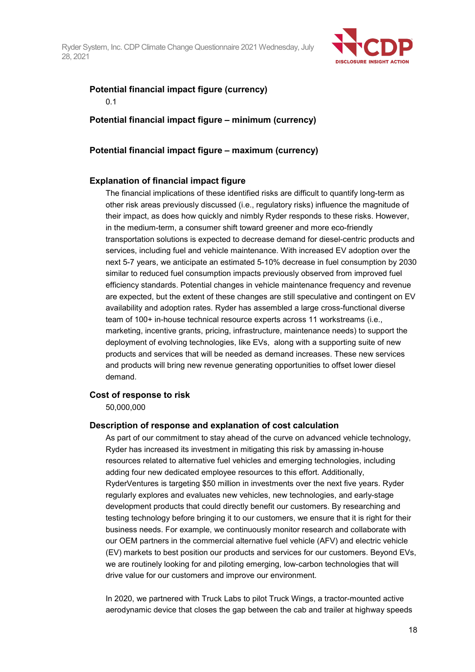

## **Potential financial impact figure (currency)**

## 0.1

**Potential financial impact figure – minimum (currency)**

## **Potential financial impact figure – maximum (currency)**

## **Explanation of financial impact figure**

The financial implications of these identified risks are difficult to quantify long-term as other risk areas previously discussed (i.e., regulatory risks) influence the magnitude of their impact, as does how quickly and nimbly Ryder responds to these risks. However, in the medium-term, a consumer shift toward greener and more eco-friendly transportation solutions is expected to decrease demand for diesel-centric products and services, including fuel and vehicle maintenance. With increased EV adoption over the next 5-7 years, we anticipate an estimated 5-10% decrease in fuel consumption by 2030 similar to reduced fuel consumption impacts previously observed from improved fuel efficiency standards. Potential changes in vehicle maintenance frequency and revenue are expected, but the extent of these changes are still speculative and contingent on EV availability and adoption rates. Ryder has assembled a large cross-functional diverse team of 100+ in-house technical resource experts across 11 workstreams (i.e., marketing, incentive grants, pricing, infrastructure, maintenance needs) to support the deployment of evolving technologies, like EVs, along with a supporting suite of new products and services that will be needed as demand increases. These new services and products will bring new revenue generating opportunities to offset lower diesel demand.

## **Cost of response to risk**

50,000,000

## **Description of response and explanation of cost calculation**

As part of our commitment to stay ahead of the curve on advanced vehicle technology, Ryder has increased its investment in mitigating this risk by amassing in-house resources related to alternative fuel vehicles and emerging technologies, including adding four new dedicated employee resources to this effort. Additionally, RyderVentures is targeting \$50 million in investments over the next five years. Ryder regularly explores and evaluates new vehicles, new technologies, and early-stage development products that could directly benefit our customers. By researching and testing technology before bringing it to our customers, we ensure that it is right for their business needs. For example, we continuously monitor research and collaborate with our OEM partners in the commercial alternative fuel vehicle (AFV) and electric vehicle (EV) markets to best position our products and services for our customers. Beyond EVs, we are routinely looking for and piloting emerging, low-carbon technologies that will drive value for our customers and improve our environment.

In 2020, we partnered with Truck Labs to pilot Truck Wings, a tractor-mounted active aerodynamic device that closes the gap between the cab and trailer at highway speeds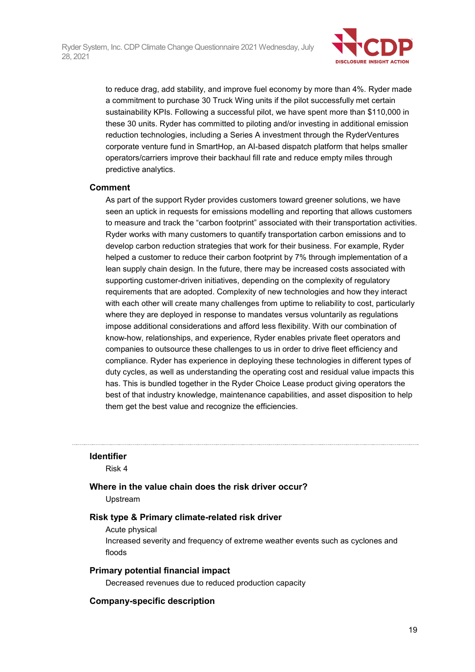

to reduce drag, add stability, and improve fuel economy by more than 4%. Ryder made a commitment to purchase 30 Truck Wing units if the pilot successfully met certain sustainability KPIs. Following a successful pilot, we have spent more than \$110,000 in these 30 units. Ryder has committed to piloting and/or investing in additional emission reduction technologies, including a Series A investment through the RyderVentures corporate venture fund in SmartHop, an AI-based dispatch platform that helps smaller operators/carriers improve their backhaul fill rate and reduce empty miles through predictive analytics.

## **Comment**

As part of the support Ryder provides customers toward greener solutions, we have seen an uptick in requests for emissions modelling and reporting that allows customers to measure and track the "carbon footprint" associated with their transportation activities. Ryder works with many customers to quantify transportation carbon emissions and to develop carbon reduction strategies that work for their business. For example, Ryder helped a customer to reduce their carbon footprint by 7% through implementation of a lean supply chain design. In the future, there may be increased costs associated with supporting customer-driven initiatives, depending on the complexity of regulatory requirements that are adopted. Complexity of new technologies and how they interact with each other will create many challenges from uptime to reliability to cost, particularly where they are deployed in response to mandates versus voluntarily as regulations impose additional considerations and afford less flexibility. With our combination of know-how, relationships, and experience, Ryder enables private fleet operators and companies to outsource these challenges to us in order to drive fleet efficiency and compliance. Ryder has experience in deploying these technologies in different types of duty cycles, as well as understanding the operating cost and residual value impacts this has. This is bundled together in the Ryder Choice Lease product giving operators the best of that industry knowledge, maintenance capabilities, and asset disposition to help them get the best value and recognize the efficiencies.

### **Identifier**

Risk 4

## **Where in the value chain does the risk driver occur?**

Upstream

## **Risk type & Primary climate-related risk driver**

### Acute physical

Increased severity and frequency of extreme weather events such as cyclones and floods

## **Primary potential financial impact**

Decreased revenues due to reduced production capacity

## **Company-specific description**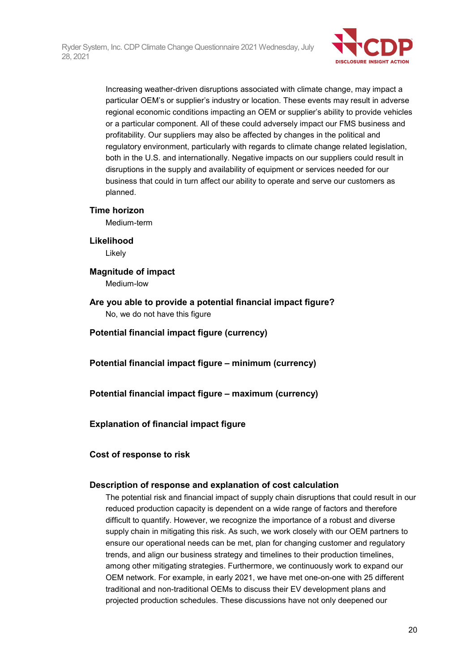

Increasing weather-driven disruptions associated with climate change, may impact a particular OEM's or supplier's industry or location. These events may result in adverse regional economic conditions impacting an OEM or supplier's ability to provide vehicles or a particular component. All of these could adversely impact our FMS business and profitability. Our suppliers may also be affected by changes in the political and regulatory environment, particularly with regards to climate change related legislation, both in the U.S. and internationally. Negative impacts on our suppliers could result in disruptions in the supply and availability of equipment or services needed for our business that could in turn affect our ability to operate and serve our customers as planned.

### **Time horizon**

Medium-term

**Likelihood**

Likely

**Magnitude of impact** Medium-low

**Are you able to provide a potential financial impact figure?** No, we do not have this figure

**Potential financial impact figure (currency)**

**Potential financial impact figure – minimum (currency)**

**Potential financial impact figure – maximum (currency)**

### **Explanation of financial impact figure**

### **Cost of response to risk**

### **Description of response and explanation of cost calculation**

The potential risk and financial impact of supply chain disruptions that could result in our reduced production capacity is dependent on a wide range of factors and therefore difficult to quantify. However, we recognize the importance of a robust and diverse supply chain in mitigating this risk. As such, we work closely with our OEM partners to ensure our operational needs can be met, plan for changing customer and regulatory trends, and align our business strategy and timelines to their production timelines, among other mitigating strategies. Furthermore, we continuously work to expand our OEM network. For example, in early 2021, we have met one-on-one with 25 different traditional and non-traditional OEMs to discuss their EV development plans and projected production schedules. These discussions have not only deepened our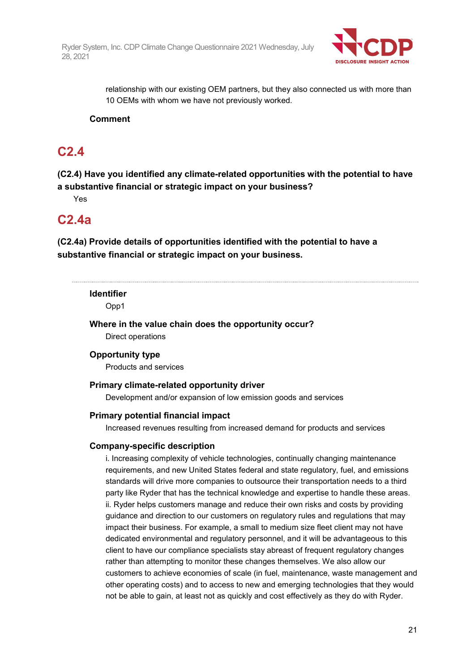

relationship with our existing OEM partners, but they also connected us with more than 10 OEMs with whom we have not previously worked.

## **Comment**

## **C2.4**

**(C2.4) Have you identified any climate-related opportunities with the potential to have a substantive financial or strategic impact on your business?**

Yes

## **C2.4a**

**(C2.4a) Provide details of opportunities identified with the potential to have a substantive financial or strategic impact on your business.**

### **Identifier**

Opp1

**Where in the value chain does the opportunity occur?** Direct operations

## **Opportunity type**

Products and services

### **Primary climate-related opportunity driver**

Development and/or expansion of low emission goods and services

## **Primary potential financial impact**

Increased revenues resulting from increased demand for products and services

### **Company-specific description**

i. Increasing complexity of vehicle technologies, continually changing maintenance requirements, and new United States federal and state regulatory, fuel, and emissions standards will drive more companies to outsource their transportation needs to a third party like Ryder that has the technical knowledge and expertise to handle these areas. ii. Ryder helps customers manage and reduce their own risks and costs by providing guidance and direction to our customers on regulatory rules and regulations that may impact their business. For example, a small to medium size fleet client may not have dedicated environmental and regulatory personnel, and it will be advantageous to this client to have our compliance specialists stay abreast of frequent regulatory changes rather than attempting to monitor these changes themselves. We also allow our customers to achieve economies of scale (in fuel, maintenance, waste management and other operating costs) and to access to new and emerging technologies that they would not be able to gain, at least not as quickly and cost effectively as they do with Ryder.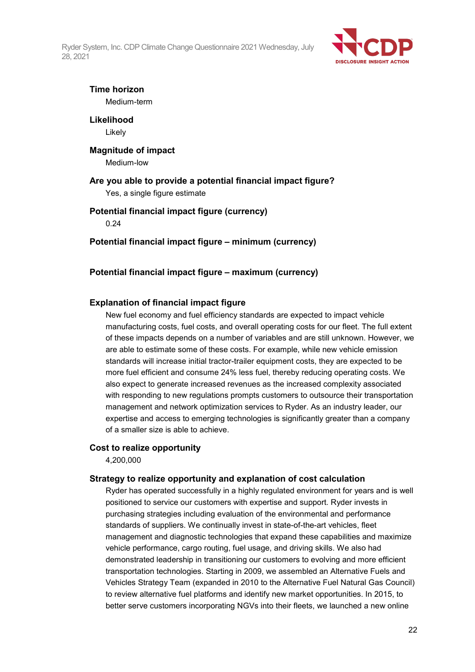

## **Time horizon**

Medium-term

**Likelihood** Likely

# **Magnitude of impact**

Medium-low

## **Are you able to provide a potential financial impact figure?**

Yes, a single figure estimate

## **Potential financial impact figure (currency)**

0.24

## **Potential financial impact figure – minimum (currency)**

## **Potential financial impact figure – maximum (currency)**

## **Explanation of financial impact figure**

New fuel economy and fuel efficiency standards are expected to impact vehicle manufacturing costs, fuel costs, and overall operating costs for our fleet. The full extent of these impacts depends on a number of variables and are still unknown. However, we are able to estimate some of these costs. For example, while new vehicle emission standards will increase initial tractor-trailer equipment costs, they are expected to be more fuel efficient and consume 24% less fuel, thereby reducing operating costs. We also expect to generate increased revenues as the increased complexity associated with responding to new regulations prompts customers to outsource their transportation management and network optimization services to Ryder. As an industry leader, our expertise and access to emerging technologies is significantly greater than a company of a smaller size is able to achieve.

## **Cost to realize opportunity**

4,200,000

## **Strategy to realize opportunity and explanation of cost calculation**

Ryder has operated successfully in a highly regulated environment for years and is well positioned to service our customers with expertise and support. Ryder invests in purchasing strategies including evaluation of the environmental and performance standards of suppliers. We continually invest in state-of-the-art vehicles, fleet management and diagnostic technologies that expand these capabilities and maximize vehicle performance, cargo routing, fuel usage, and driving skills. We also had demonstrated leadership in transitioning our customers to evolving and more efficient transportation technologies. Starting in 2009, we assembled an Alternative Fuels and Vehicles Strategy Team (expanded in 2010 to the Alternative Fuel Natural Gas Council) to review alternative fuel platforms and identify new market opportunities. In 2015, to better serve customers incorporating NGVs into their fleets, we launched a new online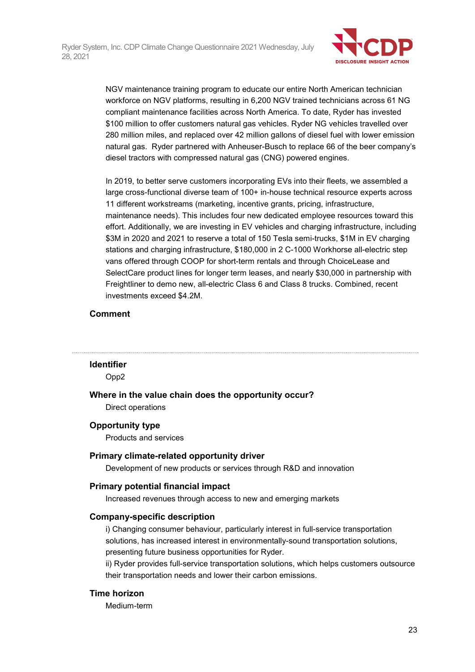

NGV maintenance training program to educate our entire North American technician workforce on NGV platforms, resulting in 6,200 NGV trained technicians across 61 NG compliant maintenance facilities across North America. To date, Ryder has invested \$100 million to offer customers natural gas vehicles. Ryder NG vehicles travelled over 280 million miles, and replaced over 42 million gallons of diesel fuel with lower emission natural gas. Ryder partnered with Anheuser-Busch to replace 66 of the beer company's diesel tractors with compressed natural gas (CNG) powered engines.

In 2019, to better serve customers incorporating EVs into their fleets, we assembled a large cross-functional diverse team of 100+ in-house technical resource experts across 11 different workstreams (marketing, incentive grants, pricing, infrastructure, maintenance needs). This includes four new dedicated employee resources toward this effort. Additionally, we are investing in EV vehicles and charging infrastructure, including \$3M in 2020 and 2021 to reserve a total of 150 Tesla semi-trucks, \$1M in EV charging stations and charging infrastructure, \$180,000 in 2 C-1000 Workhorse all-electric step vans offered through COOP for short-term rentals and through ChoiceLease and SelectCare product lines for longer term leases, and nearly \$30,000 in partnership with Freightliner to demo new, all-electric Class 6 and Class 8 trucks. Combined, recent investments exceed \$4.2M.

## **Comment**

### **Identifier**

Opp2

**Where in the value chain does the opportunity occur?**

Direct operations

### **Opportunity type**

Products and services

### **Primary climate-related opportunity driver**

Development of new products or services through R&D and innovation

## **Primary potential financial impact**

Increased revenues through access to new and emerging markets

### **Company-specific description**

i) Changing consumer behaviour, particularly interest in full-service transportation solutions, has increased interest in environmentally-sound transportation solutions, presenting future business opportunities for Ryder.

ii) Ryder provides full-service transportation solutions, which helps customers outsource their transportation needs and lower their carbon emissions.

### **Time horizon**

Medium-term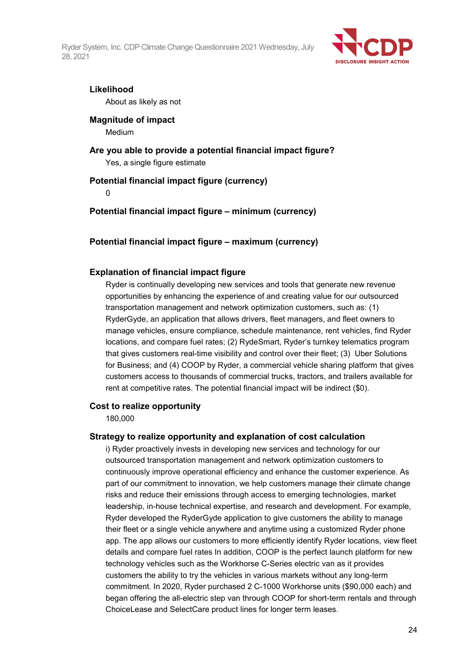

### **Likelihood**

About as likely as not

## **Magnitude of impact**

Medium

## **Are you able to provide a potential financial impact figure?** Yes, a single figure estimate

## **Potential financial impact figure (currency)**

 $\Omega$ 

**Potential financial impact figure – minimum (currency)**

**Potential financial impact figure – maximum (currency)**

## **Explanation of financial impact figure**

Ryder is continually developing new services and tools that generate new revenue opportunities by enhancing the experience of and creating value for our outsourced transportation management and network optimization customers, such as: (1) RyderGyde, an application that allows drivers, fleet managers, and fleet owners to manage vehicles, ensure compliance, schedule maintenance, rent vehicles, find Ryder locations, and compare fuel rates; (2) RydeSmart, Ryder's turnkey telematics program that gives customers real-time visibility and control over their fleet; (3) Uber Solutions for Business; and (4) COOP by Ryder, a commercial vehicle sharing platform that gives customers access to thousands of commercial trucks, tractors, and trailers available for rent at competitive rates. The potential financial impact will be indirect (\$0).

### **Cost to realize opportunity**

180,000

### **Strategy to realize opportunity and explanation of cost calculation**

i) Ryder proactively invests in developing new services and technology for our outsourced transportation management and network optimization customers to continuously improve operational efficiency and enhance the customer experience. As part of our commitment to innovation, we help customers manage their climate change risks and reduce their emissions through access to emerging technologies, market leadership, in-house technical expertise, and research and development. For example, Ryder developed the RyderGyde application to give customers the ability to manage their fleet or a single vehicle anywhere and anytime using a customized Ryder phone app. The app allows our customers to more efficiently identify Ryder locations, view fleet details and compare fuel rates In addition, COOP is the perfect launch platform for new technology vehicles such as the Workhorse C-Series electric van as it provides customers the ability to try the vehicles in various markets without any long-term commitment. In 2020, Ryder purchased 2 C-1000 Workhorse units (\$90,000 each) and began offering the all-electric step van through COOP for short-term rentals and through ChoiceLease and SelectCare product lines for longer term leases.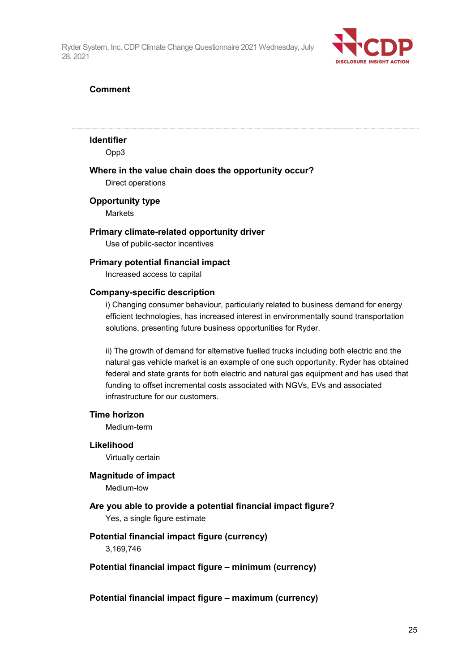

## **Comment**

#### **Identifier**

Opp3

### **Where in the value chain does the opportunity occur?**

Direct operations

#### **Opportunity type**

Markets

### **Primary climate-related opportunity driver**

Use of public-sector incentives

#### **Primary potential financial impact**

Increased access to capital

#### **Company-specific description**

i) Changing consumer behaviour, particularly related to business demand for energy efficient technologies, has increased interest in environmentally sound transportation solutions, presenting future business opportunities for Ryder.

ii) The growth of demand for alternative fuelled trucks including both electric and the natural gas vehicle market is an example of one such opportunity. Ryder has obtained federal and state grants for both electric and natural gas equipment and has used that funding to offset incremental costs associated with NGVs, EVs and associated infrastructure for our customers.

#### **Time horizon**

Medium-term

**Likelihood** Virtually certain

#### **Magnitude of impact**

Medium-low

**Are you able to provide a potential financial impact figure?** Yes, a single figure estimate

### **Potential financial impact figure (currency)**

3,169,746

### **Potential financial impact figure – minimum (currency)**

**Potential financial impact figure – maximum (currency)**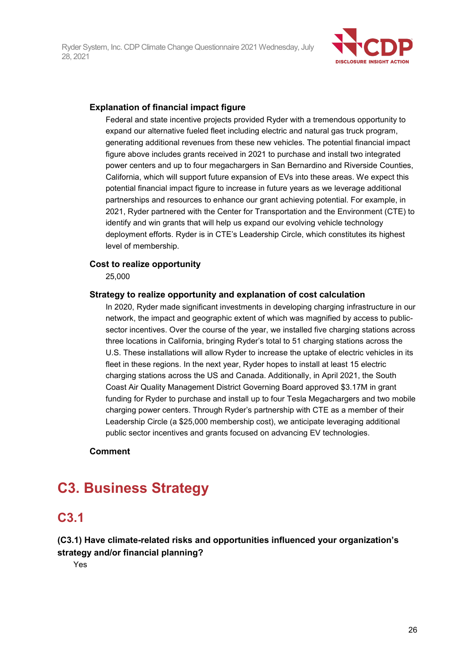

## **Explanation of financial impact figure**

Federal and state incentive projects provided Ryder with a tremendous opportunity to expand our alternative fueled fleet including electric and natural gas truck program, generating additional revenues from these new vehicles. The potential financial impact figure above includes grants received in 2021 to purchase and install two integrated power centers and up to four megachargers in San Bernardino and Riverside Counties, California, which will support future expansion of EVs into these areas. We expect this potential financial impact figure to increase in future years as we leverage additional partnerships and resources to enhance our grant achieving potential. For example, in 2021, Ryder partnered with the Center for Transportation and the Environment (CTE) to identify and win grants that will help us expand our evolving vehicle technology deployment efforts. Ryder is in CTE's Leadership Circle, which constitutes its highest level of membership.

#### **Cost to realize opportunity**

25,000

### **Strategy to realize opportunity and explanation of cost calculation**

In 2020, Ryder made significant investments in developing charging infrastructure in our network, the impact and geographic extent of which was magnified by access to publicsector incentives. Over the course of the year, we installed five charging stations across three locations in California, bringing Ryder's total to 51 charging stations across the U.S. These installations will allow Ryder to increase the uptake of electric vehicles in its fleet in these regions. In the next year, Ryder hopes to install at least 15 electric charging stations across the US and Canada. Additionally, in April 2021, the South Coast Air Quality Management District Governing Board approved \$3.17M in grant funding for Ryder to purchase and install up to four Tesla Megachargers and two mobile charging power centers. Through Ryder's partnership with CTE as a member of their Leadership Circle (a \$25,000 membership cost), we anticipate leveraging additional public sector incentives and grants focused on advancing EV technologies.

#### **Comment**

# **C3. Business Strategy**

## **C3.1**

## **(C3.1) Have climate-related risks and opportunities influenced your organization's strategy and/or financial planning?**

Yes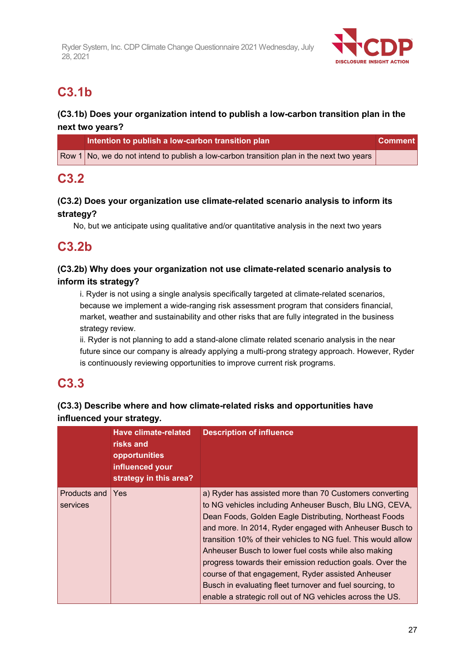

# **C3.1b**

## **(C3.1b) Does your organization intend to publish a low-carbon transition plan in the next two years?**

| Intention to publish a low-carbon transition plan                                        | <b>Comment</b> |
|------------------------------------------------------------------------------------------|----------------|
| Row 1 No, we do not intend to publish a low-carbon transition plan in the next two years |                |

## **C3.2**

## **(C3.2) Does your organization use climate-related scenario analysis to inform its strategy?**

No, but we anticipate using qualitative and/or quantitative analysis in the next two years

## **C3.2b**

## **(C3.2b) Why does your organization not use climate-related scenario analysis to inform its strategy?**

i. Ryder is not using a single analysis specifically targeted at climate-related scenarios, because we implement a wide-ranging risk assessment program that considers financial, market, weather and sustainability and other risks that are fully integrated in the business strategy review.

ii. Ryder is not planning to add a stand-alone climate related scenario analysis in the near future since our company is already applying a multi-prong strategy approach. However, Ryder is continuously reviewing opportunities to improve current risk programs.

## **C3.3**

## **(C3.3) Describe where and how climate-related risks and opportunities have influenced your strategy.**

|                          | <b>Have climate-related</b><br>risks and<br>opportunities<br>influenced your<br>strategy in this area? | <b>Description of influence</b>                                                                                                                                                                                                                                                                                                                                                                                                                                                                                                                                                                              |
|--------------------------|--------------------------------------------------------------------------------------------------------|--------------------------------------------------------------------------------------------------------------------------------------------------------------------------------------------------------------------------------------------------------------------------------------------------------------------------------------------------------------------------------------------------------------------------------------------------------------------------------------------------------------------------------------------------------------------------------------------------------------|
| Products and<br>services | Yes                                                                                                    | a) Ryder has assisted more than 70 Customers converting<br>to NG vehicles including Anheuser Busch, Blu LNG, CEVA,<br>Dean Foods, Golden Eagle Distributing, Northeast Foods<br>and more. In 2014, Ryder engaged with Anheuser Busch to<br>transition 10% of their vehicles to NG fuel. This would allow<br>Anheuser Busch to lower fuel costs while also making<br>progress towards their emission reduction goals. Over the<br>course of that engagement, Ryder assisted Anheuser<br>Busch in evaluating fleet turnover and fuel sourcing, to<br>enable a strategic roll out of NG vehicles across the US. |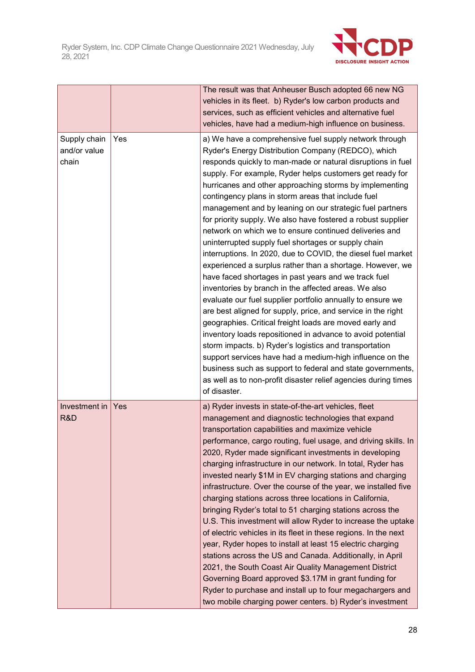

|                                       |     | The result was that Anheuser Busch adopted 66 new NG<br>vehicles in its fleet. b) Ryder's low carbon products and<br>services, such as efficient vehicles and alternative fuel<br>vehicles, have had a medium-high influence on business.                                                                                                                                                                                                                                                                                                                                                                                                                                                                                                                                                                                                                                                                                                                                                                                                                                                                                                                                                                                                                                                                                                                                       |
|---------------------------------------|-----|---------------------------------------------------------------------------------------------------------------------------------------------------------------------------------------------------------------------------------------------------------------------------------------------------------------------------------------------------------------------------------------------------------------------------------------------------------------------------------------------------------------------------------------------------------------------------------------------------------------------------------------------------------------------------------------------------------------------------------------------------------------------------------------------------------------------------------------------------------------------------------------------------------------------------------------------------------------------------------------------------------------------------------------------------------------------------------------------------------------------------------------------------------------------------------------------------------------------------------------------------------------------------------------------------------------------------------------------------------------------------------|
| Supply chain<br>and/or value<br>chain | Yes | a) We have a comprehensive fuel supply network through<br>Ryder's Energy Distribution Company (REDCO), which<br>responds quickly to man-made or natural disruptions in fuel<br>supply. For example, Ryder helps customers get ready for<br>hurricanes and other approaching storms by implementing<br>contingency plans in storm areas that include fuel<br>management and by leaning on our strategic fuel partners<br>for priority supply. We also have fostered a robust supplier<br>network on which we to ensure continued deliveries and<br>uninterrupted supply fuel shortages or supply chain<br>interruptions. In 2020, due to COVID, the diesel fuel market<br>experienced a surplus rather than a shortage. However, we<br>have faced shortages in past years and we track fuel<br>inventories by branch in the affected areas. We also<br>evaluate our fuel supplier portfolio annually to ensure we<br>are best aligned for supply, price, and service in the right<br>geographies. Critical freight loads are moved early and<br>inventory loads repositioned in advance to avoid potential<br>storm impacts. b) Ryder's logistics and transportation<br>support services have had a medium-high influence on the<br>business such as support to federal and state governments,<br>as well as to non-profit disaster relief agencies during times<br>of disaster. |
| Investment in<br>R&D                  | Yes | a) Ryder invests in state-of-the-art vehicles, fleet<br>management and diagnostic technologies that expand<br>transportation capabilities and maximize vehicle<br>performance, cargo routing, fuel usage, and driving skills. In<br>2020, Ryder made significant investments in developing<br>charging infrastructure in our network. In total, Ryder has<br>invested nearly \$1M in EV charging stations and charging<br>infrastructure. Over the course of the year, we installed five<br>charging stations across three locations in California,<br>bringing Ryder's total to 51 charging stations across the<br>U.S. This investment will allow Ryder to increase the uptake<br>of electric vehicles in its fleet in these regions. In the next<br>year, Ryder hopes to install at least 15 electric charging<br>stations across the US and Canada. Additionally, in April<br>2021, the South Coast Air Quality Management District<br>Governing Board approved \$3.17M in grant funding for<br>Ryder to purchase and install up to four megachargers and<br>two mobile charging power centers. b) Ryder's investment                                                                                                                                                                                                                                                       |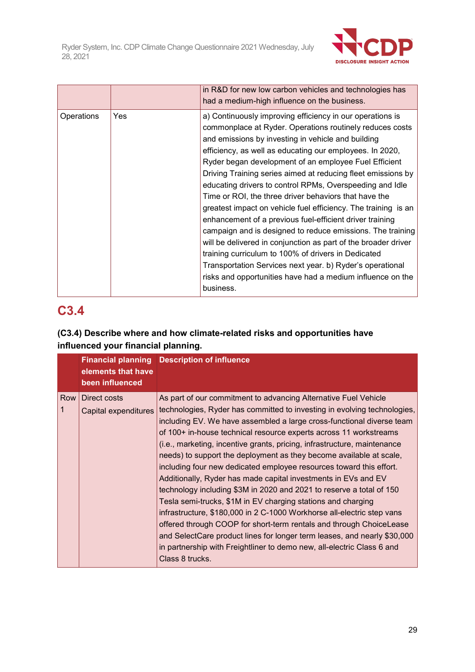

|            |     | in R&D for new low carbon vehicles and technologies has<br>had a medium-high influence on the business.                                                                                                                                                                                                                                                                                                                                                                                                                                                                                                                                                                                                                                                                                                                                                                                                                                            |
|------------|-----|----------------------------------------------------------------------------------------------------------------------------------------------------------------------------------------------------------------------------------------------------------------------------------------------------------------------------------------------------------------------------------------------------------------------------------------------------------------------------------------------------------------------------------------------------------------------------------------------------------------------------------------------------------------------------------------------------------------------------------------------------------------------------------------------------------------------------------------------------------------------------------------------------------------------------------------------------|
| Operations | Yes | a) Continuously improving efficiency in our operations is<br>commonplace at Ryder. Operations routinely reduces costs<br>and emissions by investing in vehicle and building<br>efficiency, as well as educating our employees. In 2020,<br>Ryder began development of an employee Fuel Efficient<br>Driving Training series aimed at reducing fleet emissions by<br>educating drivers to control RPMs, Overspeeding and Idle<br>Time or ROI, the three driver behaviors that have the<br>greatest impact on vehicle fuel efficiency. The training is an<br>enhancement of a previous fuel-efficient driver training<br>campaign and is designed to reduce emissions. The training<br>will be delivered in conjunction as part of the broader driver<br>training curriculum to 100% of drivers in Dedicated<br>Transportation Services next year. b) Ryder's operational<br>risks and opportunities have had a medium influence on the<br>business. |

# **C3.4**

## **(C3.4) Describe where and how climate-related risks and opportunities have influenced your financial planning.**

|       | elements that have<br>been influenced | <b>Financial planning Description of influence</b>                                                                                                                                                                                                                                                                                                                                                                                                                                                                                                                                                                                                                                                                                                                                                                                                                                                                                                                                                                                                      |
|-------|---------------------------------------|---------------------------------------------------------------------------------------------------------------------------------------------------------------------------------------------------------------------------------------------------------------------------------------------------------------------------------------------------------------------------------------------------------------------------------------------------------------------------------------------------------------------------------------------------------------------------------------------------------------------------------------------------------------------------------------------------------------------------------------------------------------------------------------------------------------------------------------------------------------------------------------------------------------------------------------------------------------------------------------------------------------------------------------------------------|
| Row I | Direct costs<br>Capital expenditures  | As part of our commitment to advancing Alternative Fuel Vehicle<br>technologies, Ryder has committed to investing in evolving technologies,<br>including EV. We have assembled a large cross-functional diverse team<br>of 100+ in-house technical resource experts across 11 workstreams<br>(i.e., marketing, incentive grants, pricing, infrastructure, maintenance<br>needs) to support the deployment as they become available at scale,<br>including four new dedicated employee resources toward this effort.<br>Additionally, Ryder has made capital investments in EVs and EV<br>technology including \$3M in 2020 and 2021 to reserve a total of 150<br>Tesla semi-trucks, \$1M in EV charging stations and charging<br>infrastructure, \$180,000 in 2 C-1000 Workhorse all-electric step vans<br>offered through COOP for short-term rentals and through ChoiceLease<br>and SelectCare product lines for longer term leases, and nearly \$30,000<br>in partnership with Freightliner to demo new, all-electric Class 6 and<br>Class 8 trucks. |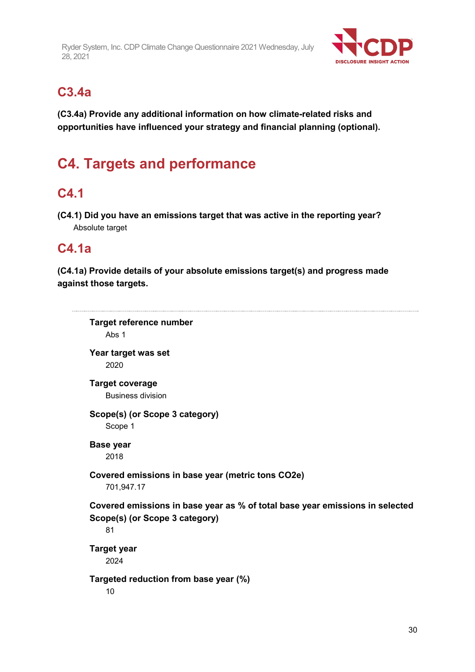

## **C3.4a**

**(C3.4a) Provide any additional information on how climate-related risks and opportunities have influenced your strategy and financial planning (optional).**

# **C4. Targets and performance**

## **C4.1**

**(C4.1) Did you have an emissions target that was active in the reporting year?** Absolute target

## **C4.1a**

**(C4.1a) Provide details of your absolute emissions target(s) and progress made against those targets.**

```
Target reference number
   Abs 1
Year target was set
    2020
Target coverage
   Business division
Scope(s) (or Scope 3 category)
   Scope 1
Base year
    2018
Covered emissions in base year (metric tons CO2e)
    701,947.17
Covered emissions in base year as % of total base year emissions in selected 
Scope(s) (or Scope 3 category)
   81
Target year
    2024
Targeted reduction from base year (%)
    10
```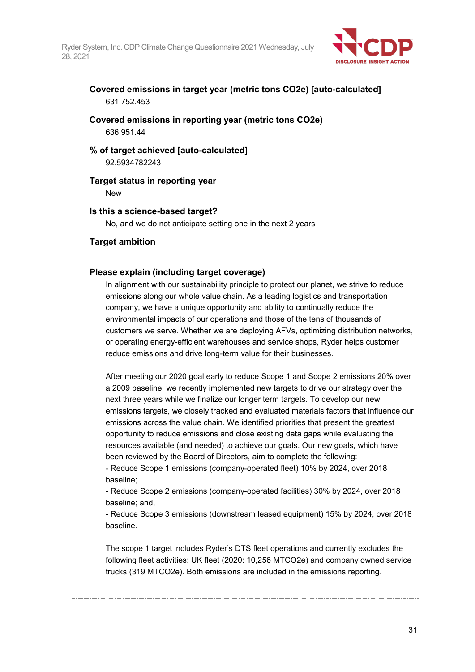

## **Covered emissions in target year (metric tons CO2e) [auto-calculated]** 631,752.453

## **Covered emissions in reporting year (metric tons CO2e)** 636,951.44

### **% of target achieved [auto-calculated]** 92.5934782243

## **Target status in reporting year**

New

## **Is this a science-based target?**

No, and we do not anticipate setting one in the next 2 years

## **Target ambition**

## **Please explain (including target coverage)**

In alignment with our sustainability principle to protect our planet, we strive to reduce emissions along our whole value chain. As a leading logistics and transportation company, we have a unique opportunity and ability to continually reduce the environmental impacts of our operations and those of the tens of thousands of customers we serve. Whether we are deploying AFVs, optimizing distribution networks, or operating energy-efficient warehouses and service shops, Ryder helps customer reduce emissions and drive long-term value for their businesses.

After meeting our 2020 goal early to reduce Scope 1 and Scope 2 emissions 20% over a 2009 baseline, we recently implemented new targets to drive our strategy over the next three years while we finalize our longer term targets. To develop our new emissions targets, we closely tracked and evaluated materials factors that influence our emissions across the value chain. We identified priorities that present the greatest opportunity to reduce emissions and close existing data gaps while evaluating the resources available (and needed) to achieve our goals. Our new goals, which have been reviewed by the Board of Directors, aim to complete the following:

- Reduce Scope 1 emissions (company-operated fleet) 10% by 2024, over 2018 baseline;

- Reduce Scope 2 emissions (company-operated facilities) 30% by 2024, over 2018 baseline; and,

- Reduce Scope 3 emissions (downstream leased equipment) 15% by 2024, over 2018 baseline.

The scope 1 target includes Ryder's DTS fleet operations and currently excludes the following fleet activities: UK fleet (2020: 10,256 MTCO2e) and company owned service trucks (319 MTCO2e). Both emissions are included in the emissions reporting.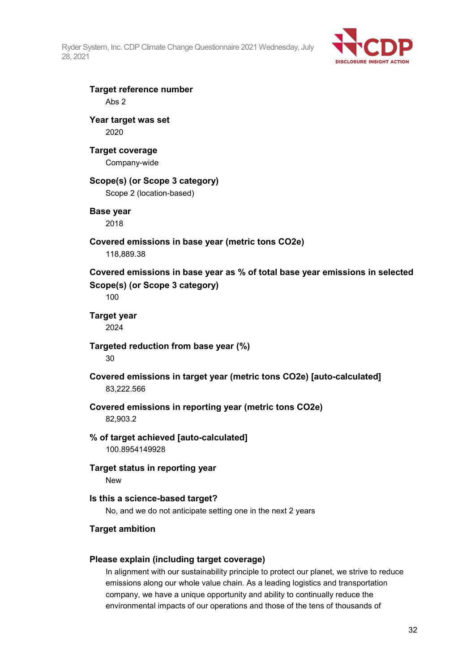

## **Target reference number** Abs 2

## **Year target was set** 2020

## **Target coverage**

Company-wide

## **Scope(s) (or Scope 3 category)**

Scope 2 (location-based)

## **Base year**

2018

## **Covered emissions in base year (metric tons CO2e)**

118,889.38

**Covered emissions in base year as % of total base year emissions in selected Scope(s) (or Scope 3 category)**

100

## **Target year** 2024

**Targeted reduction from base year (%)** 30

## **Covered emissions in target year (metric tons CO2e) [auto-calculated]** 83,222.566

**Covered emissions in reporting year (metric tons CO2e)**

82,903.2

## **% of target achieved [auto-calculated]** 100.8954149928

**Target status in reporting year** New

## **Is this a science-based target?**

No, and we do not anticipate setting one in the next 2 years

## **Target ambition**

## **Please explain (including target coverage)**

In alignment with our sustainability principle to protect our planet, we strive to reduce emissions along our whole value chain. As a leading logistics and transportation company, we have a unique opportunity and ability to continually reduce the environmental impacts of our operations and those of the tens of thousands of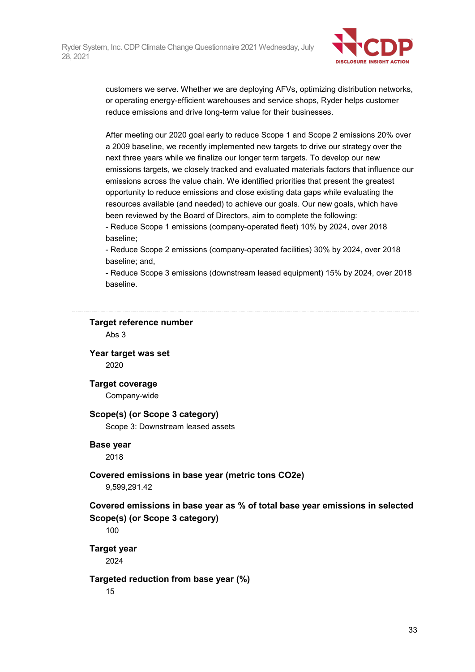

customers we serve. Whether we are deploying AFVs, optimizing distribution networks, or operating energy-efficient warehouses and service shops, Ryder helps customer reduce emissions and drive long-term value for their businesses.

After meeting our 2020 goal early to reduce Scope 1 and Scope 2 emissions 20% over a 2009 baseline, we recently implemented new targets to drive our strategy over the next three years while we finalize our longer term targets. To develop our new emissions targets, we closely tracked and evaluated materials factors that influence our emissions across the value chain. We identified priorities that present the greatest opportunity to reduce emissions and close existing data gaps while evaluating the resources available (and needed) to achieve our goals. Our new goals, which have been reviewed by the Board of Directors, aim to complete the following:

- Reduce Scope 1 emissions (company-operated fleet) 10% by 2024, over 2018 baseline;

- Reduce Scope 2 emissions (company-operated facilities) 30% by 2024, over 2018 baseline; and,

- Reduce Scope 3 emissions (downstream leased equipment) 15% by 2024, over 2018 baseline.

#### **Target reference number**

Abs 3

**Year target was set** 2020

**Target coverage**

Company-wide

### **Scope(s) (or Scope 3 category)**

Scope 3: Downstream leased assets

### **Base year**

2018

### **Covered emissions in base year (metric tons CO2e)**

9,599,291.42

## **Covered emissions in base year as % of total base year emissions in selected Scope(s) (or Scope 3 category)**

100

**Target year**

2024

### **Targeted reduction from base year (%)**

15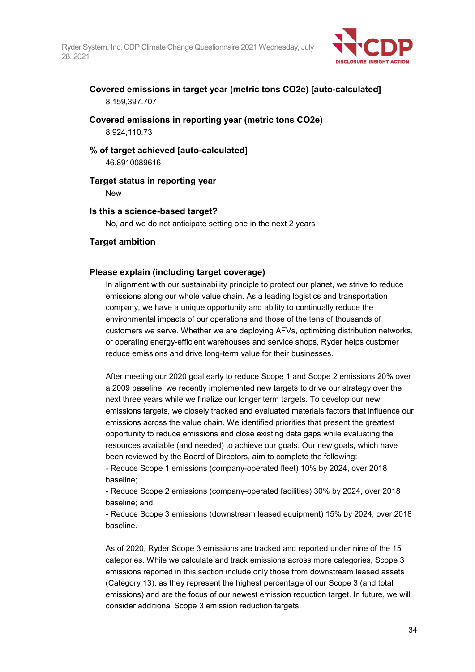

**Covered emissions in target year (metric tons CO2e) [auto-calculated]** 8,159,397.707

**Covered emissions in reporting year (metric tons CO2e)** 8,924,110.73

## **% of target achieved [auto-calculated]** 46.8910089616

**Target status in reporting year**

New

## **Is this a science-based target?**

No, and we do not anticipate setting one in the next 2 years

## **Target ambition**

## **Please explain (including target coverage)**

In alignment with our sustainability principle to protect our planet, we strive to reduce emissions along our whole value chain. As a leading logistics and transportation company, we have a unique opportunity and ability to continually reduce the environmental impacts of our operations and those of the tens of thousands of customers we serve. Whether we are deploying AFVs, optimizing distribution networks, or operating energy-efficient warehouses and service shops, Ryder helps customer reduce emissions and drive long-term value for their businesses.

After meeting our 2020 goal early to reduce Scope 1 and Scope 2 emissions 20% over a 2009 baseline, we recently implemented new targets to drive our strategy over the next three years while we finalize our longer term targets. To develop our new emissions targets, we closely tracked and evaluated materials factors that influence our emissions across the value chain. We identified priorities that present the greatest opportunity to reduce emissions and close existing data gaps while evaluating the resources available (and needed) to achieve our goals. Our new goals, which have been reviewed by the Board of Directors, aim to complete the following:

- Reduce Scope 1 emissions (company-operated fleet) 10% by 2024, over 2018 baseline;

- Reduce Scope 2 emissions (company-operated facilities) 30% by 2024, over 2018 baseline; and,

- Reduce Scope 3 emissions (downstream leased equipment) 15% by 2024, over 2018 baseline.

As of 2020, Ryder Scope 3 emissions are tracked and reported under nine of the 15 categories. While we calculate and track emissions across more categories, Scope 3 emissions reported in this section include only those from downstream leased assets (Category 13), as they represent the highest percentage of our Scope 3 (and total emissions) and are the focus of our newest emission reduction target. In future, we will consider additional Scope 3 emission reduction targets.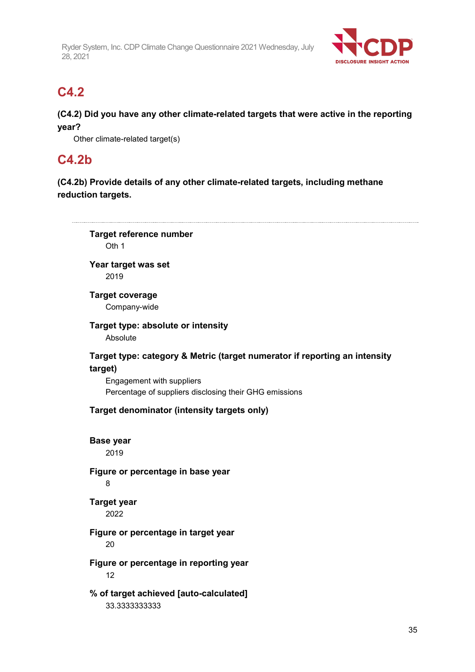

## **C4.2**

**(C4.2) Did you have any other climate-related targets that were active in the reporting year?**

Other climate-related target(s)

## **C4.2b**

**(C4.2b) Provide details of any other climate-related targets, including methane reduction targets.**

**Target reference number** Oth 1 **Year target was set** 2019 **Target coverage** Company-wide **Target type: absolute or intensity** Absolute **Target type: category & Metric (target numerator if reporting an intensity target)** Engagement with suppliers Percentage of suppliers disclosing their GHG emissions **Target denominator (intensity targets only) Base year** 2019 **Figure or percentage in base year** 8 **Target year** 2022 **Figure or percentage in target year** 20 **Figure or percentage in reporting year** 12 **% of target achieved [auto-calculated]** 33.3333333333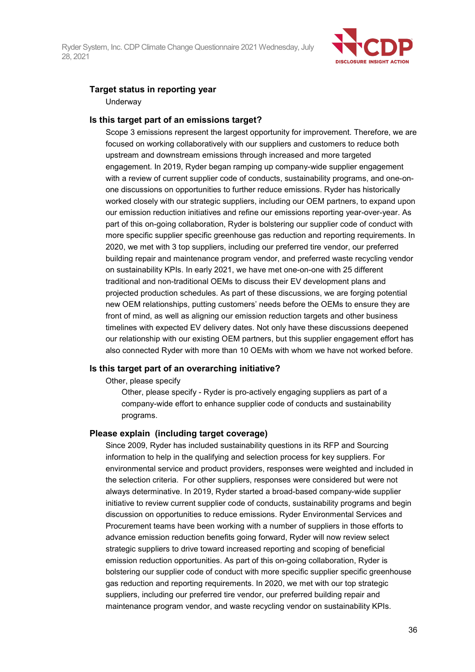

## **Target status in reporting year**

**Underway** 

#### **Is this target part of an emissions target?**

Scope 3 emissions represent the largest opportunity for improvement. Therefore, we are focused on working collaboratively with our suppliers and customers to reduce both upstream and downstream emissions through increased and more targeted engagement. In 2019, Ryder began ramping up company-wide supplier engagement with a review of current supplier code of conducts, sustainability programs, and one-onone discussions on opportunities to further reduce emissions. Ryder has historically worked closely with our strategic suppliers, including our OEM partners, to expand upon our emission reduction initiatives and refine our emissions reporting year-over-year. As part of this on-going collaboration, Ryder is bolstering our supplier code of conduct with more specific supplier specific greenhouse gas reduction and reporting requirements. In 2020, we met with 3 top suppliers, including our preferred tire vendor, our preferred building repair and maintenance program vendor, and preferred waste recycling vendor on sustainability KPIs. In early 2021, we have met one-on-one with 25 different traditional and non-traditional OEMs to discuss their EV development plans and projected production schedules. As part of these discussions, we are forging potential new OEM relationships, putting customers' needs before the OEMs to ensure they are front of mind, as well as aligning our emission reduction targets and other business timelines with expected EV delivery dates. Not only have these discussions deepened our relationship with our existing OEM partners, but this supplier engagement effort has also connected Ryder with more than 10 OEMs with whom we have not worked before.

### **Is this target part of an overarching initiative?**

Other, please specify

Other, please specify - Ryder is pro-actively engaging suppliers as part of a company-wide effort to enhance supplier code of conducts and sustainability programs.

### **Please explain (including target coverage)**

Since 2009, Ryder has included sustainability questions in its RFP and Sourcing information to help in the qualifying and selection process for key suppliers. For environmental service and product providers, responses were weighted and included in the selection criteria. For other suppliers, responses were considered but were not always determinative. In 2019, Ryder started a broad-based company-wide supplier initiative to review current supplier code of conducts, sustainability programs and begin discussion on opportunities to reduce emissions. Ryder Environmental Services and Procurement teams have been working with a number of suppliers in those efforts to advance emission reduction benefits going forward, Ryder will now review select strategic suppliers to drive toward increased reporting and scoping of beneficial emission reduction opportunities. As part of this on-going collaboration, Ryder is bolstering our supplier code of conduct with more specific supplier specific greenhouse gas reduction and reporting requirements. In 2020, we met with our top strategic suppliers, including our preferred tire vendor, our preferred building repair and maintenance program vendor, and waste recycling vendor on sustainability KPIs.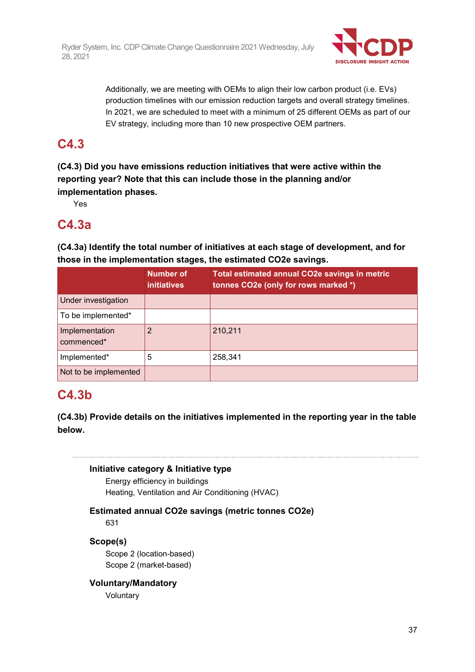

Additionally, we are meeting with OEMs to align their low carbon product (i.e. EVs) production timelines with our emission reduction targets and overall strategy timelines. In 2021, we are scheduled to meet with a minimum of 25 different OEMs as part of our EV strategy, including more than 10 new prospective OEM partners.

# **C4.3**

**(C4.3) Did you have emissions reduction initiatives that were active within the reporting year? Note that this can include those in the planning and/or implementation phases.**

Yes

# **C4.3a**

**(C4.3a) Identify the total number of initiatives at each stage of development, and for those in the implementation stages, the estimated CO2e savings.**

|                              | <b>Number of</b><br><i>initiatives</i> | Total estimated annual CO2e savings in metric<br>tonnes CO2e (only for rows marked *) |
|------------------------------|----------------------------------------|---------------------------------------------------------------------------------------|
| Under investigation          |                                        |                                                                                       |
| To be implemented*           |                                        |                                                                                       |
| Implementation<br>commenced* | າ                                      | 210,211                                                                               |
| Implemented*                 | 5                                      | 258,341                                                                               |
| Not to be implemented        |                                        |                                                                                       |

# **C4.3b**

**(C4.3b) Provide details on the initiatives implemented in the reporting year in the table below.**

## **Initiative category & Initiative type**

Energy efficiency in buildings Heating, Ventilation and Air Conditioning (HVAC)

## **Estimated annual CO2e savings (metric tonnes CO2e)**

631

## **Scope(s)**

Scope 2 (location-based) Scope 2 (market-based)

#### **Voluntary/Mandatory**

**Voluntary**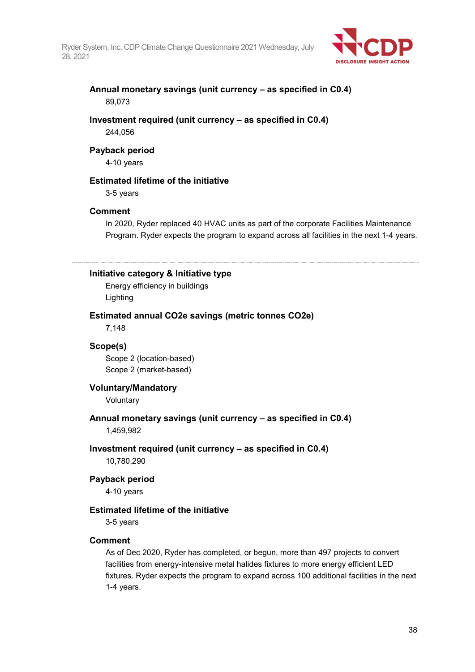

### **Annual monetary savings (unit currency – as specified in C0.4)** 89,073

#### **Investment required (unit currency – as specified in C0.4)** 244,056

### **Payback period**

4-10 years

## **Estimated lifetime of the initiative**

3-5 years

#### **Comment**

In 2020, Ryder replaced 40 HVAC units as part of the corporate Facilities Maintenance Program. Ryder expects the program to expand across all facilities in the next 1-4 years.

#### **Initiative category & Initiative type**

Energy efficiency in buildings Lighting

#### **Estimated annual CO2e savings (metric tonnes CO2e)**

7,148

#### **Scope(s)**

Scope 2 (location-based) Scope 2 (market-based)

#### **Voluntary/Mandatory**

Voluntary

# **Annual monetary savings (unit currency – as specified in C0.4)**

1,459,982

#### **Investment required (unit currency – as specified in C0.4)**

10,780,290

#### **Payback period**

4-10 years

#### **Estimated lifetime of the initiative**

3-5 years

#### **Comment**

As of Dec 2020, Ryder has completed, or begun, more than 497 projects to convert facilities from energy-intensive metal halides fixtures to more energy efficient LED fixtures. Ryder expects the program to expand across 100 additional facilities in the next 1-4 years.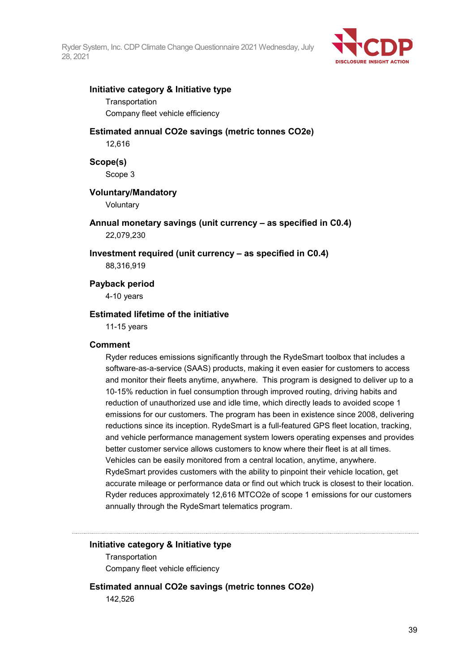

#### **Initiative category & Initiative type**

**Transportation** 

Company fleet vehicle efficiency

## **Estimated annual CO2e savings (metric tonnes CO2e)**

12,616

**Scope(s)**

Scope 3

#### **Voluntary/Mandatory**

Voluntary

**Annual monetary savings (unit currency – as specified in C0.4)** 22,079,230

**Investment required (unit currency – as specified in C0.4)**

88,316,919

**Payback period**

4-10 years

#### **Estimated lifetime of the initiative**

11-15 years

#### **Comment**

Ryder reduces emissions significantly through the RydeSmart toolbox that includes a software-as-a-service (SAAS) products, making it even easier for customers to access and monitor their fleets anytime, anywhere. This program is designed to deliver up to a 10-15% reduction in fuel consumption through improved routing, driving habits and reduction of unauthorized use and idle time, which directly leads to avoided scope 1 emissions for our customers. The program has been in existence since 2008, delivering reductions since its inception. RydeSmart is a full-featured GPS fleet location, tracking, and vehicle performance management system lowers operating expenses and provides better customer service allows customers to know where their fleet is at all times. Vehicles can be easily monitored from a central location, anytime, anywhere. RydeSmart provides customers with the ability to pinpoint their vehicle location, get accurate mileage or performance data or find out which truck is closest to their location. Ryder reduces approximately 12,616 MTCO2e of scope 1 emissions for our customers annually through the RydeSmart telematics program.

#### **Initiative category & Initiative type**

**Transportation** Company fleet vehicle efficiency

**Estimated annual CO2e savings (metric tonnes CO2e)**

142,526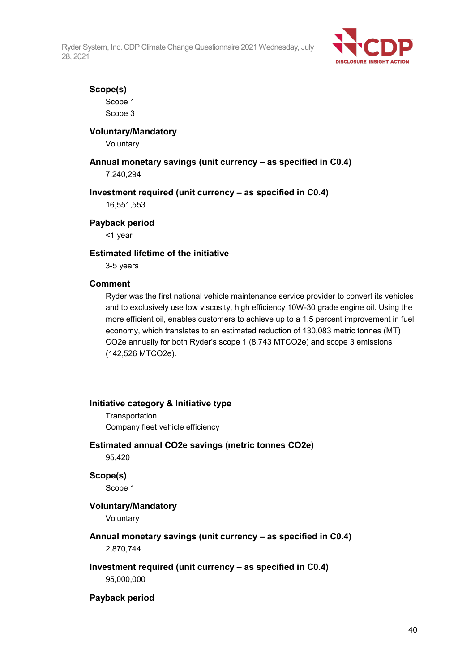

#### **Scope(s)**

Scope 1 Scope 3

#### **Voluntary/Mandatory**

Voluntary

#### **Annual monetary savings (unit currency – as specified in C0.4)** 7,240,294

#### **Investment required (unit currency – as specified in C0.4)**

16,551,553

#### **Payback period**

<1 year

#### **Estimated lifetime of the initiative**

3-5 years

#### **Comment**

Ryder was the first national vehicle maintenance service provider to convert its vehicles and to exclusively use low viscosity, high efficiency 10W-30 grade engine oil. Using the more efficient oil, enables customers to achieve up to a 1.5 percent improvement in fuel economy, which translates to an estimated reduction of 130,083 metric tonnes (MT) CO2e annually for both Ryder's scope 1 (8,743 MTCO2e) and scope 3 emissions (142,526 MTCO2e).

#### **Initiative category & Initiative type**

**Transportation** Company fleet vehicle efficiency

#### **Estimated annual CO2e savings (metric tonnes CO2e)**

95,420

**Scope(s)** Scope 1

## **Voluntary/Mandatory**

Voluntary

#### **Annual monetary savings (unit currency – as specified in C0.4)** 2,870,744

## **Investment required (unit currency – as specified in C0.4)**

95,000,000

#### **Payback period**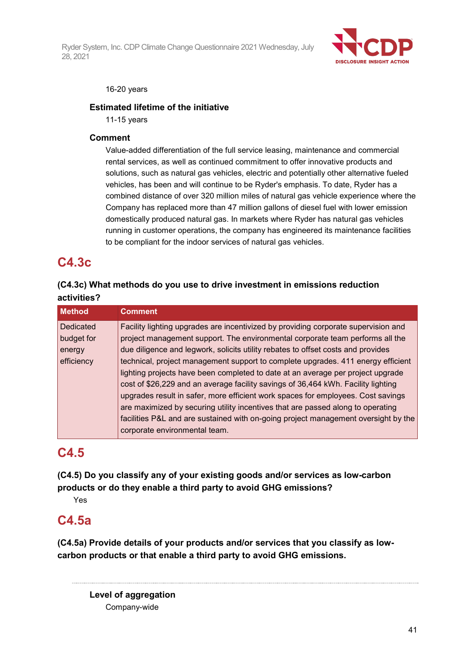

#### 16-20 years

### **Estimated lifetime of the initiative**

11-15 years

### **Comment**

Value-added differentiation of the full service leasing, maintenance and commercial rental services, as well as continued commitment to offer innovative products and solutions, such as natural gas vehicles, electric and potentially other alternative fueled vehicles, has been and will continue to be Ryder's emphasis. To date, Ryder has a combined distance of over 320 million miles of natural gas vehicle experience where the Company has replaced more than 47 million gallons of diesel fuel with lower emission domestically produced natural gas. In markets where Ryder has natural gas vehicles running in customer operations, the company has engineered its maintenance facilities to be compliant for the indoor services of natural gas vehicles.

# **C4.3c**

## **(C4.3c) What methods do you use to drive investment in emissions reduction activities?**

| <b>Method</b> | <b>Comment</b>                                                                     |
|---------------|------------------------------------------------------------------------------------|
| Dedicated     | Facility lighting upgrades are incentivized by providing corporate supervision and |
| budget for    | project management support. The environmental corporate team performs all the      |
| energy        | due diligence and legwork, solicits utility rebates to offset costs and provides   |
| efficiency    | technical, project management support to complete upgrades. 411 energy efficient   |
|               | lighting projects have been completed to date at an average per project upgrade    |
|               | cost of \$26,229 and an average facility savings of 36,464 kWh. Facility lighting  |
|               | upgrades result in safer, more efficient work spaces for employees. Cost savings   |
|               | are maximized by securing utility incentives that are passed along to operating    |
|               | facilities P&L and are sustained with on-going project management oversight by the |
|               | corporate environmental team.                                                      |

# **C4.5**

**(C4.5) Do you classify any of your existing goods and/or services as low-carbon products or do they enable a third party to avoid GHG emissions?**

Yes

# **C4.5a**

**(C4.5a) Provide details of your products and/or services that you classify as lowcarbon products or that enable a third party to avoid GHG emissions.**

**Level of aggregation** Company-wide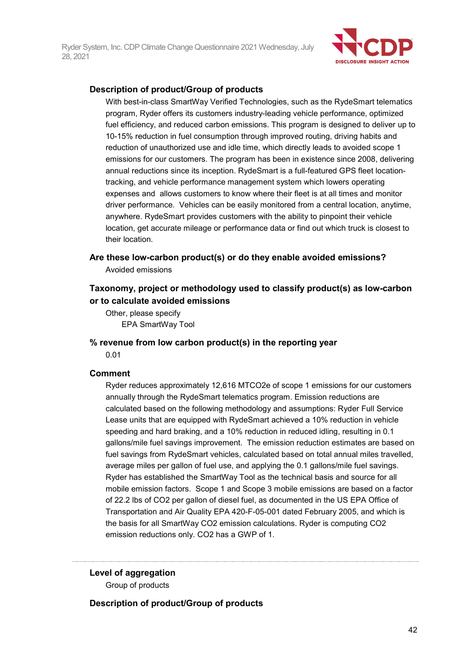

#### **Description of product/Group of products**

With best-in-class SmartWay Verified Technologies, such as the RydeSmart telematics program, Ryder offers its customers industry-leading vehicle performance, optimized fuel efficiency, and reduced carbon emissions. This program is designed to deliver up to 10-15% reduction in fuel consumption through improved routing, driving habits and reduction of unauthorized use and idle time, which directly leads to avoided scope 1 emissions for our customers. The program has been in existence since 2008, delivering annual reductions since its inception. RydeSmart is a full-featured GPS fleet locationtracking, and vehicle performance management system which lowers operating expenses and allows customers to know where their fleet is at all times and monitor driver performance. Vehicles can be easily monitored from a central location, anytime, anywhere. RydeSmart provides customers with the ability to pinpoint their vehicle location, get accurate mileage or performance data or find out which truck is closest to their location.

**Are these low-carbon product(s) or do they enable avoided emissions?** Avoided emissions

## **Taxonomy, project or methodology used to classify product(s) as low-carbon or to calculate avoided emissions**

Other, please specify EPA SmartWay Tool

# **% revenue from low carbon product(s) in the reporting year**

0.01

#### **Comment**

Ryder reduces approximately 12,616 MTCO2e of scope 1 emissions for our customers annually through the RydeSmart telematics program. Emission reductions are calculated based on the following methodology and assumptions: Ryder Full Service Lease units that are equipped with RydeSmart achieved a 10% reduction in vehicle speeding and hard braking, and a 10% reduction in reduced idling, resulting in 0.1 gallons/mile fuel savings improvement. The emission reduction estimates are based on fuel savings from RydeSmart vehicles, calculated based on total annual miles travelled, average miles per gallon of fuel use, and applying the 0.1 gallons/mile fuel savings. Ryder has established the SmartWay Tool as the technical basis and source for all mobile emission factors. Scope 1 and Scope 3 mobile emissions are based on a factor of 22.2 lbs of CO2 per gallon of diesel fuel, as documented in the US EPA Office of Transportation and Air Quality EPA 420-F-05-001 dated February 2005, and which is the basis for all SmartWay CO2 emission calculations. Ryder is computing CO2 emission reductions only. CO2 has a GWP of 1.

**Level of aggregation** Group of products

**Description of product/Group of products**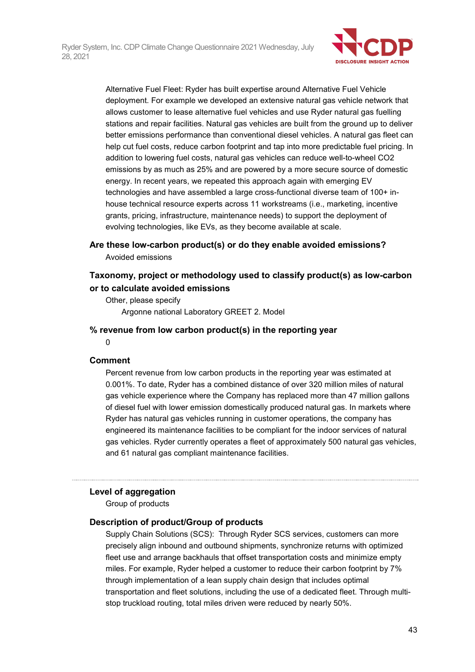

Alternative Fuel Fleet: Ryder has built expertise around Alternative Fuel Vehicle deployment. For example we developed an extensive natural gas vehicle network that allows customer to lease alternative fuel vehicles and use Ryder natural gas fuelling stations and repair facilities. Natural gas vehicles are built from the ground up to deliver better emissions performance than conventional diesel vehicles. A natural gas fleet can help cut fuel costs, reduce carbon footprint and tap into more predictable fuel pricing. In addition to lowering fuel costs, natural gas vehicles can reduce well-to-wheel CO2 emissions by as much as 25% and are powered by a more secure source of domestic energy. In recent years, we repeated this approach again with emerging EV technologies and have assembled a large cross-functional diverse team of 100+ inhouse technical resource experts across 11 workstreams (i.e., marketing, incentive grants, pricing, infrastructure, maintenance needs) to support the deployment of evolving technologies, like EVs, as they become available at scale.

#### **Are these low-carbon product(s) or do they enable avoided emissions?**

Avoided emissions

## **Taxonomy, project or methodology used to classify product(s) as low-carbon or to calculate avoided emissions**

Other, please specify Argonne national Laboratory GREET 2. Model

#### **% revenue from low carbon product(s) in the reporting year**

0

#### **Comment**

Percent revenue from low carbon products in the reporting year was estimated at 0.001%. To date, Ryder has a combined distance of over 320 million miles of natural gas vehicle experience where the Company has replaced more than 47 million gallons of diesel fuel with lower emission domestically produced natural gas. In markets where Ryder has natural gas vehicles running in customer operations, the company has engineered its maintenance facilities to be compliant for the indoor services of natural gas vehicles. Ryder currently operates a fleet of approximately 500 natural gas vehicles, and 61 natural gas compliant maintenance facilities.

#### **Level of aggregation**

Group of products

#### **Description of product/Group of products**

Supply Chain Solutions (SCS): Through Ryder SCS services, customers can more precisely align inbound and outbound shipments, synchronize returns with optimized fleet use and arrange backhauls that offset transportation costs and minimize empty miles. For example, Ryder helped a customer to reduce their carbon footprint by 7% through implementation of a lean supply chain design that includes optimal transportation and fleet solutions, including the use of a dedicated fleet. Through multistop truckload routing, total miles driven were reduced by nearly 50%.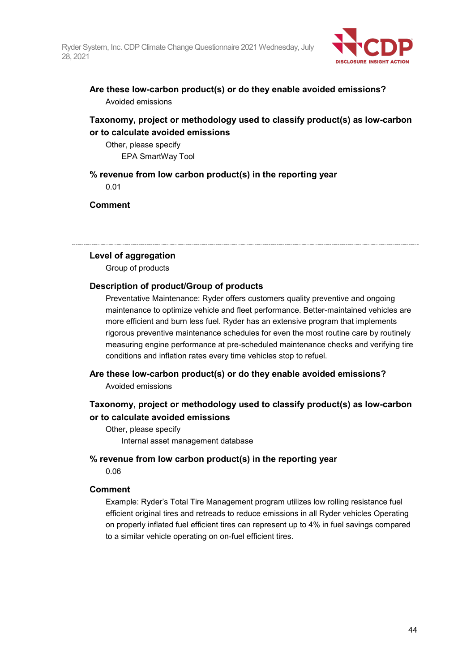

**Are these low-carbon product(s) or do they enable avoided emissions?** Avoided emissions

### **Taxonomy, project or methodology used to classify product(s) as low-carbon or to calculate avoided emissions**

Other, please specify EPA SmartWay Tool

**% revenue from low carbon product(s) in the reporting year** 0.01

**Comment**

#### **Level of aggregation**

Group of products

#### **Description of product/Group of products**

Preventative Maintenance: Ryder offers customers quality preventive and ongoing maintenance to optimize vehicle and fleet performance. Better-maintained vehicles are more efficient and burn less fuel. Ryder has an extensive program that implements rigorous preventive maintenance schedules for even the most routine care by routinely measuring engine performance at pre-scheduled maintenance checks and verifying tire conditions and inflation rates every time vehicles stop to refuel.

#### **Are these low-carbon product(s) or do they enable avoided emissions?**

Avoided emissions

## **Taxonomy, project or methodology used to classify product(s) as low-carbon or to calculate avoided emissions**

Other, please specify Internal asset management database

#### **% revenue from low carbon product(s) in the reporting year**

0.06

#### **Comment**

Example: Ryder's Total Tire Management program utilizes low rolling resistance fuel efficient original tires and retreads to reduce emissions in all Ryder vehicles Operating on properly inflated fuel efficient tires can represent up to 4% in fuel savings compared to a similar vehicle operating on on-fuel efficient tires.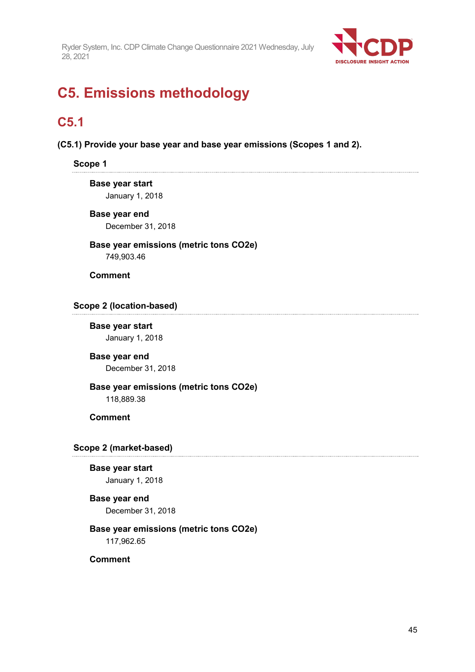

# **C5. Emissions methodology**

# **C5.1**

**(C5.1) Provide your base year and base year emissions (Scopes 1 and 2).**

#### **Scope 1**

**Base year start** January 1, 2018

**Base year end** December 31, 2018

**Base year emissions (metric tons CO2e)** 749,903.46

**Comment**

### **Scope 2 (location-based)**

**Base year start** January 1, 2018

**Base year end** December 31, 2018

# **Base year emissions (metric tons CO2e)**

118,889.38

### **Comment**

#### **Scope 2 (market-based)**

**Base year start** January 1, 2018

#### **Base year end** December 31, 2018

**Base year emissions (metric tons CO2e)**

117,962.65

### **Comment**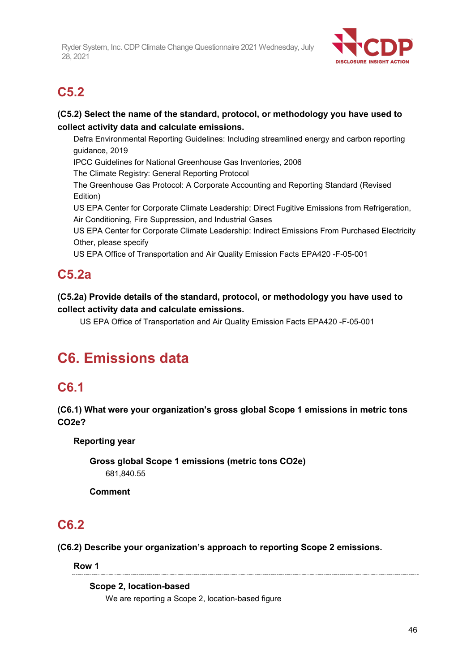

# **C5.2**

## **(C5.2) Select the name of the standard, protocol, or methodology you have used to collect activity data and calculate emissions.**

Defra Environmental Reporting Guidelines: Including streamlined energy and carbon reporting guidance, 2019

IPCC Guidelines for National Greenhouse Gas Inventories, 2006

The Climate Registry: General Reporting Protocol

The Greenhouse Gas Protocol: A Corporate Accounting and Reporting Standard (Revised Edition)

US EPA Center for Corporate Climate Leadership: Direct Fugitive Emissions from Refrigeration, Air Conditioning, Fire Suppression, and Industrial Gases

US EPA Center for Corporate Climate Leadership: Indirect Emissions From Purchased Electricity Other, please specify

US EPA Office of Transportation and Air Quality Emission Facts EPA420 -F-05-001

# **C5.2a**

**(C5.2a) Provide details of the standard, protocol, or methodology you have used to collect activity data and calculate emissions.**

US EPA Office of Transportation and Air Quality Emission Facts EPA420 -F-05-001

# **C6. Emissions data**

# **C6.1**

**(C6.1) What were your organization's gross global Scope 1 emissions in metric tons CO2e?**

**Reporting year**

**Gross global Scope 1 emissions (metric tons CO2e)** 681,840.55

**Comment**

# **C6.2**

**(C6.2) Describe your organization's approach to reporting Scope 2 emissions.**

**Row 1**

**Scope 2, location-based** We are reporting a Scope 2, location-based figure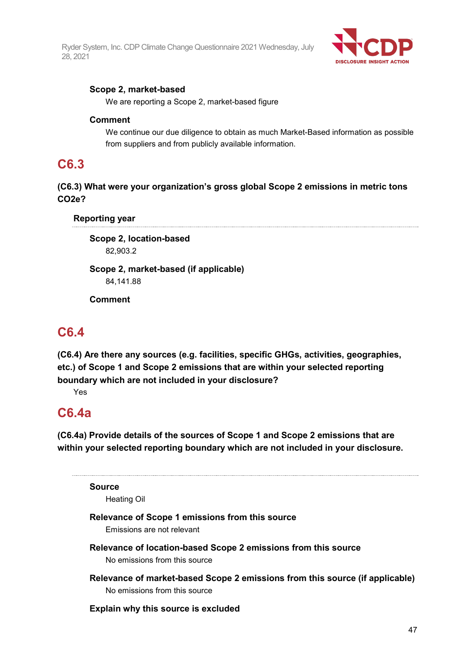

### **Scope 2, market-based**

We are reporting a Scope 2, market-based figure

#### **Comment**

We continue our due diligence to obtain as much Market-Based information as possible from suppliers and from publicly available information.

## **C6.3**

**(C6.3) What were your organization's gross global Scope 2 emissions in metric tons CO2e?**

**Reporting year**

**Scope 2, location-based** 82,903.2

**Scope 2, market-based (if applicable)** 84,141.88

**Comment**

# **C6.4**

**(C6.4) Are there any sources (e.g. facilities, specific GHGs, activities, geographies, etc.) of Scope 1 and Scope 2 emissions that are within your selected reporting boundary which are not included in your disclosure?**

Yes

## **C6.4a**

**(C6.4a) Provide details of the sources of Scope 1 and Scope 2 emissions that are within your selected reporting boundary which are not included in your disclosure.**

**Source**

Heating Oil

## **Relevance of Scope 1 emissions from this source**

Emissions are not relevant

- **Relevance of location-based Scope 2 emissions from this source** No emissions from this source
- **Relevance of market-based Scope 2 emissions from this source (if applicable)** No emissions from this source

#### **Explain why this source is excluded**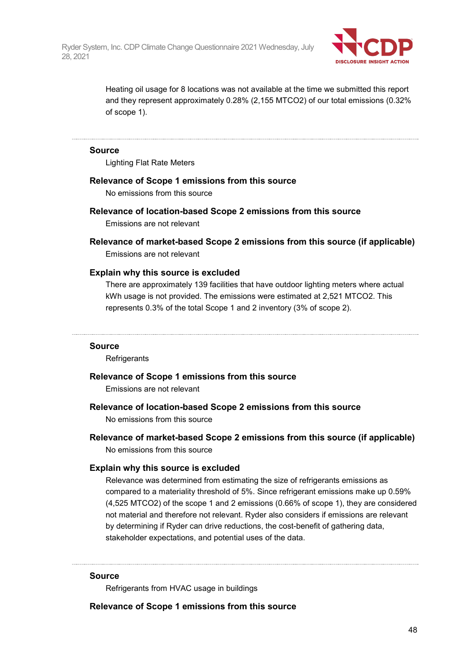

Heating oil usage for 8 locations was not available at the time we submitted this report and they represent approximately 0.28% (2,155 MTCO2) of our total emissions (0.32% of scope 1).

#### **Source**

Lighting Flat Rate Meters

#### **Relevance of Scope 1 emissions from this source**

No emissions from this source

**Relevance of location-based Scope 2 emissions from this source**

Emissions are not relevant

**Relevance of market-based Scope 2 emissions from this source (if applicable)** Emissions are not relevant

#### **Explain why this source is excluded**

There are approximately 139 facilities that have outdoor lighting meters where actual kWh usage is not provided. The emissions were estimated at 2,521 MTCO2. This represents 0.3% of the total Scope 1 and 2 inventory (3% of scope 2).

#### **Source**

**Refrigerants** 

#### **Relevance of Scope 1 emissions from this source**

Emissions are not relevant

#### **Relevance of location-based Scope 2 emissions from this source**

No emissions from this source

**Relevance of market-based Scope 2 emissions from this source (if applicable)** No emissions from this source

#### **Explain why this source is excluded**

Relevance was determined from estimating the size of refrigerants emissions as compared to a materiality threshold of 5%. Since refrigerant emissions make up 0.59% (4,525 MTCO2) of the scope 1 and 2 emissions (0.66% of scope 1), they are considered not material and therefore not relevant. Ryder also considers if emissions are relevant by determining if Ryder can drive reductions, the cost-benefit of gathering data, stakeholder expectations, and potential uses of the data.

#### **Source**

Refrigerants from HVAC usage in buildings

**Relevance of Scope 1 emissions from this source**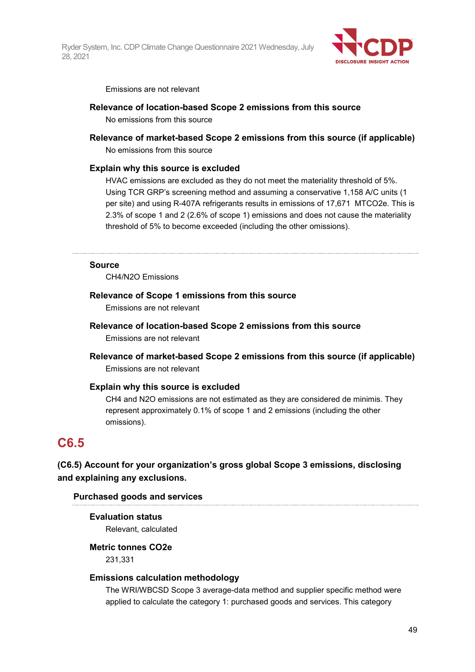

Emissions are not relevant

#### **Relevance of location-based Scope 2 emissions from this source**

No emissions from this source

#### **Relevance of market-based Scope 2 emissions from this source (if applicable)**

No emissions from this source

#### **Explain why this source is excluded**

HVAC emissions are excluded as they do not meet the materiality threshold of 5%. Using TCR GRP's screening method and assuming a conservative 1,158 A/C units (1 per site) and using R-407A refrigerants results in emissions of 17,671 MTCO2e. This is 2.3% of scope 1 and 2 (2.6% of scope 1) emissions and does not cause the materiality threshold of 5% to become exceeded (including the other omissions).

#### **Source**

CH4/N2O Emissions

#### **Relevance of Scope 1 emissions from this source**

Emissions are not relevant

#### **Relevance of location-based Scope 2 emissions from this source** Emissions are not relevant

**Relevance of market-based Scope 2 emissions from this source (if applicable)** Emissions are not relevant

#### **Explain why this source is excluded**

CH4 and N2O emissions are not estimated as they are considered de minimis. They represent approximately 0.1% of scope 1 and 2 emissions (including the other omissions).

# **C6.5**

## **(C6.5) Account for your organization's gross global Scope 3 emissions, disclosing and explaining any exclusions.**

#### **Purchased goods and services**

## **Evaluation status**

Relevant, calculated

#### **Metric tonnes CO2e**

231,331

#### **Emissions calculation methodology**

The WRI/WBCSD Scope 3 average-data method and supplier specific method were applied to calculate the category 1: purchased goods and services. This category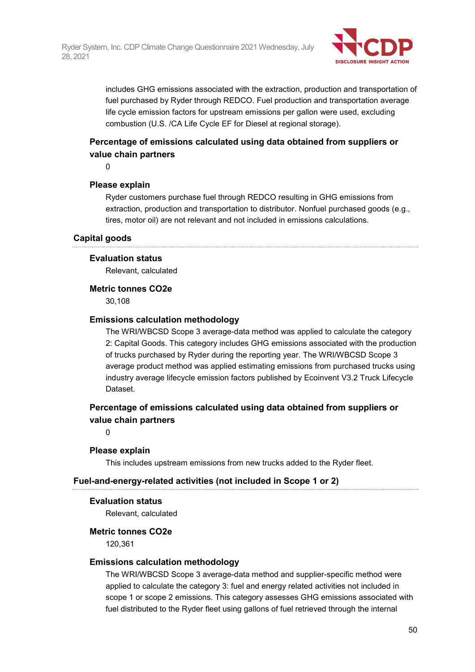

includes GHG emissions associated with the extraction, production and transportation of fuel purchased by Ryder through REDCO. Fuel production and transportation average life cycle emission factors for upstream emissions per gallon were used, excluding combustion (U.S. /CA Life Cycle EF for Diesel at regional storage).

## **Percentage of emissions calculated using data obtained from suppliers or value chain partners**

 $\Omega$ 

#### **Please explain**

Ryder customers purchase fuel through REDCO resulting in GHG emissions from extraction, production and transportation to distributor. Nonfuel purchased goods (e.g., tires, motor oil) are not relevant and not included in emissions calculations.

#### **Capital goods**

#### **Evaluation status**

Relevant, calculated

#### **Metric tonnes CO2e**

30,108

#### **Emissions calculation methodology**

The WRI/WBCSD Scope 3 average-data method was applied to calculate the category 2: Capital Goods. This category includes GHG emissions associated with the production of trucks purchased by Ryder during the reporting year. The WRI/WBCSD Scope 3 average product method was applied estimating emissions from purchased trucks using industry average lifecycle emission factors published by Ecoinvent V3.2 Truck Lifecycle Dataset.

### **Percentage of emissions calculated using data obtained from suppliers or value chain partners**

0

#### **Please explain**

This includes upstream emissions from new trucks added to the Ryder fleet.

#### **Fuel-and-energy-related activities (not included in Scope 1 or 2)**

#### **Evaluation status**

Relevant, calculated

#### **Metric tonnes CO2e**

120,361

#### **Emissions calculation methodology**

The WRI/WBCSD Scope 3 average-data method and supplier-specific method were applied to calculate the category 3: fuel and energy related activities not included in scope 1 or scope 2 emissions. This category assesses GHG emissions associated with fuel distributed to the Ryder fleet using gallons of fuel retrieved through the internal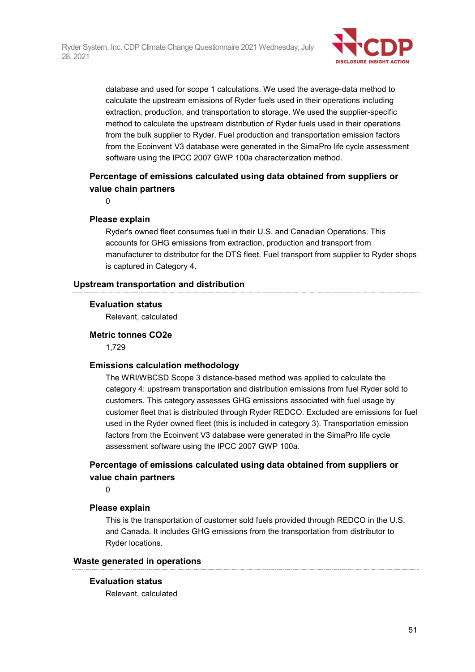

database and used for scope 1 calculations. We used the average-data method to calculate the upstream emissions of Ryder fuels used in their operations including extraction, production, and transportation to storage. We used the supplier-specific method to calculate the upstream distribution of Ryder fuels used in their operations from the bulk supplier to Ryder. Fuel production and transportation emission factors from the Ecoinvent V3 database were generated in the SimaPro life cycle assessment software using the IPCC 2007 GWP 100a characterization method.

## **Percentage of emissions calculated using data obtained from suppliers or value chain partners**

 $\Omega$ 

#### **Please explain**

Ryder's owned fleet consumes fuel in their U.S. and Canadian Operations. This accounts for GHG emissions from extraction, production and transport from manufacturer to distributor for the DTS fleet. Fuel transport from supplier to Ryder shops is captured in Category 4.

#### **Upstream transportation and distribution**

#### **Evaluation status**

Relevant, calculated

#### **Metric tonnes CO2e**

1,729

#### **Emissions calculation methodology**

The WRI/WBCSD Scope 3 distance-based method was applied to calculate the category 4: upstream transportation and distribution emissions from fuel Ryder sold to customers. This category assesses GHG emissions associated with fuel usage by customer fleet that is distributed through Ryder REDCO. Excluded are emissions for fuel used in the Ryder owned fleet (this is included in category 3). Transportation emission factors from the Ecoinvent V3 database were generated in the SimaPro life cycle assessment software using the IPCC 2007 GWP 100a.

## **Percentage of emissions calculated using data obtained from suppliers or value chain partners**

 $\Omega$ 

#### **Please explain**

This is the transportation of customer sold fuels provided through REDCO in the U.S. and Canada. It includes GHG emissions from the transportation from distributor to Ryder locations.

#### **Waste generated in operations**

#### **Evaluation status**

Relevant, calculated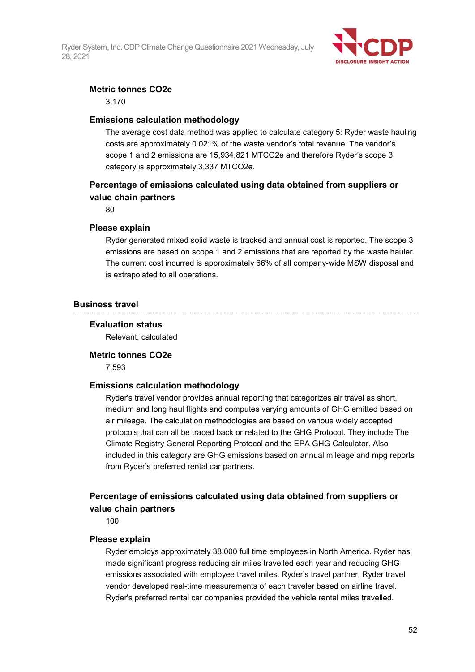

#### **Metric tonnes CO2e**

3,170

#### **Emissions calculation methodology**

The average cost data method was applied to calculate category 5: Ryder waste hauling costs are approximately 0.021% of the waste vendor's total revenue. The vendor's scope 1 and 2 emissions are 15,934,821 MTCO2e and therefore Ryder's scope 3 category is approximately 3,337 MTCO2e.

## **Percentage of emissions calculated using data obtained from suppliers or value chain partners**

80

#### **Please explain**

Ryder generated mixed solid waste is tracked and annual cost is reported. The scope 3 emissions are based on scope 1 and 2 emissions that are reported by the waste hauler. The current cost incurred is approximately 66% of all company-wide MSW disposal and is extrapolated to all operations.

#### **Business travel**

#### **Evaluation status**

Relevant, calculated

#### **Metric tonnes CO2e**

7,593

#### **Emissions calculation methodology**

Ryder's travel vendor provides annual reporting that categorizes air travel as short, medium and long haul flights and computes varying amounts of GHG emitted based on air mileage. The calculation methodologies are based on various widely accepted protocols that can all be traced back or related to the GHG Protocol. They include The Climate Registry General Reporting Protocol and the EPA GHG Calculator. Also included in this category are GHG emissions based on annual mileage and mpg reports from Ryder's preferred rental car partners.

## **Percentage of emissions calculated using data obtained from suppliers or value chain partners**

100

#### **Please explain**

Ryder employs approximately 38,000 full time employees in North America. Ryder has made significant progress reducing air miles travelled each year and reducing GHG emissions associated with employee travel miles. Ryder's travel partner, Ryder travel vendor developed real-time measurements of each traveler based on airline travel. Ryder's preferred rental car companies provided the vehicle rental miles travelled.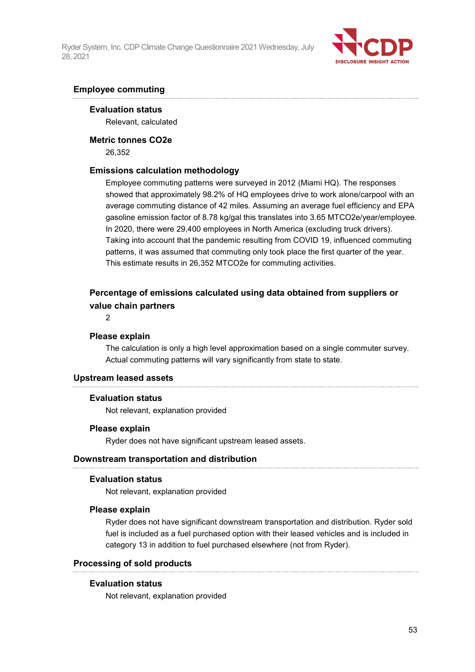

#### **Employee commuting**

**Evaluation status**

Relevant, calculated

#### **Metric tonnes CO2e**

26,352

#### **Emissions calculation methodology**

Employee commuting patterns were surveyed in 2012 (Miami HQ). The responses showed that approximately 98.2% of HQ employees drive to work alone/carpool with an average commuting distance of 42 miles. Assuming an average fuel efficiency and EPA gasoline emission factor of 8.78 kg/gal this translates into 3.65 MTCO2e/year/employee. In 2020, there were 29,400 employees in North America (excluding truck drivers). Taking into account that the pandemic resulting from COVID 19, influenced commuting patterns, it was assumed that commuting only took place the first quarter of the year. This estimate results in 26,352 MTCO2e for commuting activities.

## **Percentage of emissions calculated using data obtained from suppliers or value chain partners**

2

#### **Please explain**

The calculation is only a high level approximation based on a single commuter survey. Actual commuting patterns will vary significantly from state to state.

#### **Upstream leased assets**

#### **Evaluation status**

Not relevant, explanation provided

#### **Please explain**

Ryder does not have significant upstream leased assets.

#### **Downstream transportation and distribution**

#### **Evaluation status**

Not relevant, explanation provided

#### **Please explain**

Ryder does not have significant downstream transportation and distribution. Ryder sold fuel is included as a fuel purchased option with their leased vehicles and is included in category 13 in addition to fuel purchased elsewhere (not from Ryder).

#### **Processing of sold products**

#### **Evaluation status**

Not relevant, explanation provided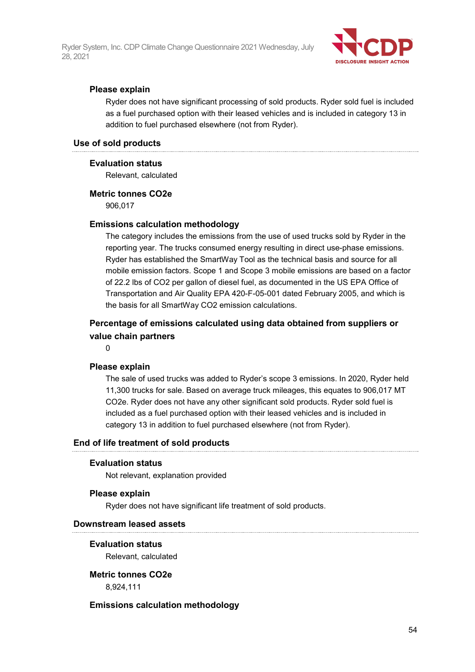

#### **Please explain**

Ryder does not have significant processing of sold products. Ryder sold fuel is included as a fuel purchased option with their leased vehicles and is included in category 13 in addition to fuel purchased elsewhere (not from Ryder).

#### **Use of sold products**

#### **Evaluation status**

Relevant, calculated

#### **Metric tonnes CO2e**

906,017

#### **Emissions calculation methodology**

The category includes the emissions from the use of used trucks sold by Ryder in the reporting year. The trucks consumed energy resulting in direct use-phase emissions. Ryder has established the SmartWay Tool as the technical basis and source for all mobile emission factors. Scope 1 and Scope 3 mobile emissions are based on a factor of 22.2 lbs of CO2 per gallon of diesel fuel, as documented in the US EPA Office of Transportation and Air Quality EPA 420-F-05-001 dated February 2005, and which is the basis for all SmartWay CO2 emission calculations.

## **Percentage of emissions calculated using data obtained from suppliers or value chain partners**

 $\Omega$ 

#### **Please explain**

The sale of used trucks was added to Ryder's scope 3 emissions. In 2020, Ryder held 11,300 trucks for sale. Based on average truck mileages, this equates to 906,017 MT CO2e. Ryder does not have any other significant sold products. Ryder sold fuel is included as a fuel purchased option with their leased vehicles and is included in category 13 in addition to fuel purchased elsewhere (not from Ryder).

#### **End of life treatment of sold products**

#### **Evaluation status**

Not relevant, explanation provided

#### **Please explain**

Ryder does not have significant life treatment of sold products.

#### **Downstream leased assets**

#### **Evaluation status**

Relevant, calculated

#### **Metric tonnes CO2e**

8,924,111

#### **Emissions calculation methodology**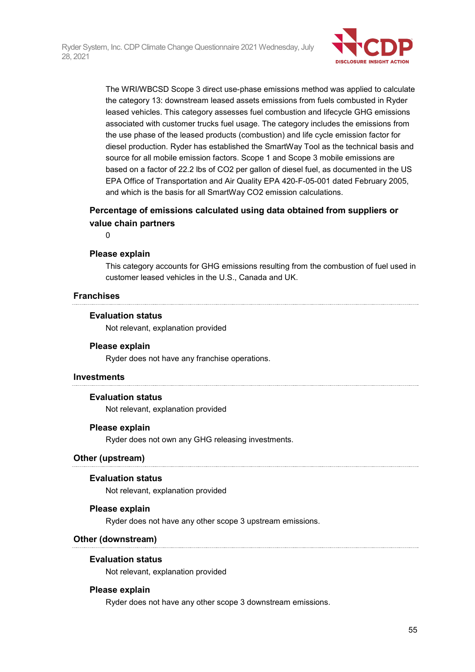

The WRI/WBCSD Scope 3 direct use-phase emissions method was applied to calculate the category 13: downstream leased assets emissions from fuels combusted in Ryder leased vehicles. This category assesses fuel combustion and lifecycle GHG emissions associated with customer trucks fuel usage. The category includes the emissions from the use phase of the leased products (combustion) and life cycle emission factor for diesel production. Ryder has established the SmartWay Tool as the technical basis and source for all mobile emission factors. Scope 1 and Scope 3 mobile emissions are based on a factor of 22.2 lbs of CO2 per gallon of diesel fuel, as documented in the US EPA Office of Transportation and Air Quality EPA 420-F-05-001 dated February 2005, and which is the basis for all SmartWay CO2 emission calculations.

### **Percentage of emissions calculated using data obtained from suppliers or value chain partners**

 $\Omega$ 

#### **Please explain**

This category accounts for GHG emissions resulting from the combustion of fuel used in customer leased vehicles in the U.S., Canada and UK.

#### **Franchises**

#### **Evaluation status**

Not relevant, explanation provided

#### **Please explain**

Ryder does not have any franchise operations.

#### **Investments**

#### **Evaluation status**

Not relevant, explanation provided

#### **Please explain**

Ryder does not own any GHG releasing investments.

#### **Other (upstream)**

#### **Evaluation status**

Not relevant, explanation provided

#### **Please explain**

Ryder does not have any other scope 3 upstream emissions.

#### **Other (downstream)**

#### **Evaluation status**

Not relevant, explanation provided

#### **Please explain**

Ryder does not have any other scope 3 downstream emissions.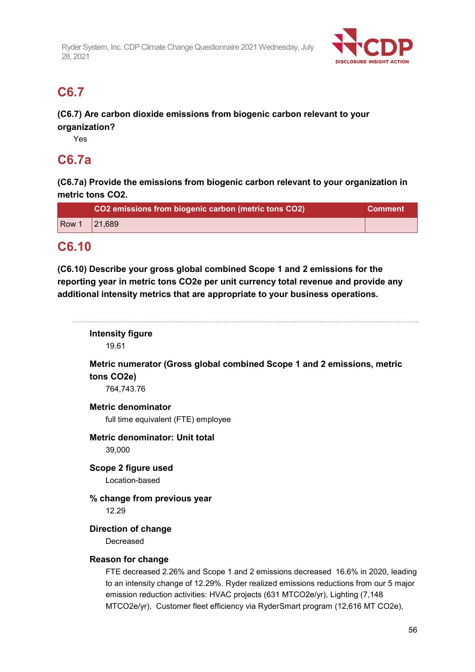

# **C6.7**

## **(C6.7) Are carbon dioxide emissions from biogenic carbon relevant to your organization?**

Yes

## **C6.7a**

**(C6.7a) Provide the emissions from biogenic carbon relevant to your organization in metric tons CO2.**

|       | CO2 emissions from biogenic carbon (metric tons CO2) | <b>Comment</b> |
|-------|------------------------------------------------------|----------------|
| Row 1 | 21.689                                               |                |

## **C6.10**

**(C6.10) Describe your gross global combined Scope 1 and 2 emissions for the reporting year in metric tons CO2e per unit currency total revenue and provide any additional intensity metrics that are appropriate to your business operations.**

**Intensity figure** 19.61 **Metric numerator (Gross global combined Scope 1 and 2 emissions, metric tons CO2e)** 764,743.76 **Metric denominator** full time equivalent (FTE) employee **Metric denominator: Unit total** 39,000 **Scope 2 figure used** Location-based **% change from previous year** 12.29 **Direction of change** Decreased **Reason for change** FTE decreased 2.26% and Scope 1 and 2 emissions decreased 16.6% in 2020, leading to an intensity change of 12.29%. Ryder realized emissions reductions from our 5 major emission reduction activities: HVAC projects (631 MTCO2e/yr), Lighting (7,148 MTCO2e/yr), Customer fleet efficiency via RyderSmart program (12,616 MT CO2e),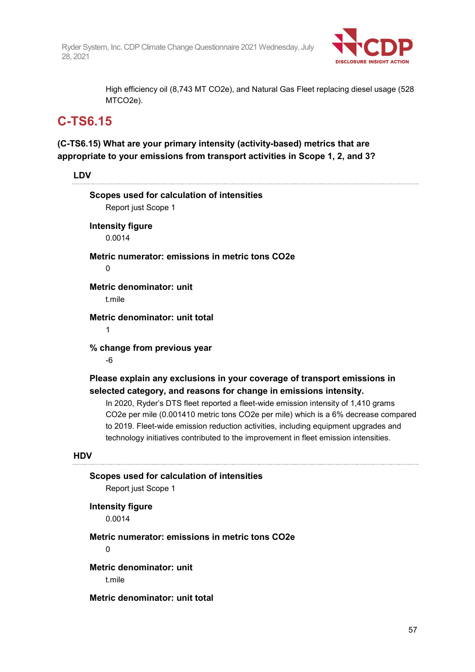

High efficiency oil (8,743 MT CO2e), and Natural Gas Fleet replacing diesel usage (528 MTCO2e).

# **C-TS6.15**

**(C-TS6.15) What are your primary intensity (activity-based) metrics that are appropriate to your emissions from transport activities in Scope 1, 2, and 3?**

**LDV**

|            | Scopes used for calculation of intensities<br>Report just Scope 1                                                                                                                                                                                                                                                                                                                                                                                                                                        |
|------------|----------------------------------------------------------------------------------------------------------------------------------------------------------------------------------------------------------------------------------------------------------------------------------------------------------------------------------------------------------------------------------------------------------------------------------------------------------------------------------------------------------|
|            | <b>Intensity figure</b><br>0.0014                                                                                                                                                                                                                                                                                                                                                                                                                                                                        |
|            | Metric numerator: emissions in metric tons CO2e<br>0                                                                                                                                                                                                                                                                                                                                                                                                                                                     |
|            | <b>Metric denominator: unit</b><br>t.mile                                                                                                                                                                                                                                                                                                                                                                                                                                                                |
|            | Metric denominator: unit total<br>1                                                                                                                                                                                                                                                                                                                                                                                                                                                                      |
|            | % change from previous year<br>-6                                                                                                                                                                                                                                                                                                                                                                                                                                                                        |
|            | Please explain any exclusions in your coverage of transport emissions in<br>selected category, and reasons for change in emissions intensity.<br>In 2020, Ryder's DTS fleet reported a fleet-wide emission intensity of 1,410 grams<br>CO2e per mile (0.001410 metric tons CO2e per mile) which is a 6% decrease compared<br>to 2019. Fleet-wide emission reduction activities, including equipment upgrades and<br>technology initiatives contributed to the improvement in fleet emission intensities. |
| <b>HDV</b> |                                                                                                                                                                                                                                                                                                                                                                                                                                                                                                          |
|            | Scopes used for calculation of intensities<br>Report just Scope 1                                                                                                                                                                                                                                                                                                                                                                                                                                        |
|            | <b>Intensity figure</b><br>0.0014                                                                                                                                                                                                                                                                                                                                                                                                                                                                        |
|            | Metric numerator: emissions in metric tons CO2e                                                                                                                                                                                                                                                                                                                                                                                                                                                          |

0

**Metric denominator: unit**

t.mile

**Metric denominator: unit total**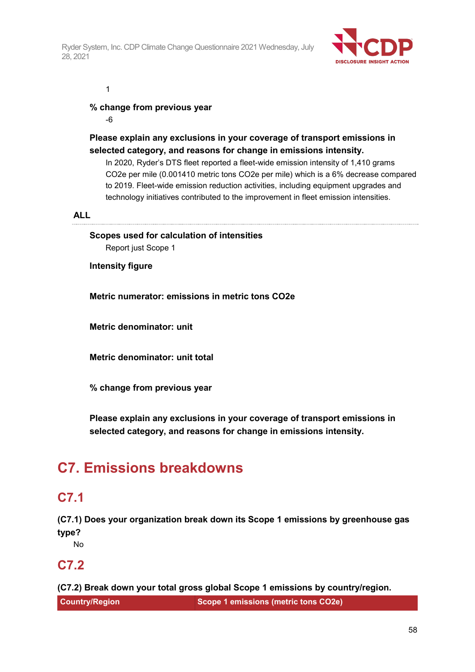

1

## **% change from previous year**

-6

## **Please explain any exclusions in your coverage of transport emissions in selected category, and reasons for change in emissions intensity.**

In 2020, Ryder's DTS fleet reported a fleet-wide emission intensity of 1,410 grams CO2e per mile (0.001410 metric tons CO2e per mile) which is a 6% decrease compared to 2019. Fleet-wide emission reduction activities, including equipment upgrades and technology initiatives contributed to the improvement in fleet emission intensities.

#### **ALL**

**Scopes used for calculation of intensities** Report just Scope 1

**Intensity figure**

**Metric numerator: emissions in metric tons CO2e**

**Metric denominator: unit**

**Metric denominator: unit total**

**% change from previous year**

**Please explain any exclusions in your coverage of transport emissions in selected category, and reasons for change in emissions intensity.**

# **C7. Emissions breakdowns**

# **C7.1**

**(C7.1) Does your organization break down its Scope 1 emissions by greenhouse gas type?**

No

## **C7.2**

**(C7.2) Break down your total gross global Scope 1 emissions by country/region.**

**Country/Region Scope 1 emissions (metric tons CO2e)**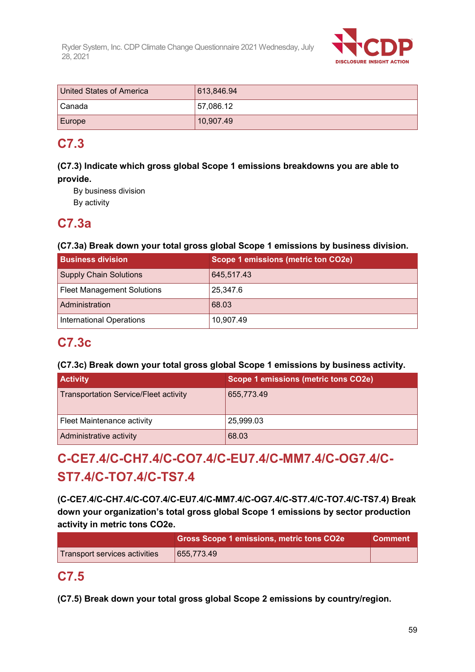

| United States of America | 613,846.94 |
|--------------------------|------------|
| I Canada i               | 57,086.12  |
| Europe                   | 10,907.49  |

# **C7.3**

## **(C7.3) Indicate which gross global Scope 1 emissions breakdowns you are able to provide.**

By business division

By activity

# **C7.3a**

## **(C7.3a) Break down your total gross global Scope 1 emissions by business division.**

| <b>Business division</b>          | Scope 1 emissions (metric ton CO2e) |
|-----------------------------------|-------------------------------------|
| <b>Supply Chain Solutions</b>     | 645,517.43                          |
| <b>Fleet Management Solutions</b> | 25,347.6                            |
| Administration                    | 68.03                               |
| <b>International Operations</b>   | 10,907.49                           |

# **C7.3c**

## **(C7.3c) Break down your total gross global Scope 1 emissions by business activity.**

| <b>Activity</b>                              | Scope 1 emissions (metric tons CO2e) |
|----------------------------------------------|--------------------------------------|
| <b>Transportation Service/Fleet activity</b> | 655,773.49                           |
| Fleet Maintenance activity                   | 25,999.03                            |
| Administrative activity                      | 68.03                                |

# **C-CE7.4/C-CH7.4/C-CO7.4/C-EU7.4/C-MM7.4/C-OG7.4/C-ST7.4/C-TO7.4/C-TS7.4**

**(C-CE7.4/C-CH7.4/C-CO7.4/C-EU7.4/C-MM7.4/C-OG7.4/C-ST7.4/C-TO7.4/C-TS7.4) Break down your organization's total gross global Scope 1 emissions by sector production activity in metric tons CO2e.**

|                               | Gross Scope 1 emissions, metric tons CO2e | <b>Comment</b> |
|-------------------------------|-------------------------------------------|----------------|
| Transport services activities | 655.773.49                                |                |

# **C7.5**

**(C7.5) Break down your total gross global Scope 2 emissions by country/region.**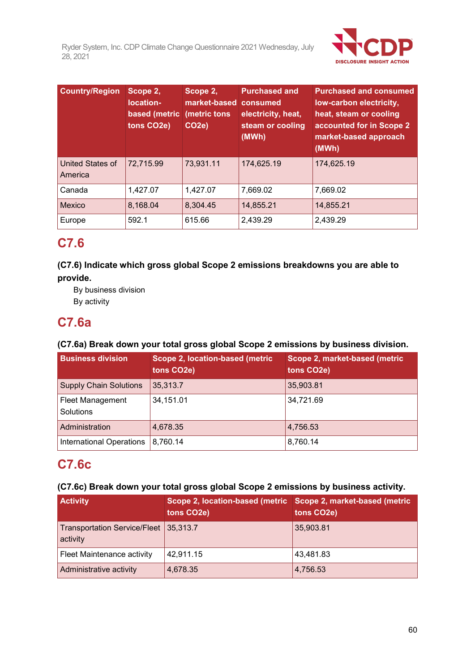

| <b>Country/Region</b>              | Scope 2,<br>location-<br>based (metric<br>tons CO2e) | Scope 2,<br>market-based consumed<br>(metric tons)<br>CO <sub>2e</sub> ) | <b>Purchased and</b><br>electricity, heat,<br>steam or cooling<br>(MWh) | <b>Purchased and consumed</b><br>low-carbon electricity,<br>heat, steam or cooling<br>accounted for in Scope 2<br>market-based approach<br>(MWh) |
|------------------------------------|------------------------------------------------------|--------------------------------------------------------------------------|-------------------------------------------------------------------------|--------------------------------------------------------------------------------------------------------------------------------------------------|
| <b>United States of</b><br>America | 72,715.99                                            | 73,931.11                                                                | 174,625.19                                                              | 174,625.19                                                                                                                                       |
| Canada                             | 1,427.07                                             | 1,427.07                                                                 | 7,669.02                                                                | 7,669.02                                                                                                                                         |
| <b>Mexico</b>                      | 8,168.04                                             | 8,304.45                                                                 | 14,855.21                                                               | 14,855.21                                                                                                                                        |
| Europe                             | 592.1                                                | 615.66                                                                   | 2,439.29                                                                | 2,439.29                                                                                                                                         |

# **C7.6**

**(C7.6) Indicate which gross global Scope 2 emissions breakdowns you are able to provide.**

By business division By activity

# **C7.6a**

## **(C7.6a) Break down your total gross global Scope 2 emissions by business division.**

| <b>Business division</b>             | Scope 2, location-based (metric<br>tons CO <sub>2</sub> e) | Scope 2, market-based (metric<br>tons CO <sub>2</sub> e) |
|--------------------------------------|------------------------------------------------------------|----------------------------------------------------------|
| <b>Supply Chain Solutions</b>        | 35,313.7                                                   | 35,903.81                                                |
| <b>Fleet Management</b><br>Solutions | 34,151.01                                                  | 34,721.69                                                |
| Administration                       | 4,678.35                                                   | 4,756.53                                                 |
| <b>International Operations</b>      | 8,760.14                                                   | 8,760.14                                                 |

# **C7.6c**

## **(C7.6c) Break down your total gross global Scope 2 emissions by business activity.**

| <b>Activity</b>                                   | Scope 2, location-based (metric<br>tons CO <sub>2</sub> e) | Scope 2, market-based (metric<br>tons CO <sub>2</sub> e) |
|---------------------------------------------------|------------------------------------------------------------|----------------------------------------------------------|
| Transportation Service/Fleet 35,313.7<br>activity |                                                            | 35,903.81                                                |
| Fleet Maintenance activity                        | 42,911.15                                                  | 43,481.83                                                |
| Administrative activity                           | 4,678.35                                                   | 4,756.53                                                 |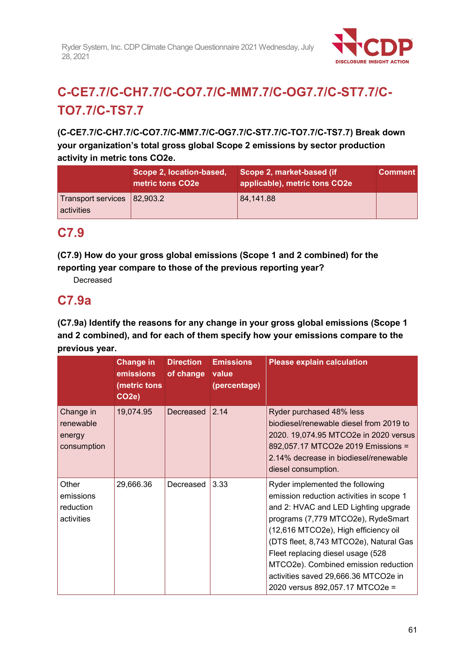

# **C-CE7.7/C-CH7.7/C-CO7.7/C-MM7.7/C-OG7.7/C-ST7.7/C-TO7.7/C-TS7.7**

**(C-CE7.7/C-CH7.7/C-CO7.7/C-MM7.7/C-OG7.7/C-ST7.7/C-TO7.7/C-TS7.7) Break down your organization's total gross global Scope 2 emissions by sector production activity in metric tons CO2e.**

|                                           | Scope 2, location-based,<br>metric tons CO <sub>2</sub> e | Scope 2, market-based (if<br>applicable), metric tons CO2e | <b>Comment</b> |
|-------------------------------------------|-----------------------------------------------------------|------------------------------------------------------------|----------------|
| Transport services 82,903.2<br>activities |                                                           | 84,141.88                                                  |                |

# **C7.9**

**(C7.9) How do your gross global emissions (Scope 1 and 2 combined) for the reporting year compare to those of the previous reporting year?**

Decreased

# **C7.9a**

**(C7.9a) Identify the reasons for any change in your gross global emissions (Scope 1 and 2 combined), and for each of them specify how your emissions compare to the previous year.**

|                                                 | <b>Change in</b><br>emissions<br>(metric tons<br>CO <sub>2</sub> e) | <b>Direction</b><br>of change | <b>Emissions</b><br>value<br>(percentage) | <b>Please explain calculation</b>                                                                                                                                                                                                                                                                                                                                                                   |
|-------------------------------------------------|---------------------------------------------------------------------|-------------------------------|-------------------------------------------|-----------------------------------------------------------------------------------------------------------------------------------------------------------------------------------------------------------------------------------------------------------------------------------------------------------------------------------------------------------------------------------------------------|
| Change in<br>renewable<br>energy<br>consumption | 19,074.95                                                           | Decreased                     | $ 2.14\rangle$                            | Ryder purchased 48% less<br>biodiesel/renewable diesel from 2019 to<br>2020. 19,074.95 MTCO2e in 2020 versus<br>892,057.17 MTCO2e 2019 Emissions =<br>2.14% decrease in biodiesel/renewable<br>diesel consumption.                                                                                                                                                                                  |
| Other<br>emissions<br>reduction<br>activities   | 29,666.36                                                           | Decreased                     | 3.33                                      | Ryder implemented the following<br>emission reduction activities in scope 1<br>and 2: HVAC and LED Lighting upgrade<br>programs (7,779 MTCO2e), RydeSmart<br>(12,616 MTCO2e), High efficiency oil<br>(DTS fleet, 8,743 MTCO2e), Natural Gas<br>Fleet replacing diesel usage (528<br>MTCO2e). Combined emission reduction<br>activities saved 29,666.36 MTCO2e in<br>2020 versus 892,057.17 MTCO2e = |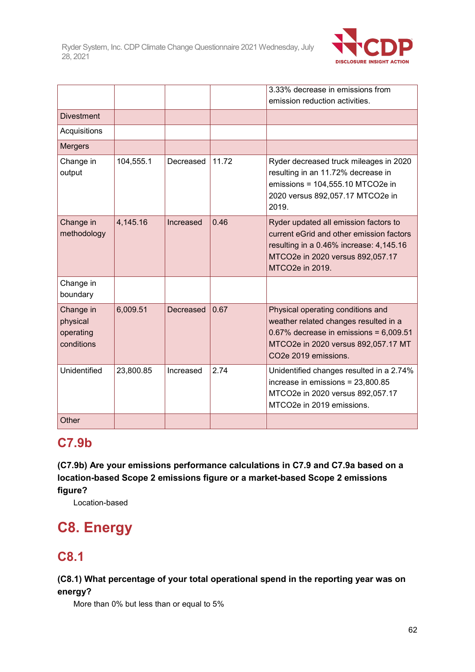

|                                                  |           |           |       | 3.33% decrease in emissions from                                                                                                                                                         |
|--------------------------------------------------|-----------|-----------|-------|------------------------------------------------------------------------------------------------------------------------------------------------------------------------------------------|
|                                                  |           |           |       | emission reduction activities.                                                                                                                                                           |
| <b>Divestment</b>                                |           |           |       |                                                                                                                                                                                          |
| Acquisitions                                     |           |           |       |                                                                                                                                                                                          |
| Mergers                                          |           |           |       |                                                                                                                                                                                          |
| Change in<br>output                              | 104,555.1 | Decreased | 11.72 | Ryder decreased truck mileages in 2020<br>resulting in an 11.72% decrease in<br>emissions = 104,555.10 MTCO2e in<br>2020 versus 892,057.17 MTCO2e in<br>2019.                            |
| Change in<br>methodology                         | 4,145.16  | Increased | 0.46  | Ryder updated all emission factors to<br>current eGrid and other emission factors<br>resulting in a 0.46% increase: 4,145.16<br>MTCO2e in 2020 versus 892,057.17<br>MTCO2e in 2019.      |
| Change in<br>boundary                            |           |           |       |                                                                                                                                                                                          |
| Change in<br>physical<br>operating<br>conditions | 6,009.51  | Decreased | 0.67  | Physical operating conditions and<br>weather related changes resulted in a<br>$0.67\%$ decrease in emissions = $6,009.51$<br>MTCO2e in 2020 versus 892,057.17 MT<br>CO2e 2019 emissions. |
| Unidentified                                     | 23,800.85 | Increased | 2.74  | Unidentified changes resulted in a 2.74%<br>increase in emissions = $23,800.85$<br>MTCO2e in 2020 versus 892,057.17<br>MTCO2e in 2019 emissions.                                         |
| Other                                            |           |           |       |                                                                                                                                                                                          |

# **C7.9b**

**(C7.9b) Are your emissions performance calculations in C7.9 and C7.9a based on a location-based Scope 2 emissions figure or a market-based Scope 2 emissions figure?**

Location-based

# **C8. Energy**

# **C8.1**

**(C8.1) What percentage of your total operational spend in the reporting year was on energy?**

More than 0% but less than or equal to 5%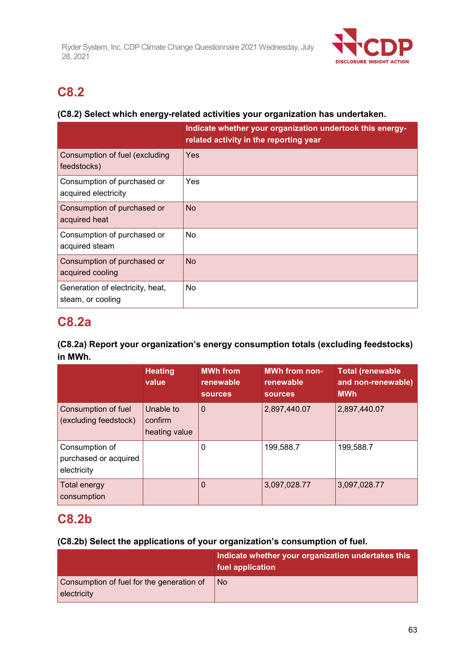

# **C8.2**

## **(C8.2) Select which energy-related activities your organization has undertaken.**

|                                                       | Indicate whether your organization undertook this energy-<br>related activity in the reporting year |
|-------------------------------------------------------|-----------------------------------------------------------------------------------------------------|
| Consumption of fuel (excluding<br>feedstocks)         | Yes                                                                                                 |
| Consumption of purchased or<br>acquired electricity   | Yes                                                                                                 |
| Consumption of purchased or<br>acquired heat          | <b>No</b>                                                                                           |
| Consumption of purchased or<br>acquired steam         | No                                                                                                  |
| Consumption of purchased or<br>acquired cooling       | <b>No</b>                                                                                           |
| Generation of electricity, heat,<br>steam, or cooling | <b>No</b>                                                                                           |

# **C8.2a**

## **(C8.2a) Report your organization's energy consumption totals (excluding feedstocks) in MWh.**

|                                                        | <b>Heating</b><br>value               | <b>MWh from</b><br>renewable<br><b>sources</b> | <b>MWh from non-</b><br>renewable<br><b>sources</b> | <b>Total (renewable</b><br>and non-renewable)<br><b>MWh</b> |
|--------------------------------------------------------|---------------------------------------|------------------------------------------------|-----------------------------------------------------|-------------------------------------------------------------|
| Consumption of fuel<br>(excluding feedstock)           | Unable to<br>confirm<br>heating value | $\mathbf 0$                                    | 2,897,440.07                                        | 2,897,440.07                                                |
| Consumption of<br>purchased or acquired<br>electricity |                                       | 0                                              | 199,588.7                                           | 199,588.7                                                   |
| <b>Total energy</b><br>consumption                     |                                       | $\Omega$                                       | 3,097,028.77                                        | 3,097,028.77                                                |

# **C8.2b**

## **(C8.2b) Select the applications of your organization's consumption of fuel.**

|                                                          | Indicate whether your organization undertakes this<br>fuel application |
|----------------------------------------------------------|------------------------------------------------------------------------|
| Consumption of fuel for the generation of<br>electricity | l No                                                                   |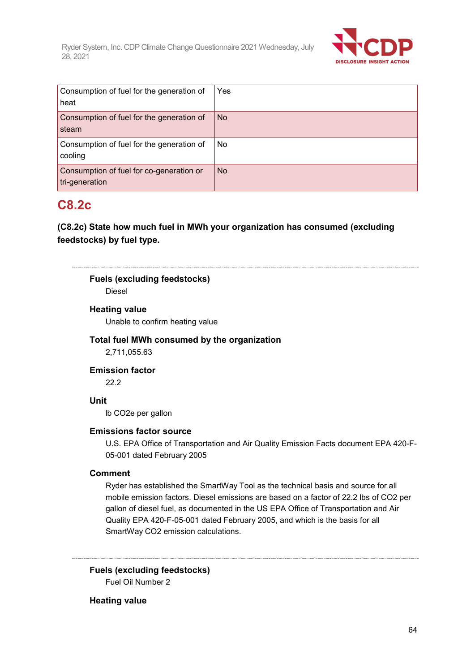

| Consumption of fuel for the generation of<br>heat          | Yes       |
|------------------------------------------------------------|-----------|
| Consumption of fuel for the generation of<br>steam         | <b>No</b> |
| Consumption of fuel for the generation of<br>cooling       | No        |
| Consumption of fuel for co-generation or<br>tri-generation | <b>No</b> |

# **C8.2c**

**(C8.2c) State how much fuel in MWh your organization has consumed (excluding feedstocks) by fuel type.**

### **Fuels (excluding feedstocks)**

Diesel

#### **Heating value**

Unable to confirm heating value

## **Total fuel MWh consumed by the organization**

2,711,055.63

#### **Emission factor**

22.2

#### **Unit**

lb CO2e per gallon

#### **Emissions factor source**

U.S. EPA Office of Transportation and Air Quality Emission Facts document EPA 420-F-05-001 dated February 2005

#### **Comment**

Ryder has established the SmartWay Tool as the technical basis and source for all mobile emission factors. Diesel emissions are based on a factor of 22.2 lbs of CO2 per gallon of diesel fuel, as documented in the US EPA Office of Transportation and Air Quality EPA 420-F-05-001 dated February 2005, and which is the basis for all SmartWay CO2 emission calculations.

**Fuels (excluding feedstocks)** Fuel Oil Number 2

#### **Heating value**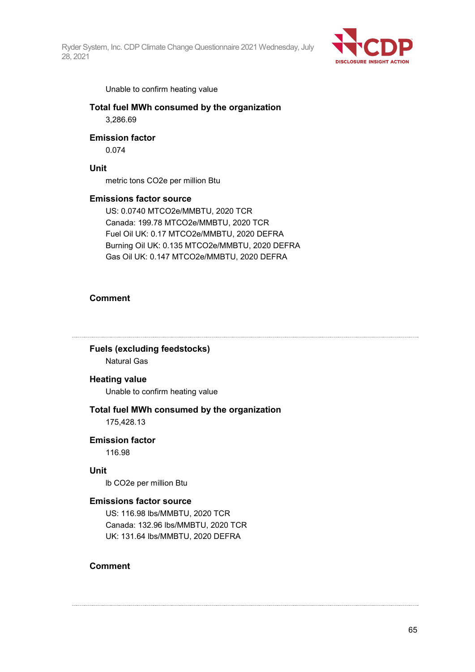

Unable to confirm heating value

**Total fuel MWh consumed by the organization** 3,286.69

#### **Emission factor**

0.074

#### **Unit**

metric tons CO2e per million Btu

#### **Emissions factor source**

US: 0.0740 MTCO2e/MMBTU, 2020 TCR Canada: 199.78 MTCO2e/MMBTU, 2020 TCR Fuel Oil UK: 0.17 MTCO2e/MMBTU, 2020 DEFRA Burning Oil UK: 0.135 MTCO2e/MMBTU, 2020 DEFRA Gas Oil UK: 0.147 MTCO2e/MMBTU, 2020 DEFRA

#### **Comment**

#### **Fuels (excluding feedstocks)** Natural Gas

#### **Heating value**

Unable to confirm heating value

## **Total fuel MWh consumed by the organization**

175,428.13

## **Emission factor**

116.98

#### **Unit**

lb CO2e per million Btu

#### **Emissions factor source**

US: 116.98 lbs/MMBTU, 2020 TCR Canada: 132.96 lbs/MMBTU, 2020 TCR UK: 131.64 lbs/MMBTU, 2020 DEFRA

#### **Comment**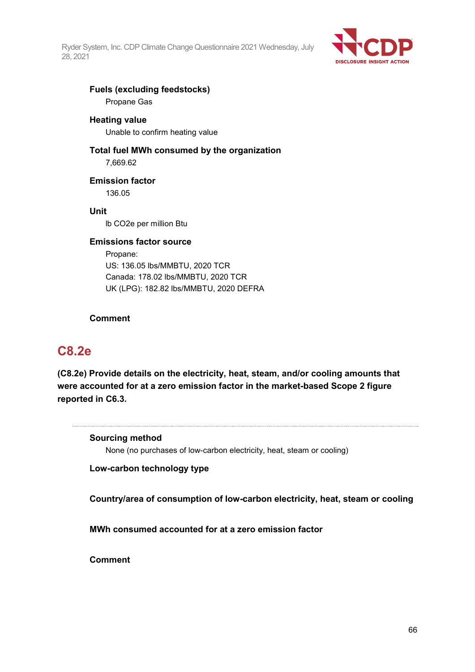

# **Fuels (excluding feedstocks)**

Propane Gas

#### **Heating value**

Unable to confirm heating value

#### **Total fuel MWh consumed by the organization** 7,669.62

**Emission factor**

136.05

#### **Unit**

lb CO2e per million Btu

#### **Emissions factor source**

Propane: US: 136.05 lbs/MMBTU, 2020 TCR Canada: 178.02 lbs/MMBTU, 2020 TCR UK (LPG): 182.82 lbs/MMBTU, 2020 DEFRA

#### **Comment**

# **C8.2e**

**(C8.2e) Provide details on the electricity, heat, steam, and/or cooling amounts that were accounted for at a zero emission factor in the market-based Scope 2 figure reported in C6.3.**

**Sourcing method**

None (no purchases of low-carbon electricity, heat, steam or cooling)

**Low-carbon technology type**

**Country/area of consumption of low-carbon electricity, heat, steam or cooling**

**MWh consumed accounted for at a zero emission factor**

**Comment**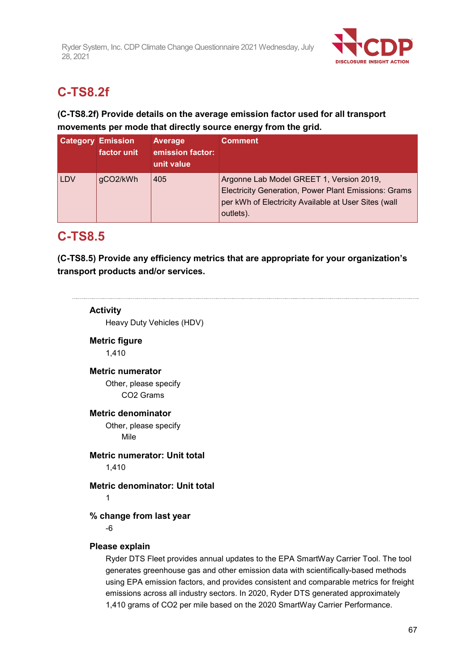

# **C-TS8.2f**

## **(C-TS8.2f) Provide details on the average emission factor used for all transport movements per mode that directly source energy from the grid.**

|            | <b>Category Emission</b><br>factor unit | <b>Average</b><br>emission factor:<br>unit value | <b>Comment</b>                                                                                                                                                        |
|------------|-----------------------------------------|--------------------------------------------------|-----------------------------------------------------------------------------------------------------------------------------------------------------------------------|
| <b>LDV</b> | gCO2/kWh                                | 405                                              | Argonne Lab Model GREET 1, Version 2019,<br>Electricity Generation, Power Plant Emissions: Grams<br>per kWh of Electricity Available at User Sites (wall<br>outlets). |

# **C-TS8.5**

**(C-TS8.5) Provide any efficiency metrics that are appropriate for your organization's transport products and/or services.**

**Activity** Heavy Duty Vehicles (HDV) **Metric figure** 1,410 **Metric numerator** Other, please specify CO2 Grams **Metric denominator** Other, please specify Mile **Metric numerator: Unit total** 1,410 **Metric denominator: Unit total** 1 **% change from last year** -6 **Please explain** Ryder DTS Fleet provides annual updates to the EPA SmartWay Carrier Tool. The tool generates greenhouse gas and other emission data with scientifically-based methods using EPA emission factors, and provides consistent and comparable metrics for freight emissions across all industry sectors. In 2020, Ryder DTS generated approximately 1,410 grams of CO2 per mile based on the 2020 SmartWay Carrier Performance.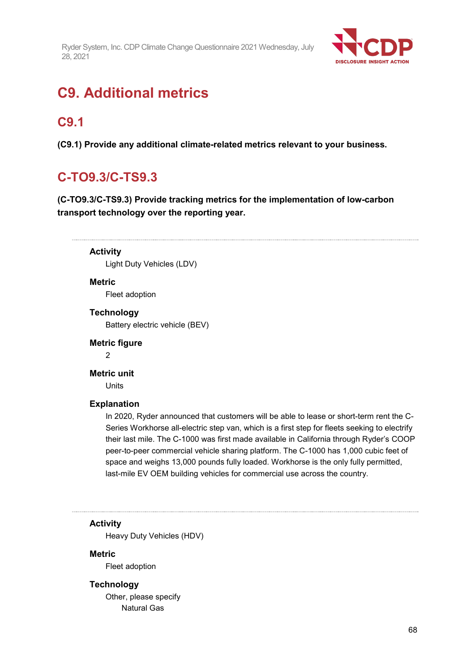

# **C9. Additional metrics**

# **C9.1**

**(C9.1) Provide any additional climate-related metrics relevant to your business.**

# **C-TO9.3/C-TS9.3**

**(C-TO9.3/C-TS9.3) Provide tracking metrics for the implementation of low-carbon transport technology over the reporting year.**

**Activity** Light Duty Vehicles (LDV)

#### **Metric**

Fleet adoption

**Technology**

Battery electric vehicle (BEV)

#### **Metric figure**

 $\overline{2}$ 

#### **Metric unit**

Units

#### **Explanation**

In 2020, Ryder announced that customers will be able to lease or short-term rent the C-Series Workhorse all-electric step van, which is a first step for fleets seeking to electrify their last mile. The C-1000 was first made available in California through Ryder's COOP peer-to-peer commercial vehicle sharing platform. The C-1000 has 1,000 cubic feet of space and weighs 13,000 pounds fully loaded. Workhorse is the only fully permitted, last-mile EV OEM building vehicles for commercial use across the country.

#### **Activity**

Heavy Duty Vehicles (HDV)

#### **Metric**

Fleet adoption

#### **Technology**

Other, please specify Natural Gas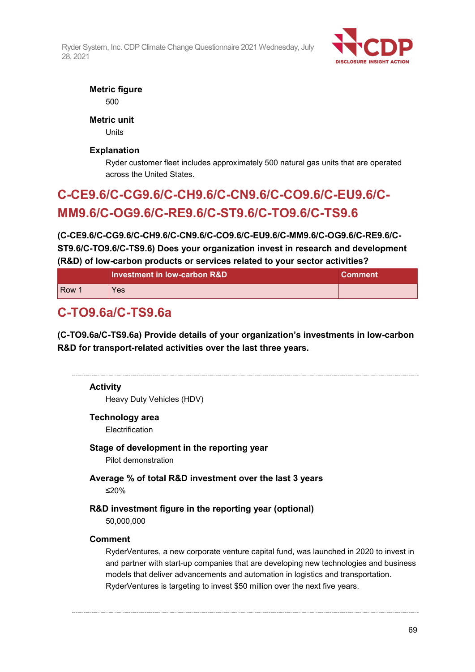

## **Metric figure**

500

## **Metric unit**

Units

## **Explanation**

Ryder customer fleet includes approximately 500 natural gas units that are operated across the United States.

# **C-CE9.6/C-CG9.6/C-CH9.6/C-CN9.6/C-CO9.6/C-EU9.6/C-MM9.6/C-OG9.6/C-RE9.6/C-ST9.6/C-TO9.6/C-TS9.6**

**(C-CE9.6/C-CG9.6/C-CH9.6/C-CN9.6/C-CO9.6/C-EU9.6/C-MM9.6/C-OG9.6/C-RE9.6/C-ST9.6/C-TO9.6/C-TS9.6) Does your organization invest in research and development (R&D) of low-carbon products or services related to your sector activities?**

|            | Investment in low-carbon R&D | <b>Comment</b> |
|------------|------------------------------|----------------|
| <b>Row</b> | Yes                          |                |

# **C-TO9.6a/C-TS9.6a**

**(C-TO9.6a/C-TS9.6a) Provide details of your organization's investments in low-carbon R&D for transport-related activities over the last three years.**

| <b>Activity</b><br>Heavy Duty Vehicles (HDV)                                                                                                                                                                                                                                                                                                       |
|----------------------------------------------------------------------------------------------------------------------------------------------------------------------------------------------------------------------------------------------------------------------------------------------------------------------------------------------------|
| Technology area<br>Electrification                                                                                                                                                                                                                                                                                                                 |
| Stage of development in the reporting year<br>Pilot demonstration                                                                                                                                                                                                                                                                                  |
| Average % of total R&D investment over the last 3 years<br>≤20%                                                                                                                                                                                                                                                                                    |
| R&D investment figure in the reporting year (optional)<br>50,000,000                                                                                                                                                                                                                                                                               |
| <b>Comment</b>                                                                                                                                                                                                                                                                                                                                     |
| RyderVentures, a new corporate venture capital fund, was launched in 2020 to invest in<br>and partner with start-up companies that are developing new technologies and business<br>models that deliver advancements and automation in logistics and transportation.<br>RyderVentures is targeting to invest \$50 million over the next five years. |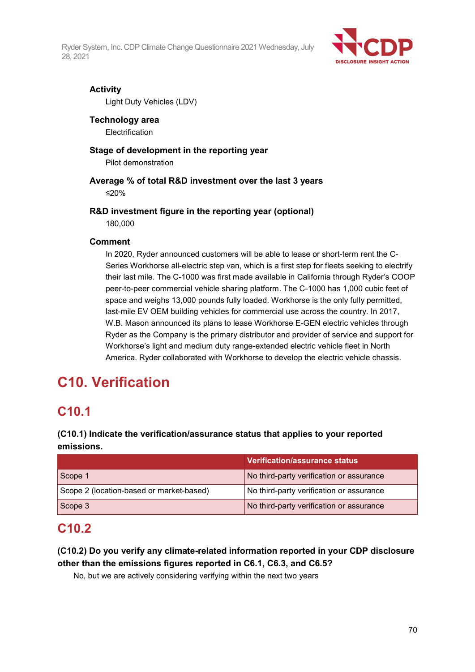

### **Activity**

Light Duty Vehicles (LDV)

## **Technology area**

**Electrification** 

## **Stage of development in the reporting year**

Pilot demonstration

## **Average % of total R&D investment over the last 3 years**

≤20%

### **R&D investment figure in the reporting year (optional)**

180,000

### **Comment**

In 2020, Ryder announced customers will be able to lease or short-term rent the C-Series Workhorse all-electric step van, which is a first step for fleets seeking to electrify their last mile. The C-1000 was first made available in California through Ryder's COOP peer-to-peer commercial vehicle sharing platform. The C-1000 has 1,000 cubic feet of space and weighs 13,000 pounds fully loaded. Workhorse is the only fully permitted, last-mile EV OEM building vehicles for commercial use across the country. In 2017, W.B. Mason announced its plans to lease Workhorse E-GEN electric vehicles through Ryder as the Company is the primary distributor and provider of service and support for Workhorse's light and medium duty range-extended electric vehicle fleet in North America. Ryder collaborated with Workhorse to develop the electric vehicle chassis.

# **C10. Verification**

# **C10.1**

## **(C10.1) Indicate the verification/assurance status that applies to your reported emissions.**

|                                          | <b>Verification/assurance status</b>     |
|------------------------------------------|------------------------------------------|
| Scope 1                                  | No third-party verification or assurance |
| Scope 2 (location-based or market-based) | No third-party verification or assurance |
| Scope 3                                  | No third-party verification or assurance |

# **C10.2**

## **(C10.2) Do you verify any climate-related information reported in your CDP disclosure other than the emissions figures reported in C6.1, C6.3, and C6.5?**

No, but we are actively considering verifying within the next two years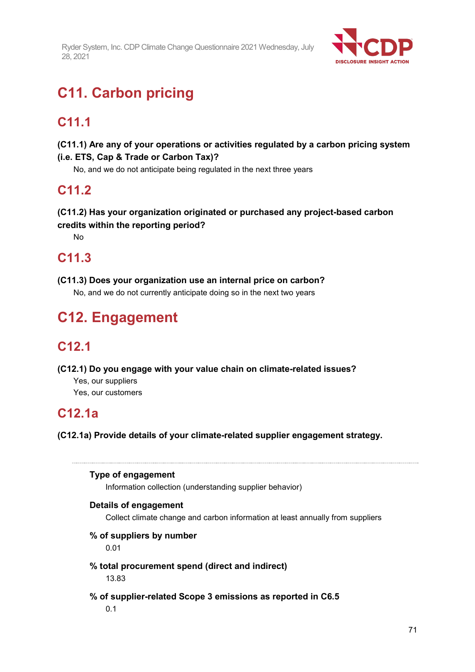

# **C11. Carbon pricing**

# **C11.1**

## **(C11.1) Are any of your operations or activities regulated by a carbon pricing system (i.e. ETS, Cap & Trade or Carbon Tax)?**

No, and we do not anticipate being regulated in the next three years

# **C11.2**

## **(C11.2) Has your organization originated or purchased any project-based carbon credits within the reporting period?**

No

# **C11.3**

### **(C11.3) Does your organization use an internal price on carbon?**

No, and we do not currently anticipate doing so in the next two years

# **C12. Engagement**

# **C12.1**

**(C12.1) Do you engage with your value chain on climate-related issues?**

Yes, our suppliers

Yes, our customers

# **C12.1a**

**(C12.1a) Provide details of your climate-related supplier engagement strategy.**

#### **Type of engagement**

Information collection (understanding supplier behavior)

#### **Details of engagement**

Collect climate change and carbon information at least annually from suppliers

#### **% of suppliers by number**

0.01

# **% total procurement spend (direct and indirect)**

13.83

#### **% of supplier-related Scope 3 emissions as reported in C6.5**

0.1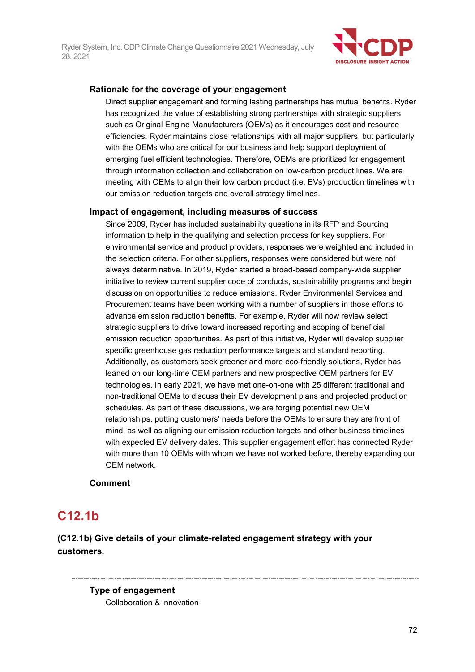

### **Rationale for the coverage of your engagement**

Direct supplier engagement and forming lasting partnerships has mutual benefits. Ryder has recognized the value of establishing strong partnerships with strategic suppliers such as Original Engine Manufacturers (OEMs) as it encourages cost and resource efficiencies. Ryder maintains close relationships with all major suppliers, but particularly with the OEMs who are critical for our business and help support deployment of emerging fuel efficient technologies. Therefore, OEMs are prioritized for engagement through information collection and collaboration on low-carbon product lines. We are meeting with OEMs to align their low carbon product (i.e. EVs) production timelines with our emission reduction targets and overall strategy timelines.

#### **Impact of engagement, including measures of success**

Since 2009, Ryder has included sustainability questions in its RFP and Sourcing information to help in the qualifying and selection process for key suppliers. For environmental service and product providers, responses were weighted and included in the selection criteria. For other suppliers, responses were considered but were not always determinative. In 2019, Ryder started a broad-based company-wide supplier initiative to review current supplier code of conducts, sustainability programs and begin discussion on opportunities to reduce emissions. Ryder Environmental Services and Procurement teams have been working with a number of suppliers in those efforts to advance emission reduction benefits. For example, Ryder will now review select strategic suppliers to drive toward increased reporting and scoping of beneficial emission reduction opportunities. As part of this initiative, Ryder will develop supplier specific greenhouse gas reduction performance targets and standard reporting. Additionally, as customers seek greener and more eco-friendly solutions, Ryder has leaned on our long-time OEM partners and new prospective OEM partners for EV technologies. In early 2021, we have met one-on-one with 25 different traditional and non-traditional OEMs to discuss their EV development plans and projected production schedules. As part of these discussions, we are forging potential new OEM relationships, putting customers' needs before the OEMs to ensure they are front of mind, as well as aligning our emission reduction targets and other business timelines with expected EV delivery dates. This supplier engagement effort has connected Ryder with more than 10 OEMs with whom we have not worked before, thereby expanding our OEM network.

#### **Comment**

# **C12.1b**

**(C12.1b) Give details of your climate-related engagement strategy with your customers.**

> **Type of engagement** Collaboration & innovation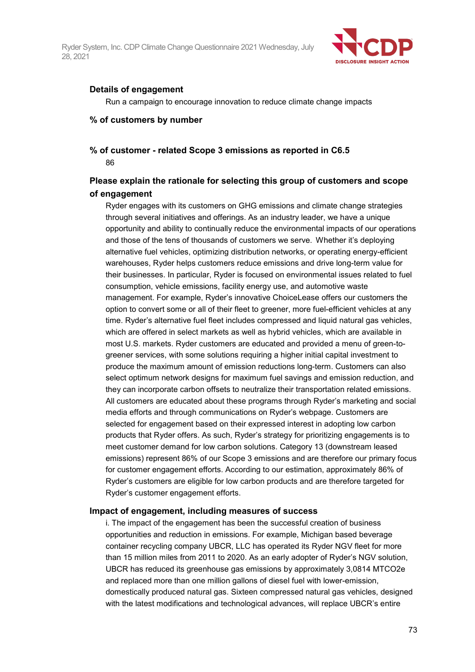

#### **Details of engagement**

Run a campaign to encourage innovation to reduce climate change impacts

#### **% of customers by number**

#### **% of customer - related Scope 3 emissions as reported in C6.5** 86

#### **Please explain the rationale for selecting this group of customers and scope of engagement**

Ryder engages with its customers on GHG emissions and climate change strategies through several initiatives and offerings. As an industry leader, we have a unique opportunity and ability to continually reduce the environmental impacts of our operations and those of the tens of thousands of customers we serve.  Whether it's deploying alternative fuel vehicles, optimizing distribution networks, or operating energy-efficient warehouses, Ryder helps customers reduce emissions and drive long-term value for their businesses. In particular, Ryder is focused on environmental issues related to fuel consumption, vehicle emissions, facility energy use, and automotive waste management. For example, Ryder's innovative ChoiceLease offers our customers the option to convert some or all of their fleet to greener, more fuel-efficient vehicles at any time. Ryder's alternative fuel fleet includes compressed and liquid natural gas vehicles, which are offered in select markets as well as hybrid vehicles, which are available in most U.S. markets. Ryder customers are educated and provided a menu of green-togreener services, with some solutions requiring a higher initial capital investment to produce the maximum amount of emission reductions long-term. Customers can also select optimum network designs for maximum fuel savings and emission reduction, and they can incorporate carbon offsets to neutralize their transportation related emissions. All customers are educated about these programs through Ryder's marketing and social media efforts and through communications on Ryder's webpage. Customers are selected for engagement based on their expressed interest in adopting low carbon products that Ryder offers. As such, Ryder's strategy for prioritizing engagements is to meet customer demand for low carbon solutions. Category 13 (downstream leased emissions) represent 86% of our Scope 3 emissions and are therefore our primary focus for customer engagement efforts. According to our estimation, approximately 86% of Ryder's customers are eligible for low carbon products and are therefore targeted for Ryder's customer engagement efforts.

#### **Impact of engagement, including measures of success**

i. The impact of the engagement has been the successful creation of business opportunities and reduction in emissions. For example, Michigan based beverage container recycling company UBCR, LLC has operated its Ryder NGV fleet for more than 15 million miles from 2011 to 2020. As an early adopter of Ryder's NGV solution, UBCR has reduced its greenhouse gas emissions by approximately 3,0814 MTCO2e and replaced more than one million gallons of diesel fuel with lower-emission, domestically produced natural gas. Sixteen compressed natural gas vehicles, designed with the latest modifications and technological advances, will replace UBCR's entire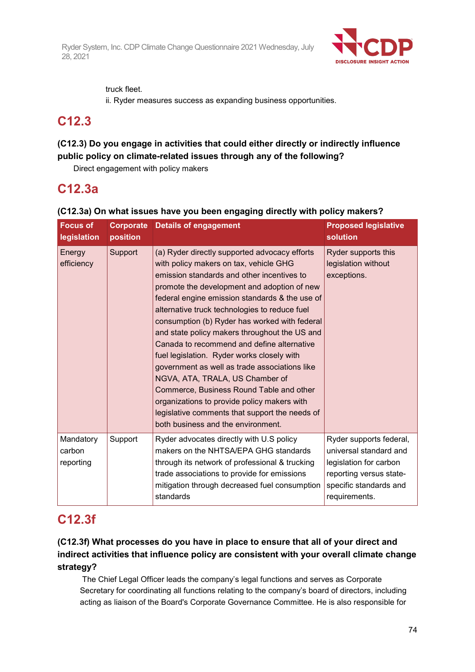

truck fleet.

ii. Ryder measures success as expanding business opportunities.

## **C12.3**

### **(C12.3) Do you engage in activities that could either directly or indirectly influence public policy on climate-related issues through any of the following?**

Direct engagement with policy makers

## **C12.3a**

#### **(C12.3a) On what issues have you been engaging directly with policy makers? Focus of legislation Corporate position Details of engagement Proposed legislative solution Energy** efficiency Support  $\vert$  (a) Ryder directly supported advocacy efforts with policy makers on tax, vehicle GHG emission standards and other incentives to promote the development and adoption of new federal engine emission standards & the use of alternative truck technologies to reduce fuel consumption (b) Ryder has worked with federal and state policy makers throughout the US and Canada to recommend and define alternative fuel legislation. Ryder works closely with government as well as trade associations like NGVA, ATA, TRALA, US Chamber of Commerce, Business Round Table and other organizations to provide policy makers with legislative comments that support the needs of both business and the environment. Ryder supports this legislation without exceptions. Mandatory carbon reporting Support  $\vert$  Ryder advocates directly with U.S policy makers on the NHTSA/EPA GHG standards through its network of professional & trucking trade associations to provide for emissions mitigation through decreased fuel consumption standards Ryder supports federal, universal standard and legislation for carbon reporting versus statespecific standards and requirements.

## **C12.3f**

### **(C12.3f) What processes do you have in place to ensure that all of your direct and indirect activities that influence policy are consistent with your overall climate change strategy?**

The Chief Legal Officer leads the company's legal functions and serves as Corporate Secretary for coordinating all functions relating to the company's board of directors, including acting as liaison of the Board's Corporate Governance Committee. He is also responsible for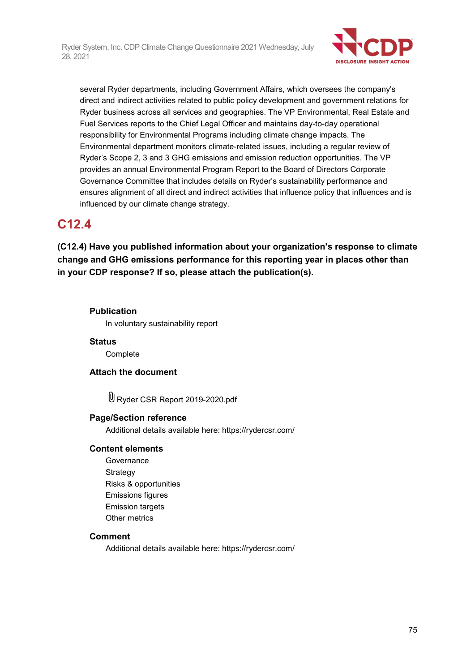

several Ryder departments, including Government Affairs, which oversees the company's direct and indirect activities related to public policy development and government relations for Ryder business across all services and geographies. The VP Environmental, Real Estate and Fuel Services reports to the Chief Legal Officer and maintains day-to-day operational responsibility for Environmental Programs including climate change impacts. The Environmental department monitors climate-related issues, including a regular review of Ryder's Scope 2, 3 and 3 GHG emissions and emission reduction opportunities. The VP provides an annual Environmental Program Report to the Board of Directors Corporate Governance Committee that includes details on Ryder's sustainability performance and ensures alignment of all direct and indirect activities that influence policy that influences and is influenced by our climate change strategy.

## **C12.4**

**(C12.4) Have you published information about your organization's response to climate change and GHG emissions performance for this reporting year in places other than in your CDP response? If so, please attach the publication(s).**

#### **Publication**

In voluntary sustainability report

#### **Status**

**Complete** 

#### **Attach the document**

Ryder CSR Report 2019-2020.pdf

#### **Page/Section reference**

Additional details available here: https://rydercsr.com/

#### **Content elements**

Governance **Strategy** Risks & opportunities Emissions figures Emission targets Other metrics

#### **Comment**

Additional details available here: https://rydercsr.com/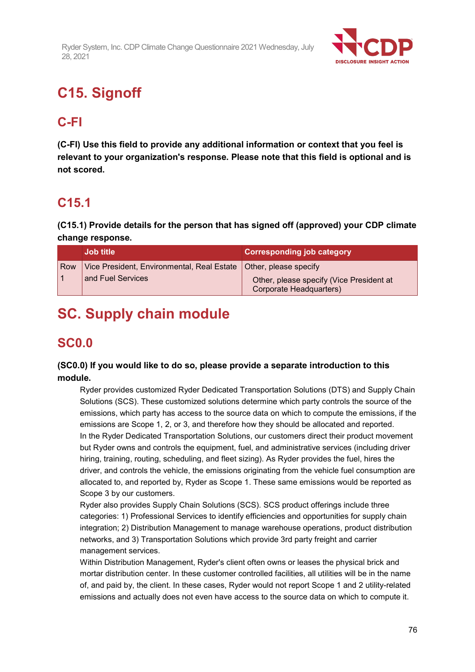

# **C15. Signoff**

## **C-FI**

**(C-FI) Use this field to provide any additional information or context that you feel is relevant to your organization's response. Please note that this field is optional and is not scored.**

## **C15.1**

**(C15.1) Provide details for the person that has signed off (approved) your CDP climate change response.**

|       | <b>Job title</b>                                                   | <b>Corresponding job category</b>                                   |
|-------|--------------------------------------------------------------------|---------------------------------------------------------------------|
| Row / | Vice President, Environmental, Real Estate   Other, please specify |                                                                     |
|       | and Fuel Services                                                  | Other, please specify (Vice President at<br>Corporate Headquarters) |

## **SC. Supply chain module**

## **SC0.0**

### **(SC0.0) If you would like to do so, please provide a separate introduction to this module.**

Ryder provides customized Ryder Dedicated Transportation Solutions (DTS) and Supply Chain Solutions (SCS). These customized solutions determine which party controls the source of the emissions, which party has access to the source data on which to compute the emissions, if the emissions are Scope 1, 2, or 3, and therefore how they should be allocated and reported. In the Ryder Dedicated Transportation Solutions, our customers direct their product movement but Ryder owns and controls the equipment, fuel, and administrative services (including driver hiring, training, routing, scheduling, and fleet sizing). As Ryder provides the fuel, hires the driver, and controls the vehicle, the emissions originating from the vehicle fuel consumption are allocated to, and reported by, Ryder as Scope 1. These same emissions would be reported as Scope 3 by our customers.

Ryder also provides Supply Chain Solutions (SCS). SCS product offerings include three categories: 1) Professional Services to identify efficiencies and opportunities for supply chain integration; 2) Distribution Management to manage warehouse operations, product distribution networks, and 3) Transportation Solutions which provide 3rd party freight and carrier management services.

Within Distribution Management, Ryder's client often owns or leases the physical brick and mortar distribution center. In these customer controlled facilities, all utilities will be in the name of, and paid by, the client. In these cases, Ryder would not report Scope 1 and 2 utility-related emissions and actually does not even have access to the source data on which to compute it.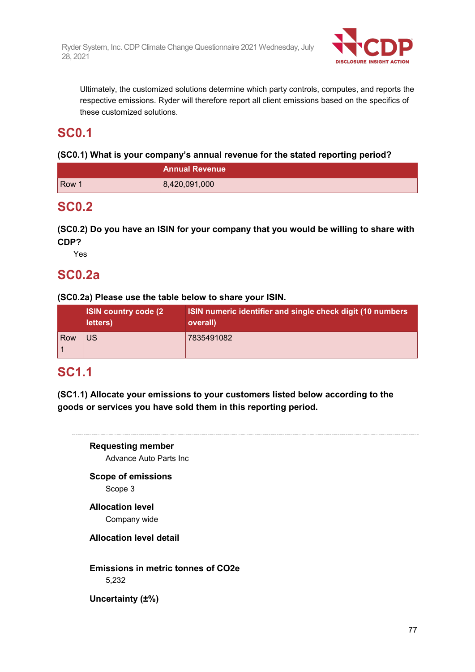

Ultimately, the customized solutions determine which party controls, computes, and reports the respective emissions. Ryder will therefore report all client emissions based on the specifics of these customized solutions.

## **SC0.1**

#### **(SC0.1) What is your company's annual revenue for the stated reporting period?**

|                  | <b>Annual Revenue</b> |  |
|------------------|-----------------------|--|
| Row <sup>1</sup> | 8,420,091,000         |  |

## **SC0.2**

**(SC0.2) Do you have an ISIN for your company that you would be willing to share with CDP?**

Yes

### **SC0.2a**

**(SC0.2a) Please use the table below to share your ISIN.**

|     | <b>ISIN country code (2)</b><br>letters) | ISIN numeric identifier and single check digit (10 numbers<br>overall) |
|-----|------------------------------------------|------------------------------------------------------------------------|
| Row | <b>US</b>                                | 7835491082                                                             |

## **SC1.1**

**(SC1.1) Allocate your emissions to your customers listed below according to the goods or services you have sold them in this reporting period.**

**Requesting member** Advance Auto Parts Inc **Scope of emissions** Scope 3 **Allocation level** Company wide **Allocation level detail Emissions in metric tonnes of CO2e** 5,232 **Uncertainty (±%)**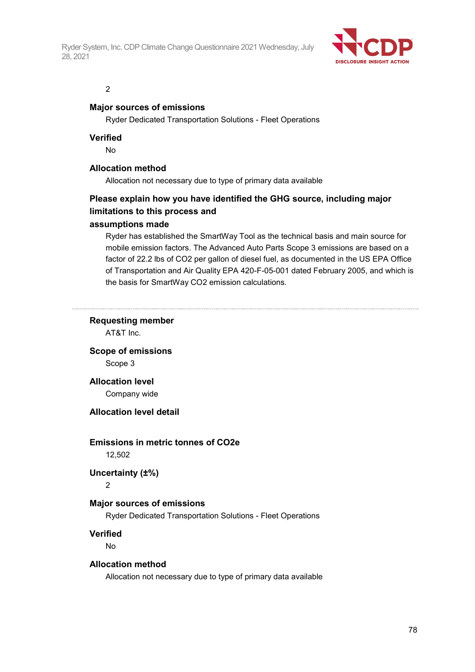

#### 2

#### **Major sources of emissions**

Ryder Dedicated Transportation Solutions - Fleet Operations

#### **Verified**

No

#### **Allocation method**

Allocation not necessary due to type of primary data available

## **Please explain how you have identified the GHG source, including major limitations to this process and**

#### **assumptions made**

Ryder has established the SmartWay Tool as the technical basis and main source for mobile emission factors. The Advanced Auto Parts Scope 3 emissions are based on a factor of 22.2 lbs of CO2 per gallon of diesel fuel, as documented in the US EPA Office of Transportation and Air Quality EPA 420-F-05-001 dated February 2005, and which is the basis for SmartWay CO2 emission calculations.

#### **Requesting member**

AT&T Inc.

**Scope of emissions** Scope 3

**Allocation level** Company wide

#### **Allocation level detail**

## **Emissions in metric tonnes of CO2e**

12,502

#### **Uncertainty (±%)**

2

#### **Major sources of emissions**

Ryder Dedicated Transportation Solutions - Fleet Operations

#### **Verified**

No

#### **Allocation method**

Allocation not necessary due to type of primary data available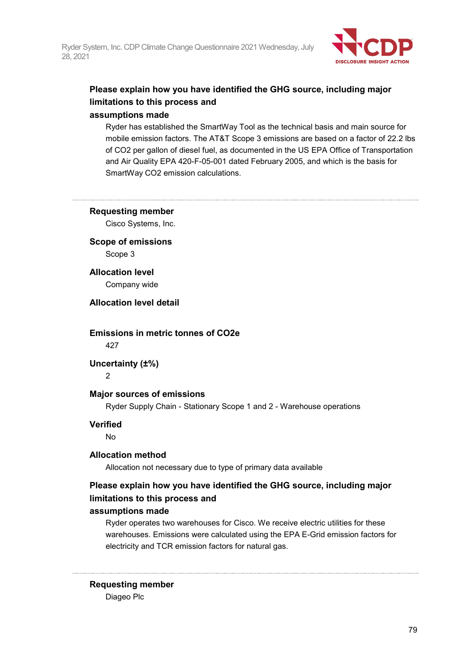

## **Please explain how you have identified the GHG source, including major limitations to this process and**

#### **assumptions made**

Ryder has established the SmartWay Tool as the technical basis and main source for mobile emission factors. The AT&T Scope 3 emissions are based on a factor of 22.2 lbs of CO2 per gallon of diesel fuel, as documented in the US EPA Office of Transportation and Air Quality EPA 420-F-05-001 dated February 2005, and which is the basis for SmartWay CO2 emission calculations.

#### **Requesting member**

Cisco Systems, Inc.

#### **Scope of emissions** Scope 3

**Allocation level** Company wide

**Allocation level detail**

**Emissions in metric tonnes of CO2e**

427

#### **Uncertainty (±%)**

2

#### **Major sources of emissions**

Ryder Supply Chain - Stationary Scope 1 and 2 - Warehouse operations

#### **Verified**

No

#### **Allocation method**

Allocation not necessary due to type of primary data available

### **Please explain how you have identified the GHG source, including major limitations to this process and**

#### **assumptions made**

Ryder operates two warehouses for Cisco. We receive electric utilities for these warehouses. Emissions were calculated using the EPA E-Grid emission factors for electricity and TCR emission factors for natural gas.

#### **Requesting member**

Diageo Plc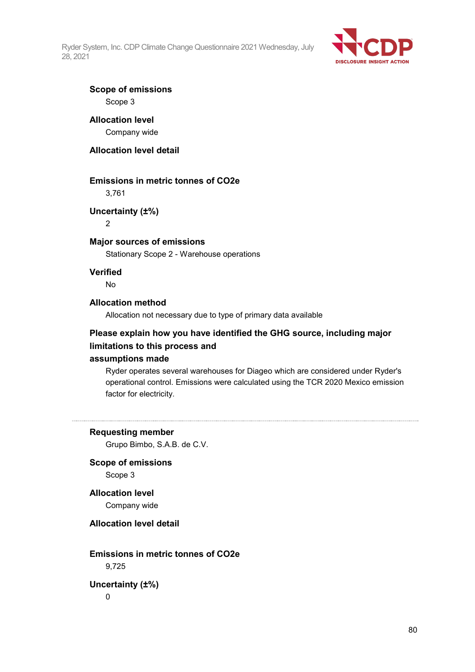

#### **Scope of emissions** Scope 3

## **Allocation level**

Company wide

#### **Allocation level detail**

#### **Emissions in metric tonnes of CO2e**

3,761

#### **Uncertainty (±%)**

2

#### **Major sources of emissions**

Stationary Scope 2 - Warehouse operations

#### **Verified**

No

#### **Allocation method**

Allocation not necessary due to type of primary data available

#### **Please explain how you have identified the GHG source, including major limitations to this process and**

#### **assumptions made**

Ryder operates several warehouses for Diageo which are considered under Ryder's operational control. Emissions were calculated using the TCR 2020 Mexico emission factor for electricity.

#### **Requesting member**

Grupo Bimbo, S.A.B. de C.V.

## **Scope of emissions**

Scope 3

#### **Allocation level**

Company wide

#### **Allocation level detail**

### **Emissions in metric tonnes of CO2e** 9,725

**Uncertainty (±%)**

 $\Omega$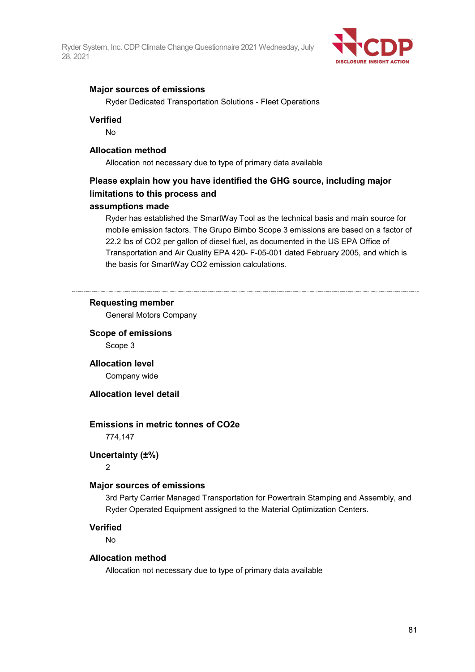

#### **Major sources of emissions**

Ryder Dedicated Transportation Solutions - Fleet Operations

#### **Verified**

No

#### **Allocation method**

Allocation not necessary due to type of primary data available

### **Please explain how you have identified the GHG source, including major limitations to this process and**

#### **assumptions made**

Ryder has established the SmartWay Tool as the technical basis and main source for mobile emission factors. The Grupo Bimbo Scope 3 emissions are based on a factor of 22.2 lbs of CO2 per gallon of diesel fuel, as documented in the US EPA Office of Transportation and Air Quality EPA 420- F-05-001 dated February 2005, and which is the basis for SmartWay CO2 emission calculations.

#### **Requesting member**

General Motors Company

**Scope of emissions** Scope 3

**Allocation level** Company wide

#### **Allocation level detail**

#### **Emissions in metric tonnes of CO2e**

774,147

#### **Uncertainty (±%)**

2

#### **Major sources of emissions**

3rd Party Carrier Managed Transportation for Powertrain Stamping and Assembly, and Ryder Operated Equipment assigned to the Material Optimization Centers.

#### **Verified**

No

#### **Allocation method**

Allocation not necessary due to type of primary data available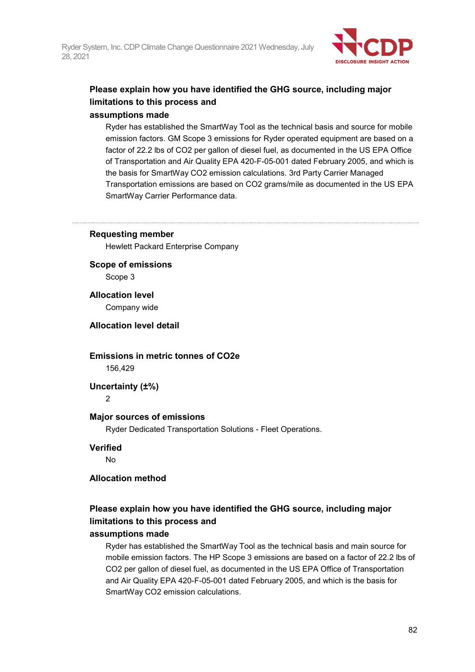

## **Please explain how you have identified the GHG source, including major limitations to this process and**

#### **assumptions made**

Ryder has established the SmartWay Tool as the technical basis and source for mobile emission factors. GM Scope 3 emissions for Ryder operated equipment are based on a factor of 22.2 lbs of CO2 per gallon of diesel fuel, as documented in the US EPA Office of Transportation and Air Quality EPA 420-F-05-001 dated February 2005, and which is the basis for SmartWay CO2 emission calculations. 3rd Party Carrier Managed Transportation emissions are based on CO2 grams/mile as documented in the US EPA SmartWay Carrier Performance data.

#### **Requesting member**

Hewlett Packard Enterprise Company

**Scope of emissions** Scope 3

**Allocation level**

Company wide

#### **Allocation level detail**

#### **Emissions in metric tonnes of CO2e** 156,429

**Uncertainty (±%)**

 $\overline{2}$ 

#### **Major sources of emissions**

Ryder Dedicated Transportation Solutions - Fleet Operations.

#### **Verified**

No

#### **Allocation method**

### **Please explain how you have identified the GHG source, including major limitations to this process and**

#### **assumptions made**

Ryder has established the SmartWay Tool as the technical basis and main source for mobile emission factors. The HP Scope 3 emissions are based on a factor of 22.2 lbs of CO2 per gallon of diesel fuel, as documented in the US EPA Office of Transportation and Air Quality EPA 420-F-05-001 dated February 2005, and which is the basis for SmartWay CO2 emission calculations.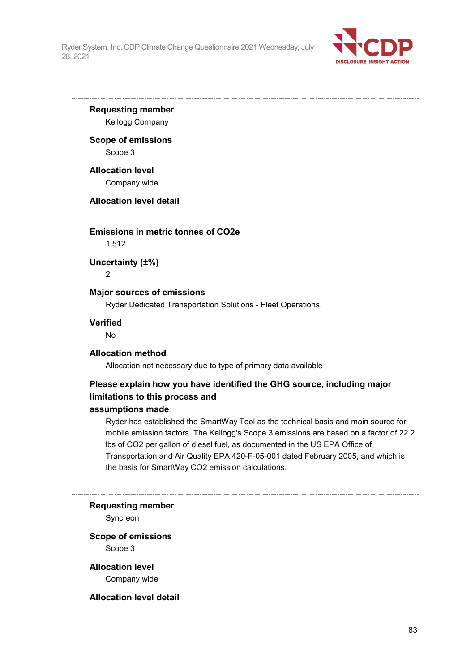

**Requesting member** Kellogg Company

### **Scope of emissions**

Scope 3

#### **Allocation level**

Company wide

#### **Allocation level detail**

#### **Emissions in metric tonnes of CO2e**

1,512

**Uncertainty (±%)**

2

#### **Major sources of emissions**

Ryder Dedicated Transportation Solutions - Fleet Operations.

#### **Verified**

No

#### **Allocation method**

Allocation not necessary due to type of primary data available

### **Please explain how you have identified the GHG source, including major limitations to this process and**

#### **assumptions made**

Ryder has established the SmartWay Tool as the technical basis and main source for mobile emission factors. The Kellogg's Scope 3 emissions are based on a factor of 22.2 lbs of CO2 per gallon of diesel fuel, as documented in the US EPA Office of Transportation and Air Quality EPA 420-F-05-001 dated February 2005, and which is the basis for SmartWay CO2 emission calculations.

#### **Requesting member**

Syncreon

#### **Scope of emissions** Scope 3

**Allocation level** Company wide

#### **Allocation level detail**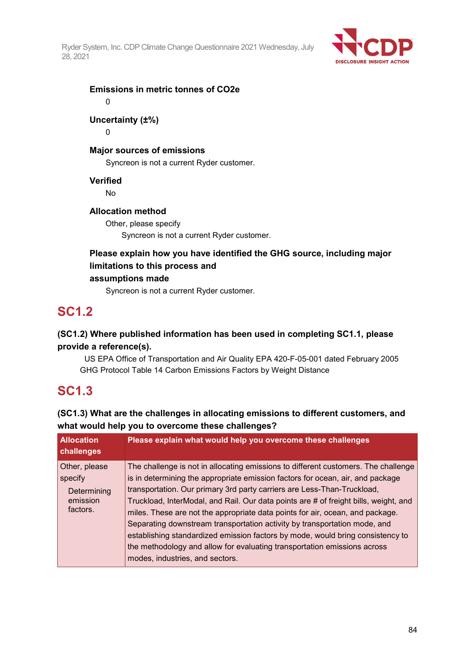

**Emissions in metric tonnes of CO2e**

 $\Omega$ 

### **Uncertainty (±%)**

0

### **Major sources of emissions**

Syncreon is not a current Ryder customer.

#### **Verified**

No

#### **Allocation method**

Other, please specify Syncreon is not a current Ryder customer.

### **Please explain how you have identified the GHG source, including major limitations to this process and**

#### **assumptions made**

Syncreon is not a current Ryder customer.

## **SC1.2**

### **(SC1.2) Where published information has been used in completing SC1.1, please provide a reference(s).**

 US EPA Office of Transportation and Air Quality EPA 420-F-05-001 dated February 2005 GHG Protocol Table 14 Carbon Emissions Factors by Weight Distance

## **SC1.3**

### **(SC1.3) What are the challenges in allocating emissions to different customers, and what would help you to overcome these challenges?**

| <b>Allocation</b><br>challenges                                     | Please explain what would help you overcome these challenges                                                                                                                                                                                                                                                                                                                                                                                                                                                                                                                                                                                                                                           |
|---------------------------------------------------------------------|--------------------------------------------------------------------------------------------------------------------------------------------------------------------------------------------------------------------------------------------------------------------------------------------------------------------------------------------------------------------------------------------------------------------------------------------------------------------------------------------------------------------------------------------------------------------------------------------------------------------------------------------------------------------------------------------------------|
| Other, please<br>$ $ specify<br>Determining<br>emission<br>factors. | The challenge is not in allocating emissions to different customers. The challenge<br>is in determining the appropriate emission factors for ocean, air, and package<br>transportation. Our primary 3rd party carriers are Less-Than-Truckload,<br>Truckload, InterModal, and Rail. Our data points are # of freight bills, weight, and<br>miles. These are not the appropriate data points for air, ocean, and package.<br>Separating downstream transportation activity by transportation mode, and<br>establishing standardized emission factors by mode, would bring consistency to<br>the methodology and allow for evaluating transportation emissions across<br>modes, industries, and sectors. |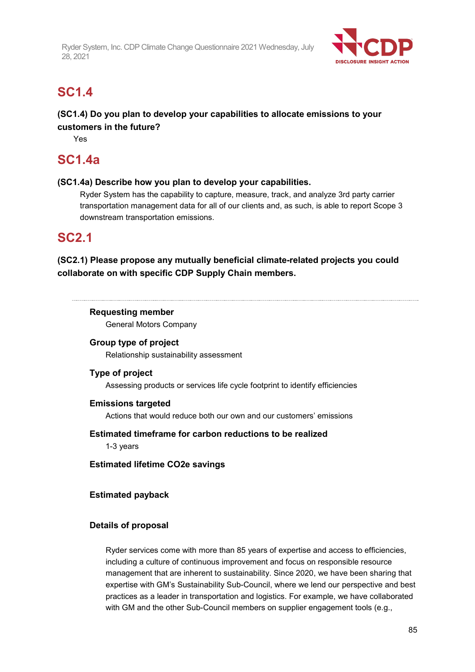

## **SC1.4**

### **(SC1.4) Do you plan to develop your capabilities to allocate emissions to your customers in the future?**

Yes

## **SC1.4a**

#### **(SC1.4a) Describe how you plan to develop your capabilities.**

Ryder System has the capability to capture, measure, track, and analyze 3rd party carrier transportation management data for all of our clients and, as such, is able to report Scope 3 downstream transportation emissions.

## **SC2.1**

### **(SC2.1) Please propose any mutually beneficial climate-related projects you could collaborate on with specific CDP Supply Chain members.**

#### **Requesting member**

General Motors Company

#### **Group type of project**

Relationship sustainability assessment

#### **Type of project**

Assessing products or services life cycle footprint to identify efficiencies

#### **Emissions targeted**

Actions that would reduce both our own and our customers' emissions

#### **Estimated timeframe for carbon reductions to be realized**

1-3 years

**Estimated lifetime CO2e savings**

#### **Estimated payback**

#### **Details of proposal**

Ryder services come with more than 85 years of expertise and access to efficiencies, including a culture of continuous improvement and focus on responsible resource management that are inherent to sustainability. Since 2020, we have been sharing that expertise with GM's Sustainability Sub-Council, where we lend our perspective and best practices as a leader in transportation and logistics. For example, we have collaborated with GM and the other Sub-Council members on supplier engagement tools (e.g.,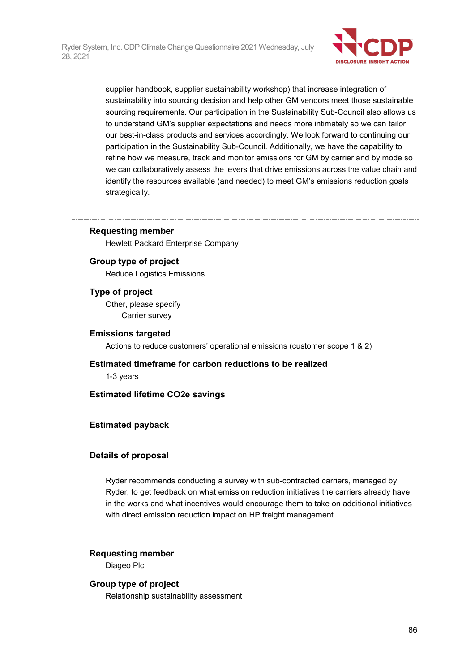

supplier handbook, supplier sustainability workshop) that increase integration of sustainability into sourcing decision and help other GM vendors meet those sustainable sourcing requirements. Our participation in the Sustainability Sub-Council also allows us to understand GM's supplier expectations and needs more intimately so we can tailor our best-in-class products and services accordingly. We look forward to continuing our participation in the Sustainability Sub-Council. Additionally, we have the capability to refine how we measure, track and monitor emissions for GM by carrier and by mode so we can collaboratively assess the levers that drive emissions across the value chain and identify the resources available (and needed) to meet GM's emissions reduction goals strategically.

#### **Requesting member**

Hewlett Packard Enterprise Company

#### **Group type of project**

Reduce Logistics Emissions

#### **Type of project**

Other, please specify Carrier survey

#### **Emissions targeted**

Actions to reduce customers' operational emissions (customer scope 1 & 2)

#### **Estimated timeframe for carbon reductions to be realized**

1-3 years

#### **Estimated lifetime CO2e savings**

#### **Estimated payback**

#### **Details of proposal**

Ryder recommends conducting a survey with sub-contracted carriers, managed by Ryder, to get feedback on what emission reduction initiatives the carriers already have in the works and what incentives would encourage them to take on additional initiatives with direct emission reduction impact on HP freight management.

#### **Requesting member**

Diageo Plc

#### **Group type of project**

Relationship sustainability assessment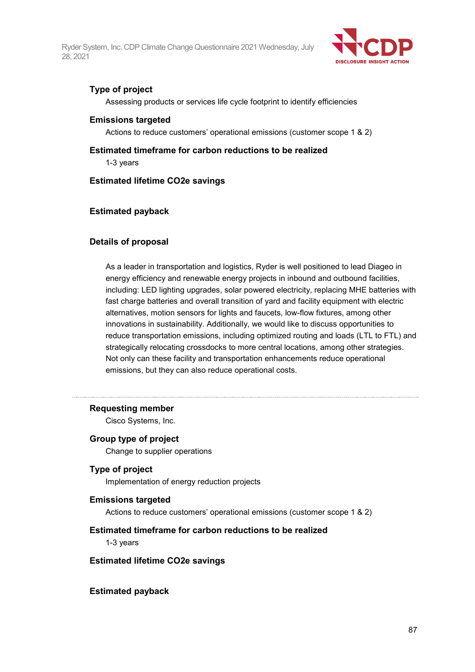

#### **Type of project**

Assessing products or services life cycle footprint to identify efficiencies

#### **Emissions targeted**

Actions to reduce customers' operational emissions (customer scope 1 & 2)

**Estimated timeframe for carbon reductions to be realized** 1-3 years

#### **Estimated lifetime CO2e savings**

#### **Estimated payback**

#### **Details of proposal**

As a leader in transportation and logistics, Ryder is well positioned to lead Diageo in energy efficiency and renewable energy projects in inbound and outbound facilities, including: LED lighting upgrades, solar powered electricity, replacing MHE batteries with fast charge batteries and overall transition of yard and facility equipment with electric alternatives, motion sensors for lights and faucets, low-flow fixtures, among other innovations in sustainability. Additionally, we would like to discuss opportunities to reduce transportation emissions, including optimized routing and loads (LTL to FTL) and strategically relocating crossdocks to more central locations, among other strategies. Not only can these facility and transportation enhancements reduce operational emissions, but they can also reduce operational costs.

#### **Requesting member**

Cisco Systems, Inc.

#### **Group type of project**

Change to supplier operations

#### **Type of project**

Implementation of energy reduction projects

#### **Emissions targeted**

Actions to reduce customers' operational emissions (customer scope 1 & 2)

#### **Estimated timeframe for carbon reductions to be realized**

1-3 years

#### **Estimated lifetime CO2e savings**

#### **Estimated payback**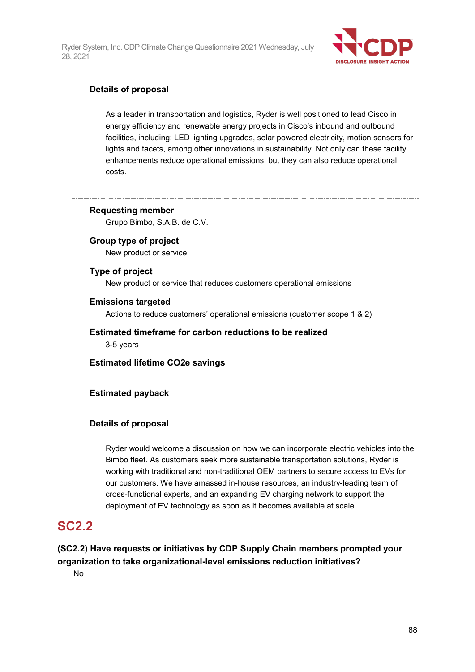

#### **Details of proposal**

As a leader in transportation and logistics, Ryder is well positioned to lead Cisco in energy efficiency and renewable energy projects in Cisco's inbound and outbound facilities, including: LED lighting upgrades, solar powered electricity, motion sensors for lights and facets, among other innovations in sustainability. Not only can these facility enhancements reduce operational emissions, but they can also reduce operational costs.

### **Requesting member**

Grupo Bimbo, S.A.B. de C.V.

#### **Group type of project**

New product or service

#### **Type of project**

New product or service that reduces customers operational emissions

#### **Emissions targeted**

Actions to reduce customers' operational emissions (customer scope 1 & 2)

#### **Estimated timeframe for carbon reductions to be realized**

3-5 years

**Estimated lifetime CO2e savings**

#### **Estimated payback**

#### **Details of proposal**

Ryder would welcome a discussion on how we can incorporate electric vehicles into the Bimbo fleet. As customers seek more sustainable transportation solutions, Ryder is working with traditional and non-traditional OEM partners to secure access to EVs for our customers. We have amassed in-house resources, an industry-leading team of cross-functional experts, and an expanding EV charging network to support the deployment of EV technology as soon as it becomes available at scale.

## **SC2.2**

**(SC2.2) Have requests or initiatives by CDP Supply Chain members prompted your organization to take organizational-level emissions reduction initiatives?**

No